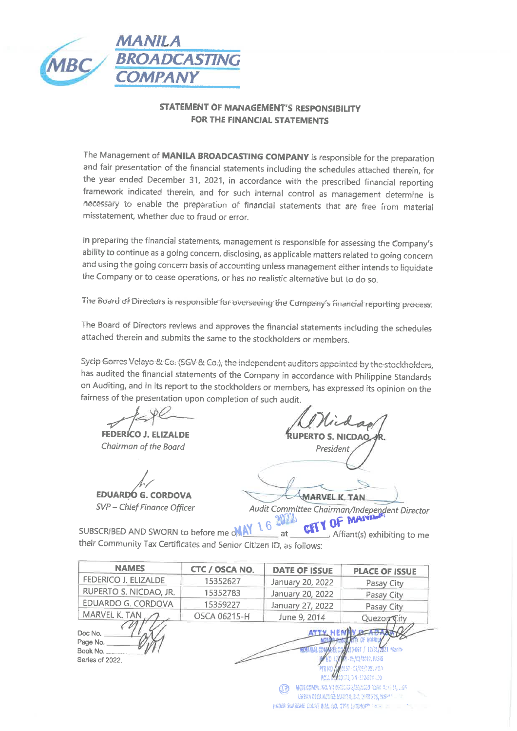

## **STATEMENT OF MANAGEMENT'S RESPONSIBILITY FOR THE FINANCIAL STATEMENTS**

The Management of MANILA BROADCASTING COMPANY is responsible for the preparation and fair presentation of the financial statements including the schedules attached therein, for the year ended December 31, 2021, in accordance with the prescribed financial reporting framework indicated therein, and for such internal control as management determine is necessary to enable the preparation of financial statements that are free from material misstatement, whether due to fraud or error.

In preparing the financial statements, management is responsible for assessing the Company's ability to continue as a going concern, disclosing, as applicable matters related to going concern and using the going concern basis of accounting unless management either intends to liquidate the Company or to cease operations, or has no realistic alternative but to do so.

The Board of Directors is responsible for overseeing the Company's financial reporting process.

The Board of Directors reviews and approves the financial statements including the schedules attached therein and submits the same to the stockholders or members.

Sycip Gorres Velayo & Co. (SGV & Co.), the independent auditors appointed by the stockholders, has audited the financial statements of the Company in accordance with Philippine Standards on Auditing, and in its report to the stockholders or members, has expressed its opinion on the fairness of the presentation upon completion of such audit.

**FEDERICO J. ELIZALDE** Chairman of the Board

**EDUARDO G. CORDOVA** 

SVP - Chief Finance Officer

President

Audit Committee Chairman/Independent Director Y OF MAIN 2124

**MARVEL K. TAN** 

SUBSCRIBED AND SWORN to before me of Affiant(s) exhibiting to me their Community Tax Certificates and Senior Citizen ID, as follows:

| <b>NAMES</b>                            | CTC / OSCA NO. | <b>DATE OF ISSUE</b>                          | <b>PLACE OF ISSUE</b>                                                                                                                                                  |
|-----------------------------------------|----------------|-----------------------------------------------|------------------------------------------------------------------------------------------------------------------------------------------------------------------------|
| <b>FEDERICO J. ELIZALDE</b>             | 15352627       | January 20, 2022                              | Pasay City                                                                                                                                                             |
| RUPERTO S. NICDAO, JR.                  | 15352783       | January 20, 2022                              | Pasay City                                                                                                                                                             |
| EDUARDO G. CORDOVA                      | 15359227       | January 27, 2022                              | Pasay City                                                                                                                                                             |
| MARVEL K. TAN                           | OSCA 06215-H   | June 9, 2014                                  | Quezon Lity                                                                                                                                                            |
| Page No.<br>Book No.<br>Series of 2022. |                |                                               | 20-097 / 12/31/2021 Manite<br>- 65 / 2022, PASIG<br>0197-01/05/1081 MLA<br>BOIL AND EXTING MARKED ON<br>MALE COMPLE NO. VIE (MACLES SPACES) (2602) 2002 April 14, 1105 |
|                                         |                |                                               | (BBA) SCA KITA MATA 34 FW 35, 79P* 11                                                                                                                                  |
|                                         |                | 网络银色色 化四色色谱法 可以担忧的 医眼面 九两 医枕鼻窦 计控制图象数据 机二十二十二 |                                                                                                                                                                        |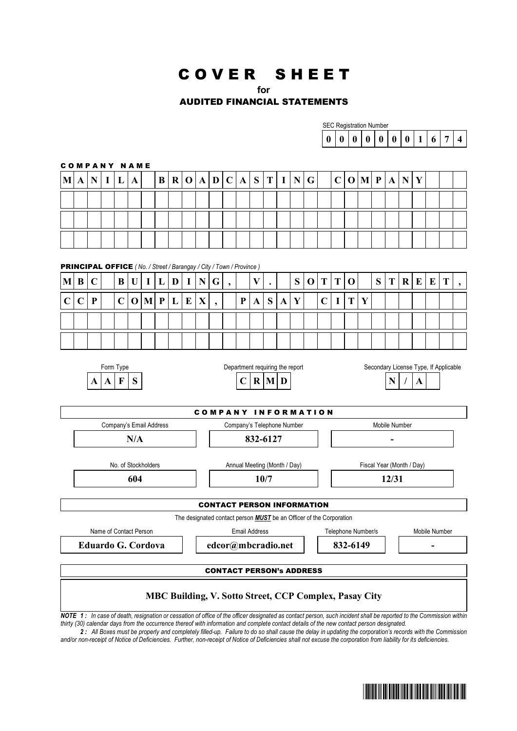# COVER SHEET

# **for**

## AUDITED FINANCIAL STATEMENTS

|             |             |             |             |                        |              |                                                                              |           |         |             |              |   |                          |              |                                 |       |              |   |                                                                            |                  |                  |                  | <b>SEC Registration Number</b>                                                                                                                                     |           |              |                                       |              |               |                |                         |
|-------------|-------------|-------------|-------------|------------------------|--------------|------------------------------------------------------------------------------|-----------|---------|-------------|--------------|---|--------------------------|--------------|---------------------------------|-------|--------------|---|----------------------------------------------------------------------------|------------------|------------------|------------------|--------------------------------------------------------------------------------------------------------------------------------------------------------------------|-----------|--------------|---------------------------------------|--------------|---------------|----------------|-------------------------|
|             |             |             |             |                        |              |                                                                              |           |         |             |              |   |                          |              |                                 |       |              |   |                                                                            | $\boldsymbol{0}$ | $\boldsymbol{0}$ | $\boldsymbol{0}$ | $\boldsymbol{0}$                                                                                                                                                   | $\bf{0}$  | $\bf{0}$     | $\bf{0}$                              | $\mathbf{1}$ | 6             | $\overline{7}$ | $\overline{\mathbf{4}}$ |
|             |             |             |             | <b>COMPANY NAME</b>    |              |                                                                              |           |         |             |              |   |                          |              |                                 |       |              |   |                                                                            |                  |                  |                  |                                                                                                                                                                    |           |              |                                       |              |               |                |                         |
| M           | $\mathbf A$ | ${\bf N}$   | $\mathbf I$ | L                      | $\mathbf{A}$ |                                                                              | $\bf{B}$  | $\bf R$ | $\mathbf 0$ | $\mathbf{A}$ | D | $\mathbf C$              | $\mathbf{A}$ | S                               | T     | $\mathbf I$  | N | G                                                                          |                  | $\mathbf C$      | $\mathbf 0$      | M                                                                                                                                                                  | ${\bf P}$ | $\mathbf{A}$ | ${\bf N}$                             | $\mathbf Y$  |               |                |                         |
|             |             |             |             |                        |              |                                                                              |           |         |             |              |   |                          |              |                                 |       |              |   |                                                                            |                  |                  |                  |                                                                                                                                                                    |           |              |                                       |              |               |                |                         |
|             |             |             |             |                        |              |                                                                              |           |         |             |              |   |                          |              |                                 |       |              |   |                                                                            |                  |                  |                  |                                                                                                                                                                    |           |              |                                       |              |               |                |                         |
|             |             |             |             |                        |              |                                                                              |           |         |             |              |   |                          |              |                                 |       |              |   |                                                                            |                  |                  |                  |                                                                                                                                                                    |           |              |                                       |              |               |                |                         |
|             |             |             |             |                        |              |                                                                              |           |         |             |              |   |                          |              |                                 |       |              |   |                                                                            |                  |                  |                  |                                                                                                                                                                    |           |              |                                       |              |               |                |                         |
|             |             |             |             |                        |              | <b>PRINCIPAL OFFICE</b> ( No. / Street / Barangay / City / Town / Province ) |           |         |             |              |   |                          |              |                                 |       |              |   |                                                                            |                  |                  |                  |                                                                                                                                                                    |           |              |                                       |              |               |                |                         |
| M           | B           | $\mathbf C$ |             | B                      | U            | $\mathbf I$                                                                  | L         | D       | $\bf{I}$    | N            | G | $\overline{\phantom{a}}$ |              | $\boldsymbol{\mathrm{V}}$       |       |              | S | $\mathbf 0$                                                                | T                | T                | $\mathbf 0$      |                                                                                                                                                                    | S         | T            | $\bf R$                               | E            | E             | T              |                         |
| $\mathbf C$ | $\mathbf C$ | ${\bf P}$   |             | $\mathbf C$            | $\mathbf{O}$ | M                                                                            | ${\bf P}$ | L       | E           | $\mathbf X$  | , |                          | ${\bf P}$    | $\mathbf{A}$                    | S     | $\mathbf{A}$ | Y |                                                                            | $\mathbf C$      | I                | T                | Y                                                                                                                                                                  |           |              |                                       |              |               |                |                         |
|             |             |             |             |                        |              |                                                                              |           |         |             |              |   |                          |              |                                 |       |              |   |                                                                            |                  |                  |                  |                                                                                                                                                                    |           |              |                                       |              |               |                |                         |
|             |             |             |             |                        |              |                                                                              |           |         |             |              |   |                          |              |                                 |       |              |   |                                                                            |                  |                  |                  |                                                                                                                                                                    |           |              |                                       |              |               |                |                         |
|             |             |             |             | Form Type              |              |                                                                              |           |         |             |              |   |                          |              | Department requiring the report |       |              |   |                                                                            |                  |                  |                  |                                                                                                                                                                    |           |              | Secondary License Type, If Applicable |              |               |                |                         |
|             |             | A           | A           | F                      | S            |                                                                              |           |         |             |              |   |                          | $\mathbf C$  |                                 | R M D |              |   |                                                                            |                  |                  |                  |                                                                                                                                                                    |           | N            |                                       | A            |               |                |                         |
|             |             |             |             |                        |              |                                                                              |           |         |             |              |   |                          |              |                                 |       |              |   |                                                                            |                  |                  |                  |                                                                                                                                                                    |           |              |                                       |              |               |                |                         |
|             |             |             |             |                        |              | Company's Email Address                                                      |           |         |             |              |   |                          |              | Company's Telephone Number      |       |              |   | <b>COMPANY INFORMATION</b>                                                 |                  |                  |                  |                                                                                                                                                                    |           |              | Mobile Number                         |              |               |                |                         |
|             |             |             |             |                        | N/A          |                                                                              |           |         |             |              |   |                          |              | 832-6127                        |       |              |   |                                                                            |                  |                  |                  |                                                                                                                                                                    |           |              |                                       |              |               |                |                         |
|             |             |             |             |                        |              |                                                                              |           |         |             |              |   |                          |              |                                 |       |              |   |                                                                            |                  |                  |                  |                                                                                                                                                                    |           |              |                                       |              |               |                |                         |
|             |             |             |             |                        | 604          | No. of Stockholders                                                          |           |         |             |              |   |                          |              | Annual Meeting (Month / Day)    | 10/7  |              |   |                                                                            |                  |                  |                  |                                                                                                                                                                    |           | 12/31        | Fiscal Year (Month / Day)             |              |               |                |                         |
|             |             |             |             |                        |              |                                                                              |           |         |             |              |   |                          |              |                                 |       |              |   |                                                                            |                  |                  |                  |                                                                                                                                                                    |           |              |                                       |              |               |                |                         |
|             |             |             |             |                        |              |                                                                              |           |         |             |              |   |                          |              |                                 |       |              |   | CONTACT PERSON INFORMATION                                                 |                  |                  |                  |                                                                                                                                                                    |           |              |                                       |              |               |                |                         |
|             |             |             |             | Name of Contact Person |              |                                                                              |           |         |             |              |   |                          |              | <b>Email Address</b>            |       |              |   | The designated contact person <b>MUST</b> be an Officer of the Corporation |                  |                  |                  | Telephone Number/s                                                                                                                                                 |           |              |                                       |              | Mobile Number |                |                         |
|             |             |             |             |                        |              | Eduardo G. Cordova                                                           |           |         |             |              |   |                          |              | edcor@mbcradio.net              |       |              |   |                                                                            |                  |                  |                  | 832-6149                                                                                                                                                           |           |              |                                       |              |               |                |                         |
|             |             |             |             |                        |              |                                                                              |           |         |             |              |   |                          |              |                                 |       |              |   | <b>CONTACT PERSON's ADDRESS</b>                                            |                  |                  |                  |                                                                                                                                                                    |           |              |                                       |              |               |                |                         |
|             |             |             |             |                        |              |                                                                              |           |         |             |              |   |                          |              |                                 |       |              |   |                                                                            |                  |                  |                  |                                                                                                                                                                    |           |              |                                       |              |               |                |                         |
|             |             |             |             |                        |              |                                                                              |           |         |             |              |   |                          |              |                                 |       |              |   |                                                                            |                  |                  |                  | <b>MBC Building, V. Sotto Street, CCP Complex, Pasay City</b>                                                                                                      |           |              |                                       |              |               |                |                         |
|             |             |             |             |                        |              |                                                                              |           |         |             |              |   |                          |              |                                 |       |              |   |                                                                            |                  |                  |                  | NOTE 1: In case of death, resignation or cessation of office of the officer designated as contact person, such incident shall be reported to the Commission within |           |              |                                       |              |               |                |                         |

*thirty (30) calendar days from the occurrence thereof with information and complete contact details of the new contact person designated. 2 : All Boxes must be properly and completely filled-up. Failure to do so shall cause the delay in updating the corporation's records with the Commission*



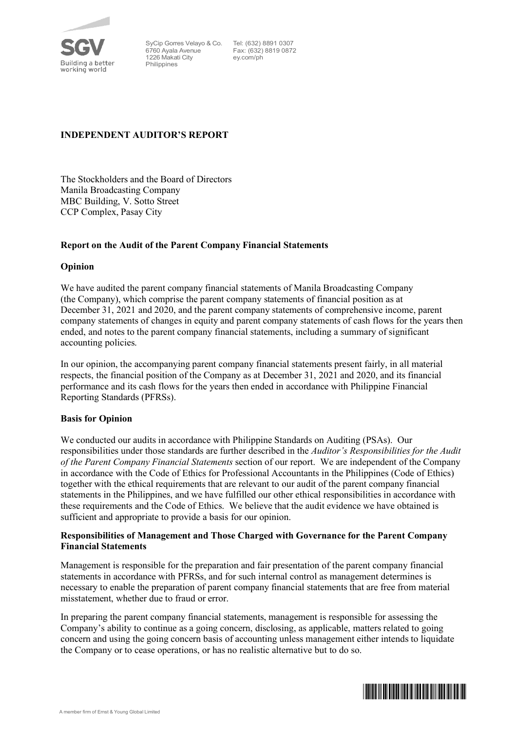

SyCip Gorres Velayo & Co. 6760 Ayala Avenue 1226 Makati City Philippines

 Tel: (632) 8891 0307 Fax: (632) 8819 0872 ey.com/ph

### **INDEPENDENT AUDITOR'S REPORT**

The Stockholders and the Board of Directors Manila Broadcasting Company MBC Building, V. Sotto Street CCP Complex, Pasay City

### **Report on the Audit of the Parent Company Financial Statements**

#### **Opinion**

We have audited the parent company financial statements of Manila Broadcasting Company (the Company), which comprise the parent company statements of financial position as at December 31, 2021 and 2020, and the parent company statements of comprehensive income, parent company statements of changes in equity and parent company statements of cash flows for the years then ended, and notes to the parent company financial statements, including a summary of significant accounting policies.

In our opinion, the accompanying parent company financial statements present fairly, in all material respects, the financial position of the Company as at December 31, 2021 and 2020, and its financial performance and its cash flows for the years then ended in accordance with Philippine Financial Reporting Standards (PFRSs).

#### **Basis for Opinion**

We conducted our audits in accordance with Philippine Standards on Auditing (PSAs). Our responsibilities under those standards are further described in the *Auditor's Responsibilities for the Audit of the Parent Company Financial Statements* section of our report. We are independent of the Company in accordance with the Code of Ethics for Professional Accountants in the Philippines (Code of Ethics) together with the ethical requirements that are relevant to our audit of the parent company financial statements in the Philippines, and we have fulfilled our other ethical responsibilities in accordance with these requirements and the Code of Ethics. We believe that the audit evidence we have obtained is sufficient and appropriate to provide a basis for our opinion.

#### **Responsibilities of Management and Those Charged with Governance for the Parent Company Financial Statements**

Management is responsible for the preparation and fair presentation of the parent company financial statements in accordance with PFRSs, and for such internal control as management determines is necessary to enable the preparation of parent company financial statements that are free from material misstatement, whether due to fraud or error.

In preparing the parent company financial statements, management is responsible for assessing the Company's ability to continue as a going concern, disclosing, as applicable, matters related to going concern and using the going concern basis of accounting unless management either intends to liquidate the Company or to cease operations, or has no realistic alternative but to do so.

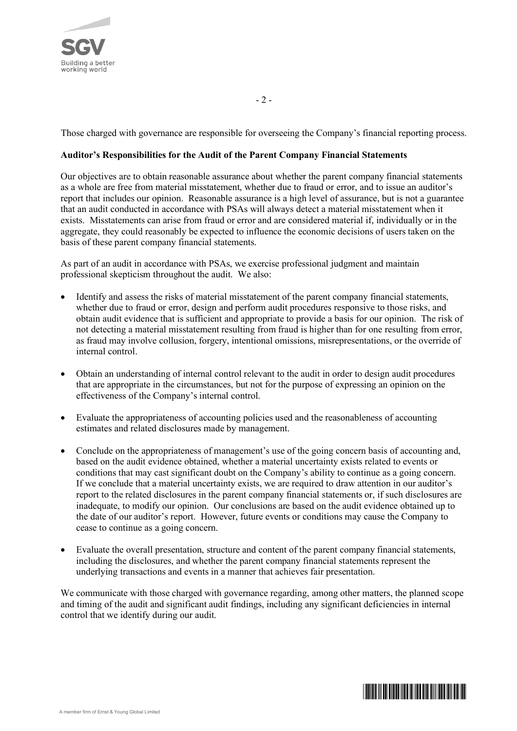

Those charged with governance are responsible for overseeing the Company's financial reporting process.

 $-2-$ 

#### **Auditor's Responsibilities for the Audit of the Parent Company Financial Statements**

Our objectives are to obtain reasonable assurance about whether the parent company financial statements as a whole are free from material misstatement, whether due to fraud or error, and to issue an auditor's report that includes our opinion. Reasonable assurance is a high level of assurance, but is not a guarantee that an audit conducted in accordance with PSAs will always detect a material misstatement when it exists. Misstatements can arise from fraud or error and are considered material if, individually or in the aggregate, they could reasonably be expected to influence the economic decisions of users taken on the basis of these parent company financial statements.

As part of an audit in accordance with PSAs, we exercise professional judgment and maintain professional skepticism throughout the audit. We also:

- Identify and assess the risks of material misstatement of the parent company financial statements, whether due to fraud or error, design and perform audit procedures responsive to those risks, and obtain audit evidence that is sufficient and appropriate to provide a basis for our opinion. The risk of not detecting a material misstatement resulting from fraud is higher than for one resulting from error, as fraud may involve collusion, forgery, intentional omissions, misrepresentations, or the override of internal control.
- Obtain an understanding of internal control relevant to the audit in order to design audit procedures that are appropriate in the circumstances, but not for the purpose of expressing an opinion on the effectiveness of the Company's internal control.
- Evaluate the appropriateness of accounting policies used and the reasonableness of accounting estimates and related disclosures made by management.
- Conclude on the appropriateness of management's use of the going concern basis of accounting and, based on the audit evidence obtained, whether a material uncertainty exists related to events or conditions that may cast significant doubt on the Company's ability to continue as a going concern. If we conclude that a material uncertainty exists, we are required to draw attention in our auditor's report to the related disclosures in the parent company financial statements or, if such disclosures are inadequate, to modify our opinion. Our conclusions are based on the audit evidence obtained up to the date of our auditor's report. However, future events or conditions may cause the Company to cease to continue as a going concern.
- Evaluate the overall presentation, structure and content of the parent company financial statements, including the disclosures, and whether the parent company financial statements represent the underlying transactions and events in a manner that achieves fair presentation.

We communicate with those charged with governance regarding, among other matters, the planned scope and timing of the audit and significant audit findings, including any significant deficiencies in internal control that we identify during our audit.

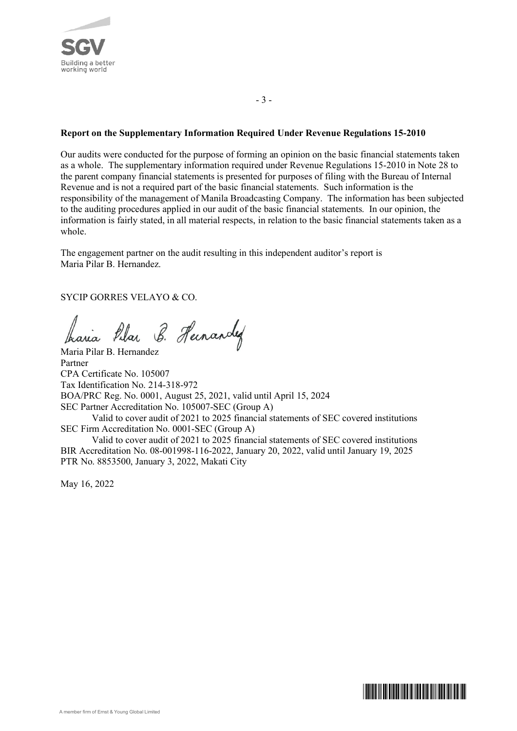

### **Report on the Supplementary Information Required Under Revenue Regulations 15-2010**

Our audits were conducted for the purpose of forming an opinion on the basic financial statements taken as a whole. The supplementary information required under Revenue Regulations 15-2010 in Note 28 to the parent company financial statements is presented for purposes of filing with the Bureau of Internal Revenue and is not a required part of the basic financial statements. Such information is the responsibility of the management of Manila Broadcasting Company. The information has been subjected to the auditing procedures applied in our audit of the basic financial statements. In our opinion, the information is fairly stated, in all material respects, in relation to the basic financial statements taken as a whole.

- 3 -

The engagement partner on the audit resulting in this independent auditor's report is Maria Pilar B. Hernandez.

SYCIP GORRES VELAYO & CO.

haria Pelar B. Hernandez

PTR No. 8853500, January 3, 2022, Makati City

Maria Pilar B. Hernandez Partner CPA Certificate No. 105007 Tax Identification No. 214-318-972 BOA/PRC Reg. No. 0001, August 25, 2021, valid until April 15, 2024 SEC Partner Accreditation No. 105007-SEC (Group A) Valid to cover audit of 2021 to 2025 financial statements of SEC covered institutions SEC Firm Accreditation No. 0001-SEC (Group A) Valid to cover audit of 2021 to 2025 financial statements of SEC covered institutions BIR Accreditation No. 08-001998-116-2022, January 20, 2022, valid until January 19, 2025

May 16, 2022

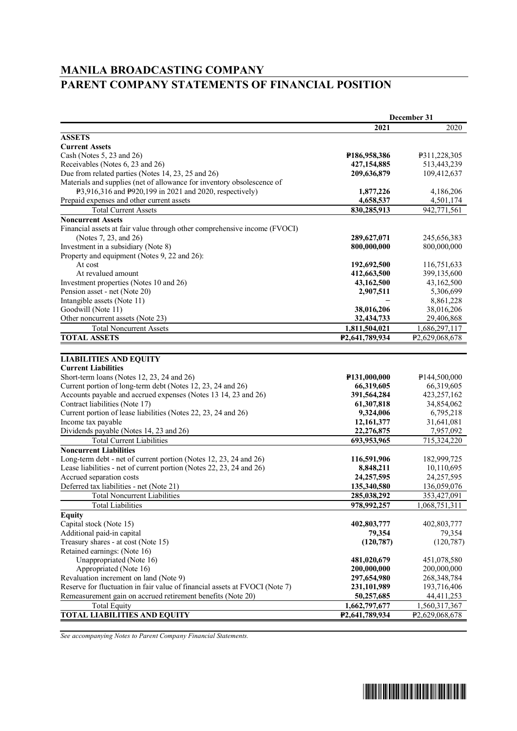# **MANILA BROADCASTING COMPANY**

# **PARENT COMPANY STATEMENTS OF FINANCIAL POSITION**

|                                                                             |                             | December 31                 |
|-----------------------------------------------------------------------------|-----------------------------|-----------------------------|
|                                                                             | 2021                        | 2020                        |
| <b>ASSETS</b>                                                               |                             |                             |
| <b>Current Assets</b>                                                       |                             |                             |
| Cash (Notes 5, 23 and 26)                                                   | P186,958,386                | P311,228,305                |
| Receivables (Notes 6, 23 and 26)                                            | 427,154,885                 | 513,443,239                 |
| Due from related parties (Notes 14, 23, 25 and 26)                          | 209,636,879                 | 109,412,637                 |
| Materials and supplies (net of allowance for inventory obsolescence of      |                             |                             |
| P3,916,316 and P920,199 in 2021 and 2020, respectively)                     | 1,877,226                   | 4,186,206                   |
| Prepaid expenses and other current assets                                   | 4,658,537                   | 4,501,174                   |
| <b>Total Current Assets</b>                                                 | 830,285,913                 | 942,771,561                 |
| <b>Noncurrent Assets</b>                                                    |                             |                             |
| Financial assets at fair value through other comprehensive income (FVOCI)   |                             |                             |
| (Notes 7, 23, and 26)                                                       | 289,627,071                 | 245,656,383                 |
| Investment in a subsidiary (Note 8)                                         | 800,000,000                 | 800,000,000                 |
| Property and equipment (Notes 9, 22 and 26):                                |                             |                             |
| At cost                                                                     | 192,692,500                 | 116,751,633                 |
| At revalued amount                                                          | 412,663,500                 | 399,135,600                 |
| Investment properties (Notes 10 and 26)                                     | 43,162,500                  | 43,162,500                  |
| Pension asset - net (Note 20)                                               | 2,907,511                   | 5,306,699                   |
| Intangible assets (Note 11)<br>Goodwill (Note 11)                           |                             | 8,861,228                   |
|                                                                             | 38,016,206<br>32,434,733    | 38,016,206<br>29,406,868    |
| Other noncurrent assets (Note 23)                                           |                             | 1,686,297,117               |
| <b>Total Noncurrent Assets</b><br><b>TOTAL ASSETS</b>                       | 1,811,504,021               |                             |
|                                                                             | P <sub>2</sub> ,641,789,934 | P2,629,068,678              |
| <b>LIABILITIES AND EQUITY</b><br><b>Current Liabilities</b>                 |                             |                             |
| Short-term loans (Notes 12, 23, 24 and 26)                                  | P131,000,000                | P144,500,000                |
| Current portion of long-term debt (Notes 12, 23, 24 and 26)                 | 66,319,605                  | 66,319,605                  |
| Accounts payable and accrued expenses (Notes 13 14, 23 and 26)              | 391,564,284                 | 423, 257, 162               |
| Contract liabilities (Note 17)                                              | 61,307,818                  | 34,854,062                  |
| Current portion of lease liabilities (Notes 22, 23, 24 and 26)              | 9,324,006                   | 6,795,218                   |
| Income tax payable                                                          | 12,161,377                  | 31,641,081                  |
| Dividends payable (Notes 14, 23 and 26)                                     | 22,276,875                  | 7,957,092                   |
| <b>Total Current Liabilities</b>                                            | 693,953,965                 | 715,324,220                 |
| <b>Noncurrent Liabilities</b>                                               |                             |                             |
| Long-term debt - net of current portion (Notes 12, 23, 24 and 26)           | 116,591,906                 | 182,999,725                 |
| Lease liabilities - net of current portion (Notes 22, 23, 24 and 26)        | 8,848,211                   | 10,110,695                  |
| Accrued separation costs                                                    | 24,257,595                  | 24,257,595                  |
| Deferred tax liabilities - net (Note 21)                                    | 135,340,580                 | 136,059,076                 |
| <b>Total Noncurrent Liabilities</b>                                         | 285,038,292                 | 353,427,091                 |
| <b>Total Liabilities</b>                                                    | 978,992,257                 | 1,068,751,311               |
| <b>Equity</b>                                                               |                             |                             |
| Capital stock (Note 15)                                                     | 402,803,777                 | 402,803,777                 |
| Additional paid-in capital                                                  | 79,354                      | 79,354                      |
| Treasury shares - at cost (Note 15)                                         | (120, 787)                  | (120, 787)                  |
| Retained earnings: (Note 16)                                                |                             |                             |
| Unappropriated (Note 16)                                                    | 481,020,679                 | 451,078,580                 |
| Appropriated (Note 16)                                                      | 200,000,000                 | 200,000,000                 |
| Revaluation increment on land (Note 9)                                      | 297,654,980                 | 268,348,784                 |
| Reserve for fluctuation in fair value of financial assets at FVOCI (Note 7) | 231,101,989                 | 193,716,406                 |
| Remeasurement gain on accrued retirement benefits (Note 20)                 | 50,257,685                  | 44,411,253                  |
| <b>Total Equity</b>                                                         | 1,662,797,677               | 1,560,317,367               |
| <b>TOTAL LIABILITIES AND EQUITY</b>                                         | P <sub>2</sub> ,641,789,934 | P <sub>2</sub> ,629,068,678 |

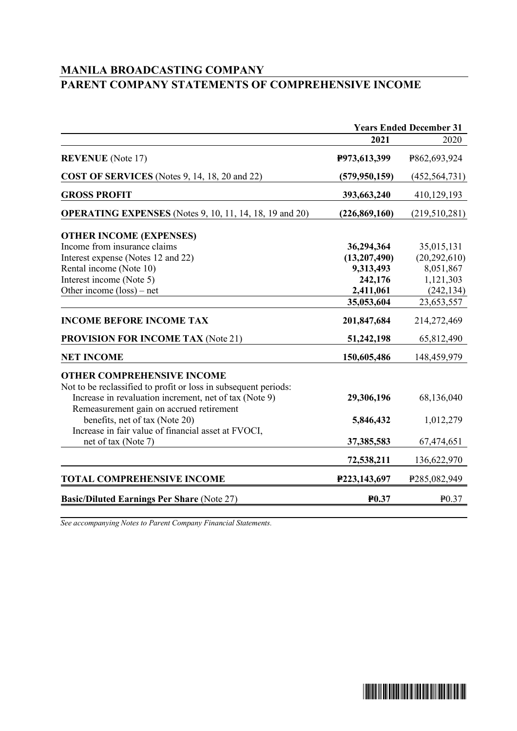# **MANILA BROADCASTING COMPANY PARENT COMPANY STATEMENTS OF COMPREHENSIVE INCOME**

|                                                                                                                                                                       | <b>Years Ended December 31</b> |                 |  |  |
|-----------------------------------------------------------------------------------------------------------------------------------------------------------------------|--------------------------------|-----------------|--|--|
|                                                                                                                                                                       | 2021                           | 2020            |  |  |
| <b>REVENUE</b> (Note 17)                                                                                                                                              | P973,613,399                   | P862,693,924    |  |  |
| <b>COST OF SERVICES</b> (Notes 9, 14, 18, 20 and 22)                                                                                                                  | (579, 950, 159)                | (452, 564, 731) |  |  |
| <b>GROSS PROFIT</b>                                                                                                                                                   | 393,663,240                    | 410,129,193     |  |  |
| <b>OPERATING EXPENSES</b> (Notes 9, 10, 11, 14, 18, 19 and 20)                                                                                                        | (226, 869, 160)                | (219,510,281)   |  |  |
| <b>OTHER INCOME (EXPENSES)</b>                                                                                                                                        |                                |                 |  |  |
| Income from insurance claims                                                                                                                                          | 36,294,364                     | 35,015,131      |  |  |
| Interest expense (Notes 12 and 22)                                                                                                                                    | (13,207,490)                   | (20, 292, 610)  |  |  |
| Rental income (Note 10)                                                                                                                                               | 9,313,493                      | 8,051,867       |  |  |
| Interest income (Note 5)                                                                                                                                              | 242,176                        | 1,121,303       |  |  |
| Other income $(\text{loss})$ – net                                                                                                                                    | 2,411,061                      | (242, 134)      |  |  |
|                                                                                                                                                                       | 35,053,604                     | 23,653,557      |  |  |
| <b>INCOME BEFORE INCOME TAX</b>                                                                                                                                       | 201,847,684                    | 214,272,469     |  |  |
| <b>PROVISION FOR INCOME TAX (Note 21)</b>                                                                                                                             | 51,242,198                     | 65,812,490      |  |  |
| <b>NET INCOME</b>                                                                                                                                                     | 150,605,486                    | 148,459,979     |  |  |
| <b>OTHER COMPREHENSIVE INCOME</b>                                                                                                                                     |                                |                 |  |  |
| Not to be reclassified to profit or loss in subsequent periods:<br>Increase in revaluation increment, net of tax (Note 9)<br>Remeasurement gain on accrued retirement | 29,306,196                     | 68,136,040      |  |  |
| benefits, net of tax (Note 20)                                                                                                                                        | 5,846,432                      | 1,012,279       |  |  |
| Increase in fair value of financial asset at FVOCI,                                                                                                                   |                                |                 |  |  |
| net of tax (Note 7)                                                                                                                                                   | 37,385,583                     | 67,474,651      |  |  |
|                                                                                                                                                                       | 72,538,211                     | 136,622,970     |  |  |
| <b>TOTAL COMPREHENSIVE INCOME</b>                                                                                                                                     | P223,143,697                   | P285,082,949    |  |  |
| <b>Basic/Diluted Earnings Per Share (Note 27)</b>                                                                                                                     | <b>P0.37</b>                   | $P_{0.37}$      |  |  |

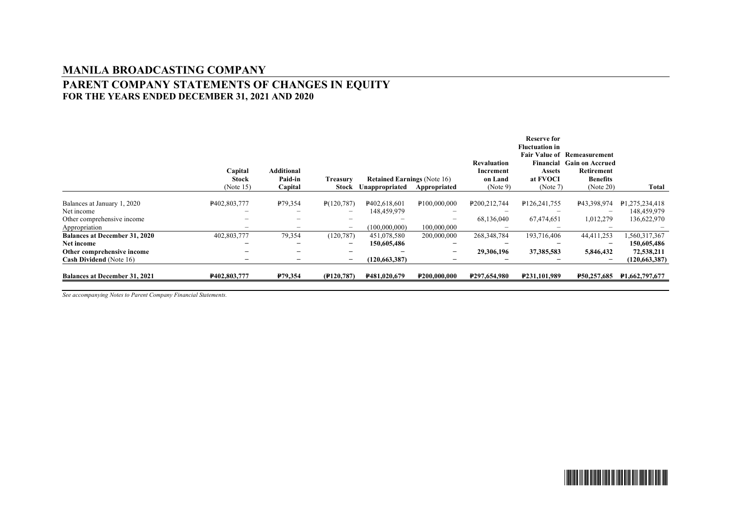## **MANILA BROADCASTING COMPANY PARENT COMPANY STATEMENTS OF CHANGES IN EQUITY FOR THE YEARS ENDED DECEMBER 31, 2021 AND 2020**

|                                                       | Capital<br><b>Stock</b><br>(Note 15) | <b>Additional</b><br>Paid-in<br>Capital | Treasury<br>Stock                      | <b>Retained Earnings (Note 16)</b><br>Unappropriated | Appropriated      | <b>Revaluation</b><br>Increment<br>on Land<br>(Note 9) | <b>Reserve for</b><br><b>Fluctuation in</b><br><b>Fair Value of</b><br>Financial<br>Assets<br>at FVOCI<br>(Note 7) | Remeasurement<br><b>Gain on Accrued</b><br><b>Retirement</b><br><b>Benefits</b><br>(Note 20) | Total                         |
|-------------------------------------------------------|--------------------------------------|-----------------------------------------|----------------------------------------|------------------------------------------------------|-------------------|--------------------------------------------------------|--------------------------------------------------------------------------------------------------------------------|----------------------------------------------------------------------------------------------|-------------------------------|
|                                                       |                                      |                                         |                                        |                                                      |                   |                                                        |                                                                                                                    |                                                                                              |                               |
| Balances at January 1, 2020<br>Net income             | P402,803,777                         | P79,354<br>-                            | P(120,787)<br>$\overline{\phantom{m}}$ | P402.618.601<br>148,459,979                          | P100,000,000<br>- | P200,212,744                                           | P126,241,755                                                                                                       | P43,398,974<br>-                                                                             | P1,275,234,418<br>148,459,979 |
| Other comprehensive income<br>Appropriation           | -                                    | -                                       | -<br>$\overline{\phantom{m}}$          | (100,000,000)                                        | 100,000,000       | 68,136,040                                             | 67,474,651                                                                                                         | 1,012,279                                                                                    | 136,622,970                   |
| <b>Balances at December 31, 2020</b><br>Net income    | 402,803,777                          | 79,354<br>$\overline{\phantom{0}}$      | (120, 787)<br>-                        | 451,078,580<br>150,605,486                           | 200,000,000<br>-  | 268, 348, 784                                          | 193,716,406                                                                                                        | 44,411,253                                                                                   | 1,560,317,367<br>150,605,486  |
| Other comprehensive income<br>Cash Dividend (Note 16) |                                      | -<br>-                                  | -<br>-                                 | (120, 663, 387)                                      | -                 | 29,306,196                                             | 37,385,583                                                                                                         | 5,846,432<br>۰                                                                               | 72,538,211<br>(120, 663, 387) |
| <b>Balances at December 31, 2021</b>                  | P402,803,777                         | <b>P79,354</b>                          | (F120, 787)                            | P481,020,679                                         | P200,000,000      | P297,654,980                                           | P231,101,989                                                                                                       | <b>P50,257,685</b>                                                                           | P <sub>1</sub> ,662,797,677   |

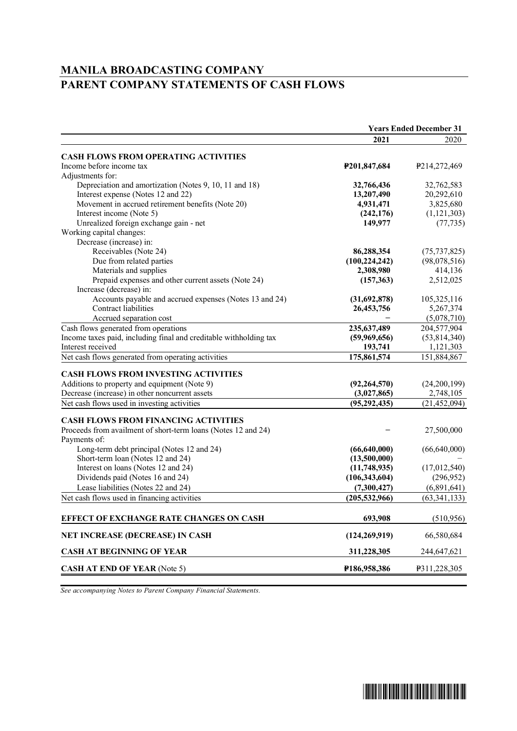# **MANILA BROADCASTING COMPANY PARENT COMPANY STATEMENTS OF CASH FLOWS**

|                                                                   |                           | <b>Years Ended December 31</b> |
|-------------------------------------------------------------------|---------------------------|--------------------------------|
|                                                                   | 2021                      | 2020                           |
| <b>CASH FLOWS FROM OPERATING ACTIVITIES</b>                       |                           |                                |
| Income before income tax                                          | P <sub>201</sub> ,847,684 | P <sub>214,272,469</sub>       |
| Adjustments for:                                                  |                           |                                |
| Depreciation and amortization (Notes 9, 10, 11 and 18)            | 32,766,436                | 32,762,583                     |
| Interest expense (Notes 12 and 22)                                | 13,207,490                | 20,292,610                     |
| Movement in accrued retirement benefits (Note 20)                 | 4,931,471                 | 3,825,680                      |
| Interest income (Note 5)                                          | (242, 176)                | (1, 121, 303)                  |
| Unrealized foreign exchange gain - net                            | 149,977                   | (77, 735)                      |
| Working capital changes:                                          |                           |                                |
| Decrease (increase) in:                                           |                           |                                |
| Receivables (Note 24)                                             | 86,288,354                | (75, 737, 825)                 |
| Due from related parties                                          | (100, 224, 242)           | (98,078,516)                   |
| Materials and supplies                                            | 2,308,980                 | 414,136                        |
| Prepaid expenses and other current assets (Note 24)               | (157, 363)                | 2,512,025                      |
| Increase (decrease) in:                                           |                           |                                |
| Accounts payable and accrued expenses (Notes 13 and 24)           | (31,692,878)              | 105,325,116                    |
| Contract liabilities                                              | 26,453,756                | 5,267,374                      |
| Accrued separation cost                                           |                           | (5,078,710)                    |
|                                                                   |                           | 204,577,904                    |
| Cash flows generated from operations                              | 235,637,489               |                                |
| Income taxes paid, including final and creditable withholding tax | (59,969,656)              | (53,814,340)                   |
| Interest received                                                 | 193,741                   | 1,121,303                      |
| Net cash flows generated from operating activities                | 175,861,574               | 151,884,867                    |
| <b>CASH FLOWS FROM INVESTING ACTIVITIES</b>                       |                           |                                |
| Additions to property and equipment (Note 9)                      | (92, 264, 570)            | (24,200,199)                   |
| Decrease (increase) in other noncurrent assets                    | (3,027,865)               | 2,748,105                      |
| Net cash flows used in investing activities                       | (95, 292, 435)            | (21, 452, 094)                 |
| <b>CASH FLOWS FROM FINANCING ACTIVITIES</b>                       |                           |                                |
| Proceeds from availment of short-term loans (Notes 12 and 24)     |                           | 27,500,000                     |
| Payments of:                                                      |                           |                                |
| Long-term debt principal (Notes 12 and 24)                        | (66, 640, 000)            | (66, 640, 000)                 |
| Short-term loan (Notes 12 and 24)                                 | (13,500,000)              |                                |
| Interest on loans (Notes 12 and 24)                               | (11,748,935)              | (17,012,540)                   |
| Dividends paid (Notes 16 and 24)                                  | (106, 343, 604)           | (296,952)                      |
| Lease liabilities (Notes 22 and 24)                               | (7,300,427)               | (6,891,641)                    |
| Net cash flows used in financing activities                       | (205, 532, 966)           | (63, 341, 133)                 |
|                                                                   |                           |                                |
| <b>EFFECT OF EXCHANGE RATE CHANGES ON CASH</b>                    | 693,908                   | (510, 956)                     |
| NET INCREASE (DECREASE) IN CASH                                   | (124, 269, 919)           | 66,580,684                     |
| <b>CASH AT BEGINNING OF YEAR</b>                                  | 311,228,305               | 244,647,621                    |
| <b>CASH AT END OF YEAR (Note 5)</b>                               | P <sub>186,958,386</sub>  | P311,228,305                   |

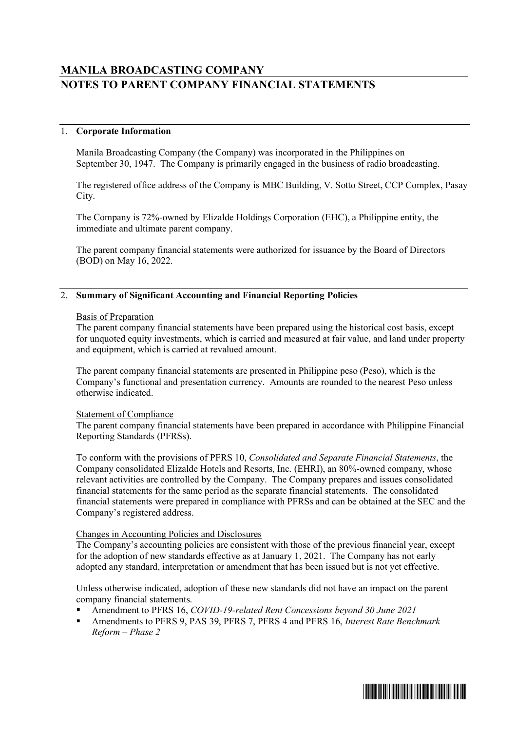# **MANILA BROADCASTING COMPANY NOTES TO PARENT COMPANY FINANCIAL STATEMENTS**

#### 1. **Corporate Information**

Manila Broadcasting Company (the Company) was incorporated in the Philippines on September 30, 1947. The Company is primarily engaged in the business of radio broadcasting.

The registered office address of the Company is MBC Building, V. Sotto Street, CCP Complex, Pasay City.

The Company is 72%-owned by Elizalde Holdings Corporation (EHC), a Philippine entity, the immediate and ultimate parent company.

The parent company financial statements were authorized for issuance by the Board of Directors (BOD) on May 16, 2022.

#### 2. **Summary of Significant Accounting and Financial Reporting Policies**

#### Basis of Preparation

The parent company financial statements have been prepared using the historical cost basis, except for unquoted equity investments, which is carried and measured at fair value, and land under property and equipment, which is carried at revalued amount.

The parent company financial statements are presented in Philippine peso (Peso), which is the Company's functional and presentation currency. Amounts are rounded to the nearest Peso unless otherwise indicated.

#### Statement of Compliance

The parent company financial statements have been prepared in accordance with Philippine Financial Reporting Standards (PFRSs).

To conform with the provisions of PFRS 10, *Consolidated and Separate Financial Statements*, the Company consolidated Elizalde Hotels and Resorts, Inc. (EHRI), an 80%-owned company, whose relevant activities are controlled by the Company. The Company prepares and issues consolidated financial statements for the same period as the separate financial statements. The consolidated financial statements were prepared in compliance with PFRSs and can be obtained at the SEC and the Company's registered address.

#### Changes in Accounting Policies and Disclosures

The Company's accounting policies are consistent with those of the previous financial year, except for the adoption of new standards effective as at January 1, 2021. The Company has not early adopted any standard, interpretation or amendment that has been issued but is not yet effective.

Unless otherwise indicated, adoption of these new standards did not have an impact on the parent company financial statements.

- Amendment to PFRS 16, *COVID-19-related Rent Concessions beyond 30 June 2021*
- Amendments to PFRS 9, PAS 39, PFRS 7, PFRS 4 and PFRS 16, *Interest Rate Benchmark Reform – Phase 2*

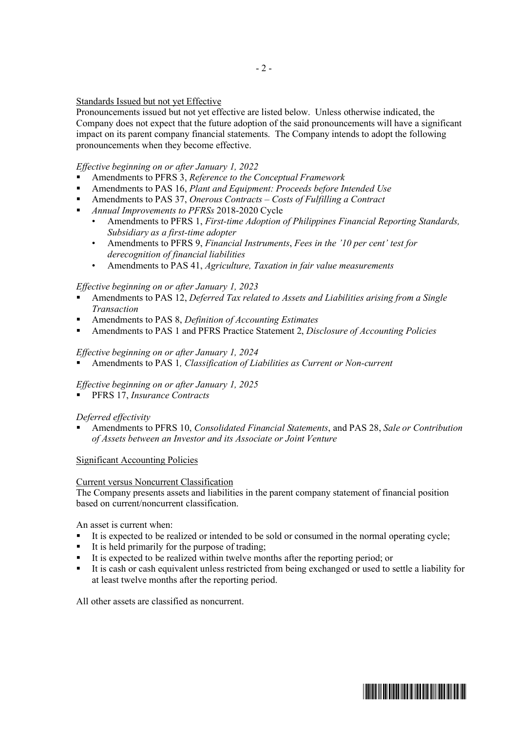#### $-2-$

#### Standards Issued but not yet Effective

Pronouncements issued but not yet effective are listed below. Unless otherwise indicated, the Company does not expect that the future adoption of the said pronouncements will have a significant impact on its parent company financial statements. The Company intends to adopt the following pronouncements when they become effective.

#### *Effective beginning on or after January 1, 2022*

- Amendments to PFRS 3, *Reference to the Conceptual Framework*
- Amendments to PAS 16, *Plant and Equipment: Proceeds before Intended Use*
- Amendments to PAS 37, *Onerous Contracts Costs of Fulfilling a Contract*
- *Annual Improvements to PFRSs* 2018-2020 Cycle
	- Amendments to PFRS 1, *First-time Adoption of Philippines Financial Reporting Standards, Subsidiary as a first-time adopter*
	- Amendments to PFRS 9, *Financial Instruments*, *Fees in the '10 per cent' test for derecognition of financial liabilities*
	- Amendments to PAS 41, *Agriculture, Taxation in fair value measurements*

#### *Effective beginning on or after January 1, 2023*

- Amendments to PAS 12, *Deferred Tax related to Assets and Liabilities arising from a Single Transaction*
- Amendments to PAS 8, *Definition of Accounting Estimates*
- Amendments to PAS 1 and PFRS Practice Statement 2, *Disclosure of Accounting Policies*

#### *Effective beginning on or after January 1, 2024*

Amendments to PAS 1*, Classification of Liabilities as Current or Non-current*

#### *Effective beginning on or after January 1, 2025*

PFRS 17, *Insurance Contracts*

#### *Deferred effectivity*

 Amendments to PFRS 10, *Consolidated Financial Statements*, and PAS 28, *Sale or Contribution of Assets between an Investor and its Associate or Joint Venture*

#### Significant Accounting Policies

#### Current versus Noncurrent Classification

The Company presents assets and liabilities in the parent company statement of financial position based on current/noncurrent classification.

An asset is current when:

- It is expected to be realized or intended to be sold or consumed in the normal operating cycle;
- It is held primarily for the purpose of trading;
- It is expected to be realized within twelve months after the reporting period; or
- It is cash or cash equivalent unless restricted from being exchanged or used to settle a liability for at least twelve months after the reporting period.

All other assets are classified as noncurrent.

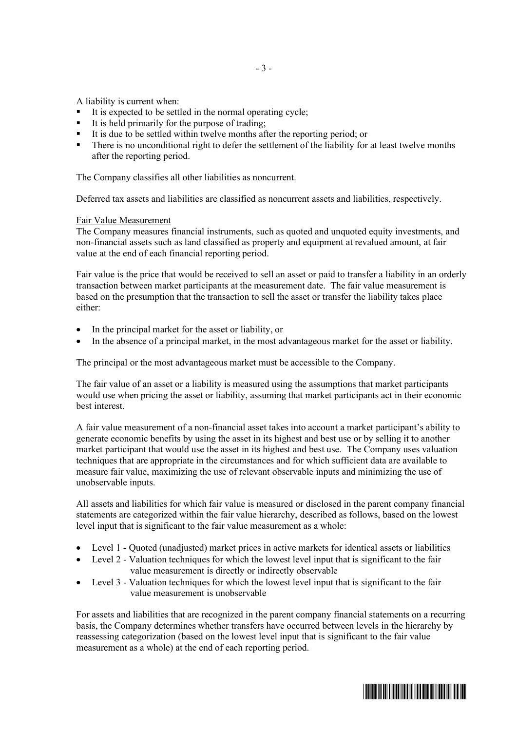A liability is current when:

- $\blacksquare$  It is expected to be settled in the normal operating cycle;
- It is held primarily for the purpose of trading;
- It is due to be settled within twelve months after the reporting period; or
- There is no unconditional right to defer the settlement of the liability for at least twelve months after the reporting period.

The Company classifies all other liabilities as noncurrent.

Deferred tax assets and liabilities are classified as noncurrent assets and liabilities, respectively.

#### Fair Value Measurement

The Company measures financial instruments, such as quoted and unquoted equity investments, and non-financial assets such as land classified as property and equipment at revalued amount, at fair value at the end of each financial reporting period.

Fair value is the price that would be received to sell an asset or paid to transfer a liability in an orderly transaction between market participants at the measurement date. The fair value measurement is based on the presumption that the transaction to sell the asset or transfer the liability takes place either:

- In the principal market for the asset or liability, or
- In the absence of a principal market, in the most advantageous market for the asset or liability.

The principal or the most advantageous market must be accessible to the Company.

The fair value of an asset or a liability is measured using the assumptions that market participants would use when pricing the asset or liability, assuming that market participants act in their economic best interest.

A fair value measurement of a non-financial asset takes into account a market participant's ability to generate economic benefits by using the asset in its highest and best use or by selling it to another market participant that would use the asset in its highest and best use. The Company uses valuation techniques that are appropriate in the circumstances and for which sufficient data are available to measure fair value, maximizing the use of relevant observable inputs and minimizing the use of unobservable inputs.

All assets and liabilities for which fair value is measured or disclosed in the parent company financial statements are categorized within the fair value hierarchy, described as follows, based on the lowest level input that is significant to the fair value measurement as a whole:

- Level 1 Quoted (unadjusted) market prices in active markets for identical assets or liabilities
- Level 2 Valuation techniques for which the lowest level input that is significant to the fair value measurement is directly or indirectly observable
- Level 3 Valuation techniques for which the lowest level input that is significant to the fair value measurement is unobservable

For assets and liabilities that are recognized in the parent company financial statements on a recurring basis, the Company determines whether transfers have occurred between levels in the hierarchy by reassessing categorization (based on the lowest level input that is significant to the fair value measurement as a whole) at the end of each reporting period.

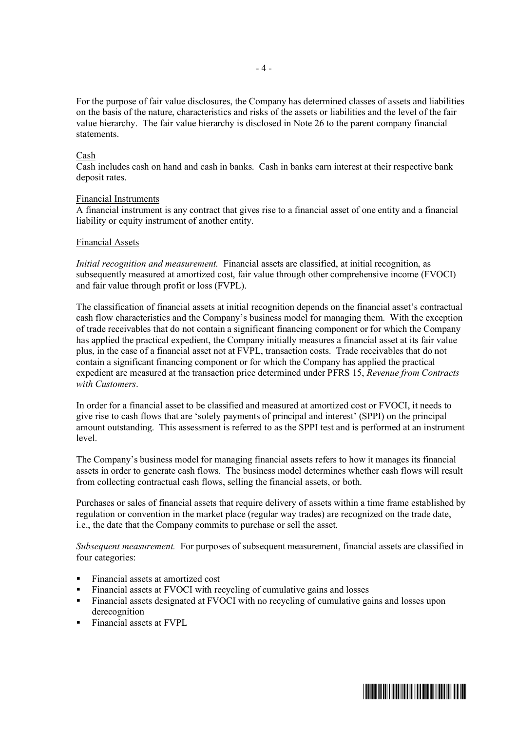For the purpose of fair value disclosures, the Company has determined classes of assets and liabilities on the basis of the nature, characteristics and risks of the assets or liabilities and the level of the fair value hierarchy. The fair value hierarchy is disclosed in Note 26 to the parent company financial statements.

- 4 -

#### Cash

Cash includes cash on hand and cash in banks. Cash in banks earn interest at their respective bank deposit rates.

#### Financial Instruments

A financial instrument is any contract that gives rise to a financial asset of one entity and a financial liability or equity instrument of another entity.

#### Financial Assets

*Initial recognition and measurement.* Financial assets are classified, at initial recognition, as subsequently measured at amortized cost, fair value through other comprehensive income (FVOCI) and fair value through profit or loss (FVPL).

The classification of financial assets at initial recognition depends on the financial asset's contractual cash flow characteristics and the Company's business model for managing them. With the exception of trade receivables that do not contain a significant financing component or for which the Company has applied the practical expedient, the Company initially measures a financial asset at its fair value plus, in the case of a financial asset not at FVPL, transaction costs. Trade receivables that do not contain a significant financing component or for which the Company has applied the practical expedient are measured at the transaction price determined under PFRS 15, *Revenue from Contracts with Customers*.

In order for a financial asset to be classified and measured at amortized cost or FVOCI, it needs to give rise to cash flows that are 'solely payments of principal and interest' (SPPI) on the principal amount outstanding. This assessment is referred to as the SPPI test and is performed at an instrument level.

The Company's business model for managing financial assets refers to how it manages its financial assets in order to generate cash flows. The business model determines whether cash flows will result from collecting contractual cash flows, selling the financial assets, or both.

Purchases or sales of financial assets that require delivery of assets within a time frame established by regulation or convention in the market place (regular way trades) are recognized on the trade date, i.e., the date that the Company commits to purchase or sell the asset.

*Subsequent measurement.* For purposes of subsequent measurement, financial assets are classified in four categories:

- Financial assets at amortized cost
- Financial assets at FVOCI with recycling of cumulative gains and losses
- Financial assets designated at FVOCI with no recycling of cumulative gains and losses upon derecognition
- Financial assets at FVPL

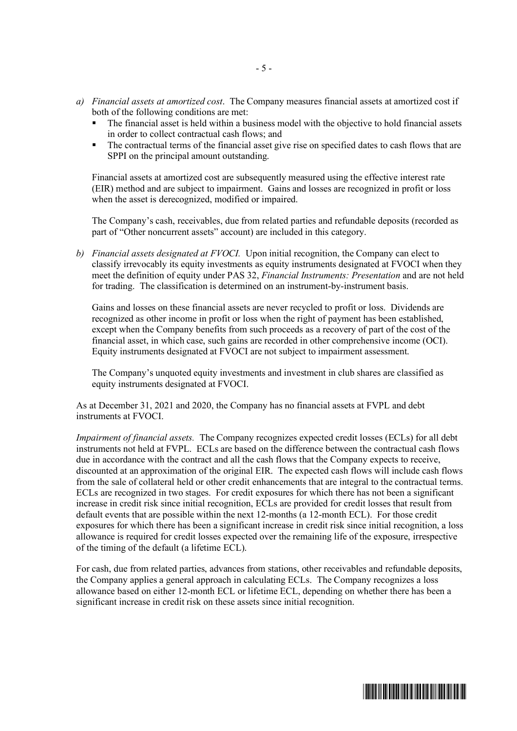- *a) Financial assets at amortized cost*. The Company measures financial assets at amortized cost if both of the following conditions are met:
	- The financial asset is held within a business model with the objective to hold financial assets in order to collect contractual cash flows; and
	- The contractual terms of the financial asset give rise on specified dates to cash flows that are SPPI on the principal amount outstanding.

Financial assets at amortized cost are subsequently measured using the effective interest rate (EIR) method and are subject to impairment. Gains and losses are recognized in profit or loss when the asset is derecognized, modified or impaired.

The Company's cash, receivables, due from related parties and refundable deposits (recorded as part of "Other noncurrent assets" account) are included in this category.

*b) Financial assets designated at FVOCI.* Upon initial recognition, the Company can elect to classify irrevocably its equity investments as equity instruments designated at FVOCI when they meet the definition of equity under PAS 32, *Financial Instruments: Presentation* and are not held for trading. The classification is determined on an instrument-by-instrument basis.

Gains and losses on these financial assets are never recycled to profit or loss. Dividends are recognized as other income in profit or loss when the right of payment has been established, except when the Company benefits from such proceeds as a recovery of part of the cost of the financial asset, in which case, such gains are recorded in other comprehensive income (OCI). Equity instruments designated at FVOCI are not subject to impairment assessment.

The Company's unquoted equity investments and investment in club shares are classified as equity instruments designated at FVOCI.

As at December 31, 2021 and 2020, the Company has no financial assets at FVPL and debt instruments at FVOCI.

*Impairment of financial assets.* The Company recognizes expected credit losses (ECLs) for all debt instruments not held at FVPL. ECLs are based on the difference between the contractual cash flows due in accordance with the contract and all the cash flows that the Company expects to receive, discounted at an approximation of the original EIR. The expected cash flows will include cash flows from the sale of collateral held or other credit enhancements that are integral to the contractual terms. ECLs are recognized in two stages. For credit exposures for which there has not been a significant increase in credit risk since initial recognition, ECLs are provided for credit losses that result from default events that are possible within the next 12-months (a 12-month ECL). For those credit exposures for which there has been a significant increase in credit risk since initial recognition, a loss allowance is required for credit losses expected over the remaining life of the exposure, irrespective of the timing of the default (a lifetime ECL).

For cash, due from related parties, advances from stations, other receivables and refundable deposits, the Company applies a general approach in calculating ECLs. The Company recognizes a loss allowance based on either 12-month ECL or lifetime ECL, depending on whether there has been a significant increase in credit risk on these assets since initial recognition.

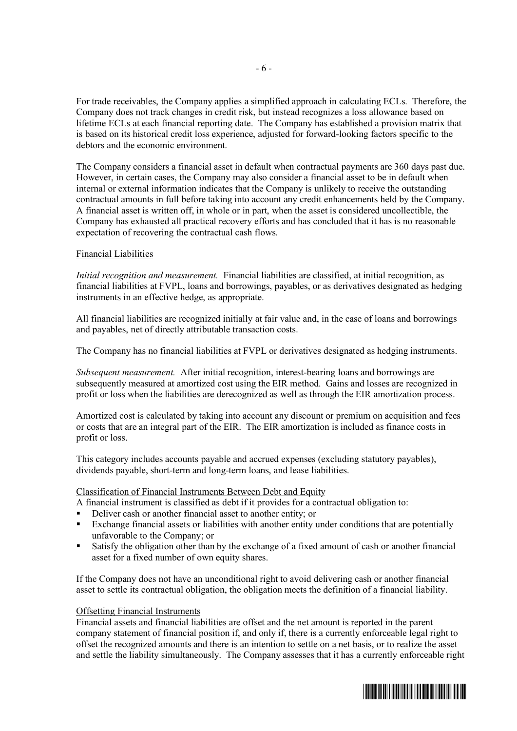For trade receivables, the Company applies a simplified approach in calculating ECLs. Therefore, the Company does not track changes in credit risk, but instead recognizes a loss allowance based on lifetime ECLs at each financial reporting date. The Company has established a provision matrix that is based on its historical credit loss experience, adjusted for forward-looking factors specific to the debtors and the economic environment.

The Company considers a financial asset in default when contractual payments are 360 days past due. However, in certain cases, the Company may also consider a financial asset to be in default when internal or external information indicates that the Company is unlikely to receive the outstanding contractual amounts in full before taking into account any credit enhancements held by the Company. A financial asset is written off, in whole or in part, when the asset is considered uncollectible, the Company has exhausted all practical recovery efforts and has concluded that it has is no reasonable expectation of recovering the contractual cash flows.

#### Financial Liabilities

*Initial recognition and measurement.* Financial liabilities are classified, at initial recognition, as financial liabilities at FVPL, loans and borrowings, payables, or as derivatives designated as hedging instruments in an effective hedge, as appropriate.

All financial liabilities are recognized initially at fair value and, in the case of loans and borrowings and payables, net of directly attributable transaction costs.

The Company has no financial liabilities at FVPL or derivatives designated as hedging instruments.

*Subsequent measurement.* After initial recognition, interest-bearing loans and borrowings are subsequently measured at amortized cost using the EIR method. Gains and losses are recognized in profit or loss when the liabilities are derecognized as well as through the EIR amortization process.

Amortized cost is calculated by taking into account any discount or premium on acquisition and fees or costs that are an integral part of the EIR. The EIR amortization is included as finance costs in profit or loss.

This category includes accounts payable and accrued expenses (excluding statutory payables), dividends payable, short-term and long-term loans, and lease liabilities.

#### Classification of Financial Instruments Between Debt and Equity

- A financial instrument is classified as debt if it provides for a contractual obligation to:
- Deliver cash or another financial asset to another entity; or
- Exchange financial assets or liabilities with another entity under conditions that are potentially unfavorable to the Company; or
- Satisfy the obligation other than by the exchange of a fixed amount of cash or another financial asset for a fixed number of own equity shares.

If the Company does not have an unconditional right to avoid delivering cash or another financial asset to settle its contractual obligation, the obligation meets the definition of a financial liability.

#### Offsetting Financial Instruments

Financial assets and financial liabilities are offset and the net amount is reported in the parent company statement of financial position if, and only if, there is a currently enforceable legal right to offset the recognized amounts and there is an intention to settle on a net basis, or to realize the asset and settle the liability simultaneously. The Company assesses that it has a currently enforceable right

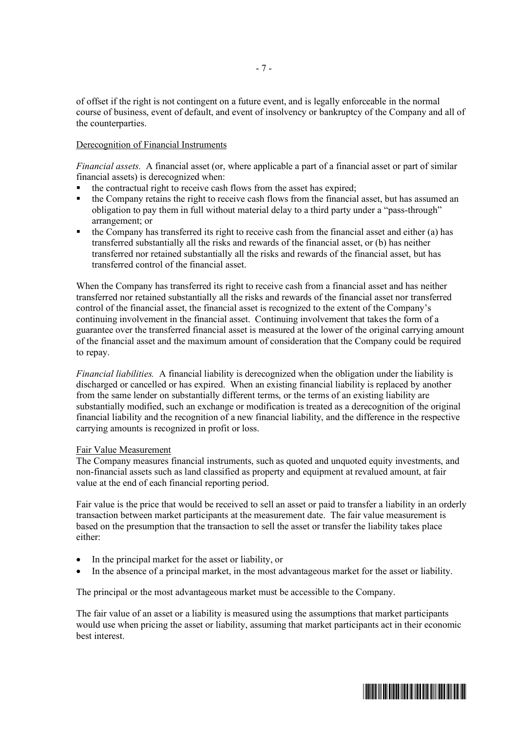of offset if the right is not contingent on a future event, and is legally enforceable in the normal course of business, event of default, and event of insolvency or bankruptcy of the Company and all of the counterparties.

#### Derecognition of Financial Instruments

*Financial assets.* A financial asset (or, where applicable a part of a financial asset or part of similar financial assets) is derecognized when:

- the contractual right to receive cash flows from the asset has expired;
- the Company retains the right to receive cash flows from the financial asset, but has assumed an obligation to pay them in full without material delay to a third party under a "pass-through" arrangement; or
- the Company has transferred its right to receive cash from the financial asset and either (a) has transferred substantially all the risks and rewards of the financial asset, or (b) has neither transferred nor retained substantially all the risks and rewards of the financial asset, but has transferred control of the financial asset.

When the Company has transferred its right to receive cash from a financial asset and has neither transferred nor retained substantially all the risks and rewards of the financial asset nor transferred control of the financial asset, the financial asset is recognized to the extent of the Company's continuing involvement in the financial asset. Continuing involvement that takes the form of a guarantee over the transferred financial asset is measured at the lower of the original carrying amount of the financial asset and the maximum amount of consideration that the Company could be required to repay.

*Financial liabilities.* A financial liability is derecognized when the obligation under the liability is discharged or cancelled or has expired. When an existing financial liability is replaced by another from the same lender on substantially different terms, or the terms of an existing liability are substantially modified, such an exchange or modification is treated as a derecognition of the original financial liability and the recognition of a new financial liability, and the difference in the respective carrying amounts is recognized in profit or loss.

#### Fair Value Measurement

The Company measures financial instruments, such as quoted and unquoted equity investments, and non-financial assets such as land classified as property and equipment at revalued amount, at fair value at the end of each financial reporting period.

Fair value is the price that would be received to sell an asset or paid to transfer a liability in an orderly transaction between market participants at the measurement date. The fair value measurement is based on the presumption that the transaction to sell the asset or transfer the liability takes place either:

- In the principal market for the asset or liability, or
- In the absence of a principal market, in the most advantageous market for the asset or liability.

The principal or the most advantageous market must be accessible to the Company.

The fair value of an asset or a liability is measured using the assumptions that market participants would use when pricing the asset or liability, assuming that market participants act in their economic best interest.

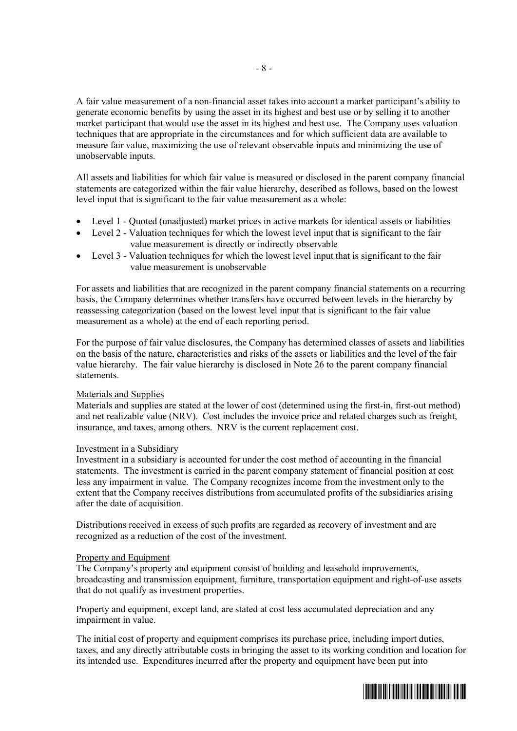A fair value measurement of a non-financial asset takes into account a market participant's ability to generate economic benefits by using the asset in its highest and best use or by selling it to another market participant that would use the asset in its highest and best use. The Company uses valuation techniques that are appropriate in the circumstances and for which sufficient data are available to measure fair value, maximizing the use of relevant observable inputs and minimizing the use of unobservable inputs.

All assets and liabilities for which fair value is measured or disclosed in the parent company financial statements are categorized within the fair value hierarchy, described as follows, based on the lowest level input that is significant to the fair value measurement as a whole:

- Level 1 Quoted (unadjusted) market prices in active markets for identical assets or liabilities
- Level 2 Valuation techniques for which the lowest level input that is significant to the fair value measurement is directly or indirectly observable
- Level 3 Valuation techniques for which the lowest level input that is significant to the fair value measurement is unobservable

For assets and liabilities that are recognized in the parent company financial statements on a recurring basis, the Company determines whether transfers have occurred between levels in the hierarchy by reassessing categorization (based on the lowest level input that is significant to the fair value measurement as a whole) at the end of each reporting period.

For the purpose of fair value disclosures, the Company has determined classes of assets and liabilities on the basis of the nature, characteristics and risks of the assets or liabilities and the level of the fair value hierarchy. The fair value hierarchy is disclosed in Note 26 to the parent company financial statements.

#### Materials and Supplies

Materials and supplies are stated at the lower of cost (determined using the first-in, first-out method) and net realizable value (NRV). Cost includes the invoice price and related charges such as freight, insurance, and taxes, among others. NRV is the current replacement cost.

#### Investment in a Subsidiary

Investment in a subsidiary is accounted for under the cost method of accounting in the financial statements. The investment is carried in the parent company statement of financial position at cost less any impairment in value. The Company recognizes income from the investment only to the extent that the Company receives distributions from accumulated profits of the subsidiaries arising after the date of acquisition.

Distributions received in excess of such profits are regarded as recovery of investment and are recognized as a reduction of the cost of the investment.

#### Property and Equipment

The Company's property and equipment consist of building and leasehold improvements, broadcasting and transmission equipment, furniture, transportation equipment and right-of-use assets that do not qualify as investment properties.

Property and equipment, except land, are stated at cost less accumulated depreciation and any impairment in value.

The initial cost of property and equipment comprises its purchase price, including import duties, taxes, and any directly attributable costs in bringing the asset to its working condition and location for its intended use. Expenditures incurred after the property and equipment have been put into

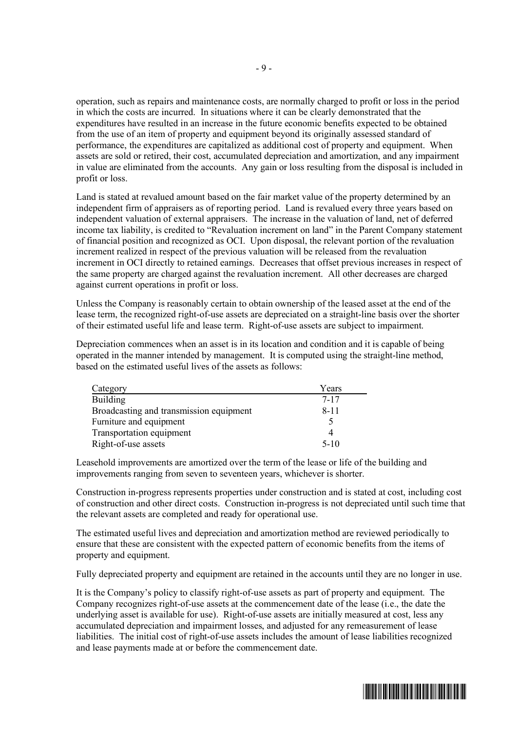operation, such as repairs and maintenance costs, are normally charged to profit or loss in the period in which the costs are incurred. In situations where it can be clearly demonstrated that the expenditures have resulted in an increase in the future economic benefits expected to be obtained from the use of an item of property and equipment beyond its originally assessed standard of performance, the expenditures are capitalized as additional cost of property and equipment. When assets are sold or retired, their cost, accumulated depreciation and amortization, and any impairment in value are eliminated from the accounts. Any gain or loss resulting from the disposal is included in profit or loss.

Land is stated at revalued amount based on the fair market value of the property determined by an independent firm of appraisers as of reporting period. Land is revalued every three years based on independent valuation of external appraisers. The increase in the valuation of land, net of deferred income tax liability, is credited to "Revaluation increment on land" in the Parent Company statement of financial position and recognized as OCI. Upon disposal, the relevant portion of the revaluation increment realized in respect of the previous valuation will be released from the revaluation increment in OCI directly to retained earnings. Decreases that offset previous increases in respect of the same property are charged against the revaluation increment. All other decreases are charged against current operations in profit or loss.

Unless the Company is reasonably certain to obtain ownership of the leased asset at the end of the lease term, the recognized right-of-use assets are depreciated on a straight-line basis over the shorter of their estimated useful life and lease term. Right-of-use assets are subject to impairment.

Depreciation commences when an asset is in its location and condition and it is capable of being operated in the manner intended by management. It is computed using the straight-line method, based on the estimated useful lives of the assets as follows:

| Category                                | Years    |
|-----------------------------------------|----------|
| <b>Building</b>                         | 7-17     |
| Broadcasting and transmission equipment | $8 - 11$ |
| Furniture and equipment                 |          |
| Transportation equipment                |          |
| Right-of-use assets                     | $5-10$   |

Leasehold improvements are amortized over the term of the lease or life of the building and improvements ranging from seven to seventeen years, whichever is shorter.

Construction in-progress represents properties under construction and is stated at cost, including cost of construction and other direct costs. Construction in-progress is not depreciated until such time that the relevant assets are completed and ready for operational use.

The estimated useful lives and depreciation and amortization method are reviewed periodically to ensure that these are consistent with the expected pattern of economic benefits from the items of property and equipment.

Fully depreciated property and equipment are retained in the accounts until they are no longer in use.

It is the Company's policy to classify right-of-use assets as part of property and equipment. The Company recognizes right-of-use assets at the commencement date of the lease (i.e., the date the underlying asset is available for use). Right-of-use assets are initially measured at cost, less any accumulated depreciation and impairment losses, and adjusted for any remeasurement of lease liabilities. The initial cost of right-of-use assets includes the amount of lease liabilities recognized and lease payments made at or before the commencement date.

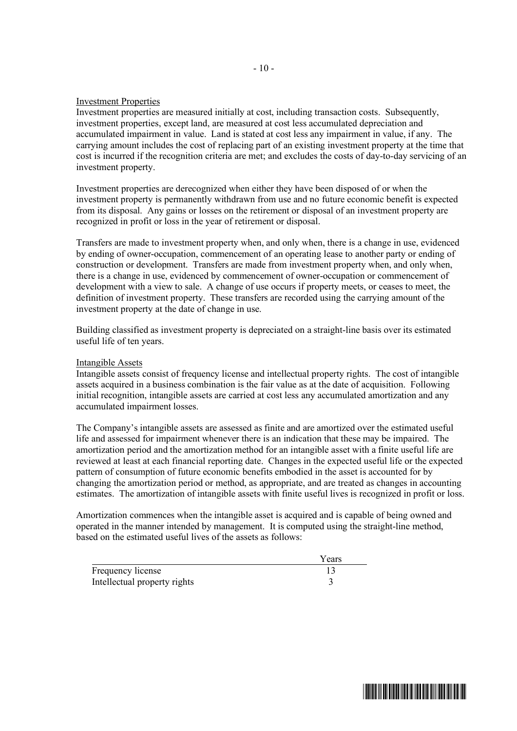#### Investment Properties

Investment properties are measured initially at cost, including transaction costs. Subsequently, investment properties, except land, are measured at cost less accumulated depreciation and accumulated impairment in value. Land is stated at cost less any impairment in value, if any. The carrying amount includes the cost of replacing part of an existing investment property at the time that cost is incurred if the recognition criteria are met; and excludes the costs of day-to-day servicing of an investment property.

Investment properties are derecognized when either they have been disposed of or when the investment property is permanently withdrawn from use and no future economic benefit is expected from its disposal. Any gains or losses on the retirement or disposal of an investment property are recognized in profit or loss in the year of retirement or disposal.

Transfers are made to investment property when, and only when, there is a change in use, evidenced by ending of owner-occupation, commencement of an operating lease to another party or ending of construction or development. Transfers are made from investment property when, and only when, there is a change in use, evidenced by commencement of owner-occupation or commencement of development with a view to sale. A change of use occurs if property meets, or ceases to meet, the definition of investment property. These transfers are recorded using the carrying amount of the investment property at the date of change in use.

Building classified as investment property is depreciated on a straight-line basis over its estimated useful life of ten years.

#### Intangible Assets

Intangible assets consist of frequency license and intellectual property rights. The cost of intangible assets acquired in a business combination is the fair value as at the date of acquisition. Following initial recognition, intangible assets are carried at cost less any accumulated amortization and any accumulated impairment losses.

The Company's intangible assets are assessed as finite and are amortized over the estimated useful life and assessed for impairment whenever there is an indication that these may be impaired. The amortization period and the amortization method for an intangible asset with a finite useful life are reviewed at least at each financial reporting date. Changes in the expected useful life or the expected pattern of consumption of future economic benefits embodied in the asset is accounted for by changing the amortization period or method, as appropriate, and are treated as changes in accounting estimates. The amortization of intangible assets with finite useful lives is recognized in profit or loss.

Amortization commences when the intangible asset is acquired and is capable of being owned and operated in the manner intended by management. It is computed using the straight-line method, based on the estimated useful lives of the assets as follows:

|                              | Years |
|------------------------------|-------|
| Frequency license            |       |
| Intellectual property rights |       |

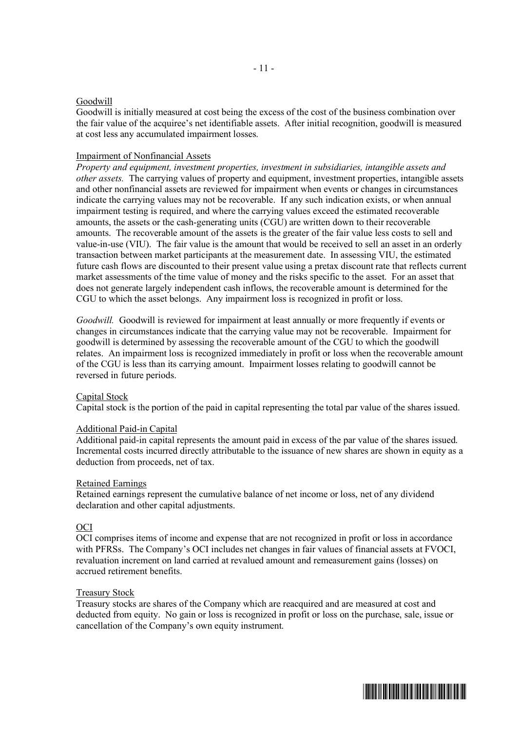#### Goodwill

Goodwill is initially measured at cost being the excess of the cost of the business combination over the fair value of the acquiree's net identifiable assets. After initial recognition, goodwill is measured at cost less any accumulated impairment losses.

#### Impairment of Nonfinancial Assets

*Property and equipment, investment properties, investment in subsidiaries, intangible assets and other assets.* The carrying values of property and equipment, investment properties, intangible assets and other nonfinancial assets are reviewed for impairment when events or changes in circumstances indicate the carrying values may not be recoverable. If any such indication exists, or when annual impairment testing is required, and where the carrying values exceed the estimated recoverable amounts, the assets or the cash-generating units (CGU) are written down to their recoverable amounts. The recoverable amount of the assets is the greater of the fair value less costs to sell and value-in-use (VIU). The fair value is the amount that would be received to sell an asset in an orderly transaction between market participants at the measurement date. In assessing VIU, the estimated future cash flows are discounted to their present value using a pretax discount rate that reflects current market assessments of the time value of money and the risks specific to the asset. For an asset that does not generate largely independent cash inflows, the recoverable amount is determined for the CGU to which the asset belongs. Any impairment loss is recognized in profit or loss.

*Goodwill.* Goodwill is reviewed for impairment at least annually or more frequently if events or changes in circumstances indicate that the carrying value may not be recoverable. Impairment for goodwill is determined by assessing the recoverable amount of the CGU to which the goodwill relates. An impairment loss is recognized immediately in profit or loss when the recoverable amount of the CGU is less than its carrying amount. Impairment losses relating to goodwill cannot be reversed in future periods.

#### Capital Stock

Capital stock is the portion of the paid in capital representing the total par value of the shares issued.

#### Additional Paid-in Capital

Additional paid-in capital represents the amount paid in excess of the par value of the shares issued. Incremental costs incurred directly attributable to the issuance of new shares are shown in equity as a deduction from proceeds, net of tax.

#### Retained Earnings

Retained earnings represent the cumulative balance of net income or loss, net of any dividend declaration and other capital adjustments.

#### OCI

OCI comprises items of income and expense that are not recognized in profit or loss in accordance with PFRSs. The Company's OCI includes net changes in fair values of financial assets at FVOCI, revaluation increment on land carried at revalued amount and remeasurement gains (losses) on accrued retirement benefits.

#### Treasury Stock

Treasury stocks are shares of the Company which are reacquired and are measured at cost and deducted from equity. No gain or loss is recognized in profit or loss on the purchase, sale, issue or cancellation of the Company's own equity instrument.

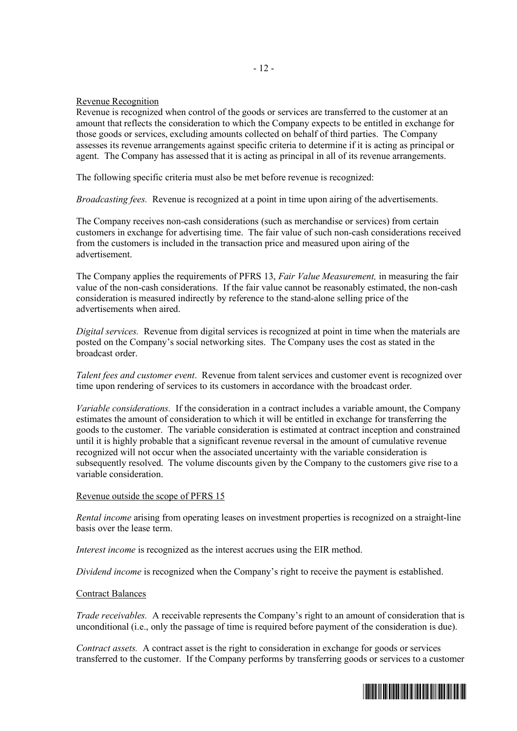#### Revenue Recognition

Revenue is recognized when control of the goods or services are transferred to the customer at an amount that reflects the consideration to which the Company expects to be entitled in exchange for those goods or services, excluding amounts collected on behalf of third parties. The Company assesses its revenue arrangements against specific criteria to determine if it is acting as principal or agent. The Company has assessed that it is acting as principal in all of its revenue arrangements.

The following specific criteria must also be met before revenue is recognized:

*Broadcasting fees.* Revenue is recognized at a point in time upon airing of the advertisements.

The Company receives non-cash considerations (such as merchandise or services) from certain customers in exchange for advertising time. The fair value of such non-cash considerations received from the customers is included in the transaction price and measured upon airing of the advertisement.

The Company applies the requirements of PFRS 13, *Fair Value Measurement,* in measuring the fair value of the non-cash considerations. If the fair value cannot be reasonably estimated, the non-cash consideration is measured indirectly by reference to the stand-alone selling price of the advertisements when aired.

*Digital services.* Revenue from digital services is recognized at point in time when the materials are posted on the Company's social networking sites. The Company uses the cost as stated in the broadcast order.

*Talent fees and customer event*. Revenue from talent services and customer event is recognized over time upon rendering of services to its customers in accordance with the broadcast order.

*Variable considerations.* If the consideration in a contract includes a variable amount, the Company estimates the amount of consideration to which it will be entitled in exchange for transferring the goods to the customer. The variable consideration is estimated at contract inception and constrained until it is highly probable that a significant revenue reversal in the amount of cumulative revenue recognized will not occur when the associated uncertainty with the variable consideration is subsequently resolved. The volume discounts given by the Company to the customers give rise to a variable consideration.

#### Revenue outside the scope of PFRS 15

*Rental income* arising from operating leases on investment properties is recognized on a straight-line basis over the lease term.

*Interest income* is recognized as the interest accrues using the EIR method.

*Dividend income* is recognized when the Company's right to receive the payment is established.

#### Contract Balances

*Trade receivables.* A receivable represents the Company's right to an amount of consideration that is unconditional (i.e., only the passage of time is required before payment of the consideration is due).

*Contract assets.* A contract asset is the right to consideration in exchange for goods or services transferred to the customer. If the Company performs by transferring goods or services to a customer

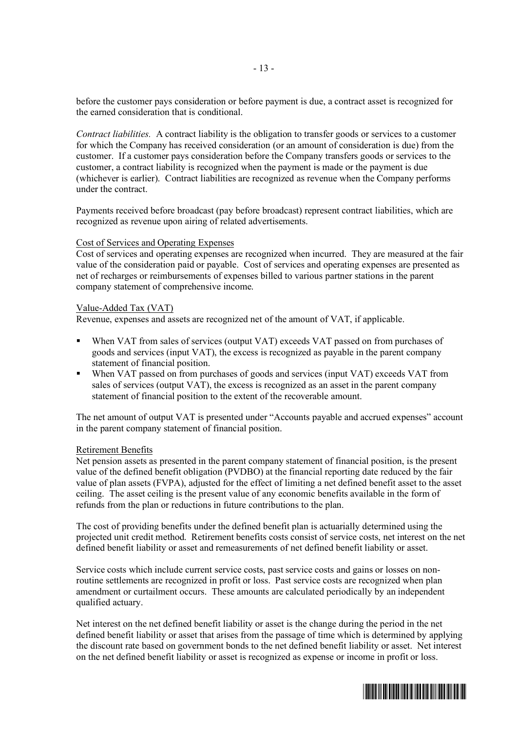before the customer pays consideration or before payment is due, a contract asset is recognized for the earned consideration that is conditional.

*Contract liabilities.* A contract liability is the obligation to transfer goods or services to a customer for which the Company has received consideration (or an amount of consideration is due) from the customer. If a customer pays consideration before the Company transfers goods or services to the customer, a contract liability is recognized when the payment is made or the payment is due (whichever is earlier). Contract liabilities are recognized as revenue when the Company performs under the contract.

Payments received before broadcast (pay before broadcast) represent contract liabilities, which are recognized as revenue upon airing of related advertisements.

#### Cost of Services and Operating Expenses

Cost of services and operating expenses are recognized when incurred. They are measured at the fair value of the consideration paid or payable. Cost of services and operating expenses are presented as net of recharges or reimbursements of expenses billed to various partner stations in the parent company statement of comprehensive income.

#### Value-Added Tax (VAT)

Revenue, expenses and assets are recognized net of the amount of VAT, if applicable.

- When VAT from sales of services (output VAT) exceeds VAT passed on from purchases of goods and services (input VAT), the excess is recognized as payable in the parent company statement of financial position.
- When VAT passed on from purchases of goods and services (input VAT) exceeds VAT from sales of services (output VAT), the excess is recognized as an asset in the parent company statement of financial position to the extent of the recoverable amount.

The net amount of output VAT is presented under "Accounts payable and accrued expenses" account in the parent company statement of financial position.

#### Retirement Benefits

Net pension assets as presented in the parent company statement of financial position, is the present value of the defined benefit obligation (PVDBO) at the financial reporting date reduced by the fair value of plan assets (FVPA), adjusted for the effect of limiting a net defined benefit asset to the asset ceiling. The asset ceiling is the present value of any economic benefits available in the form of refunds from the plan or reductions in future contributions to the plan.

The cost of providing benefits under the defined benefit plan is actuarially determined using the projected unit credit method. Retirement benefits costs consist of service costs, net interest on the net defined benefit liability or asset and remeasurements of net defined benefit liability or asset.

Service costs which include current service costs, past service costs and gains or losses on nonroutine settlements are recognized in profit or loss. Past service costs are recognized when plan amendment or curtailment occurs. These amounts are calculated periodically by an independent qualified actuary.

Net interest on the net defined benefit liability or asset is the change during the period in the net defined benefit liability or asset that arises from the passage of time which is determined by applying the discount rate based on government bonds to the net defined benefit liability or asset. Net interest on the net defined benefit liability or asset is recognized as expense or income in profit or loss.

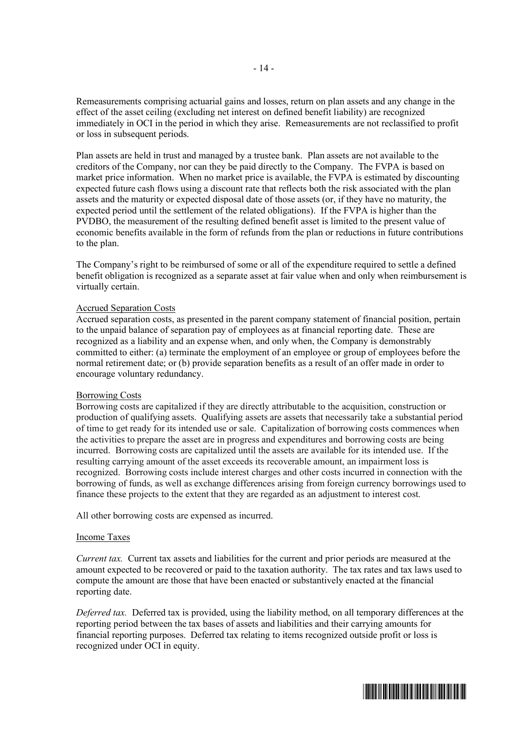Remeasurements comprising actuarial gains and losses, return on plan assets and any change in the effect of the asset ceiling (excluding net interest on defined benefit liability) are recognized immediately in OCI in the period in which they arise. Remeasurements are not reclassified to profit or loss in subsequent periods.

Plan assets are held in trust and managed by a trustee bank. Plan assets are not available to the creditors of the Company, nor can they be paid directly to the Company. The FVPA is based on market price information. When no market price is available, the FVPA is estimated by discounting expected future cash flows using a discount rate that reflects both the risk associated with the plan assets and the maturity or expected disposal date of those assets (or, if they have no maturity, the expected period until the settlement of the related obligations). If the FVPA is higher than the PVDBO, the measurement of the resulting defined benefit asset is limited to the present value of economic benefits available in the form of refunds from the plan or reductions in future contributions to the plan.

The Company's right to be reimbursed of some or all of the expenditure required to settle a defined benefit obligation is recognized as a separate asset at fair value when and only when reimbursement is virtually certain.

#### Accrued Separation Costs

Accrued separation costs, as presented in the parent company statement of financial position, pertain to the unpaid balance of separation pay of employees as at financial reporting date. These are recognized as a liability and an expense when, and only when, the Company is demonstrably committed to either: (a) terminate the employment of an employee or group of employees before the normal retirement date; or (b) provide separation benefits as a result of an offer made in order to encourage voluntary redundancy.

#### Borrowing Costs

Borrowing costs are capitalized if they are directly attributable to the acquisition, construction or production of qualifying assets. Qualifying assets are assets that necessarily take a substantial period of time to get ready for its intended use or sale. Capitalization of borrowing costs commences when the activities to prepare the asset are in progress and expenditures and borrowing costs are being incurred. Borrowing costs are capitalized until the assets are available for its intended use. If the resulting carrying amount of the asset exceeds its recoverable amount, an impairment loss is recognized. Borrowing costs include interest charges and other costs incurred in connection with the borrowing of funds, as well as exchange differences arising from foreign currency borrowings used to finance these projects to the extent that they are regarded as an adjustment to interest cost.

All other borrowing costs are expensed as incurred.

#### Income Taxes

*Current tax.* Current tax assets and liabilities for the current and prior periods are measured at the amount expected to be recovered or paid to the taxation authority. The tax rates and tax laws used to compute the amount are those that have been enacted or substantively enacted at the financial reporting date.

*Deferred tax.* Deferred tax is provided, using the liability method, on all temporary differences at the reporting period between the tax bases of assets and liabilities and their carrying amounts for financial reporting purposes. Deferred tax relating to items recognized outside profit or loss is recognized under OCI in equity.

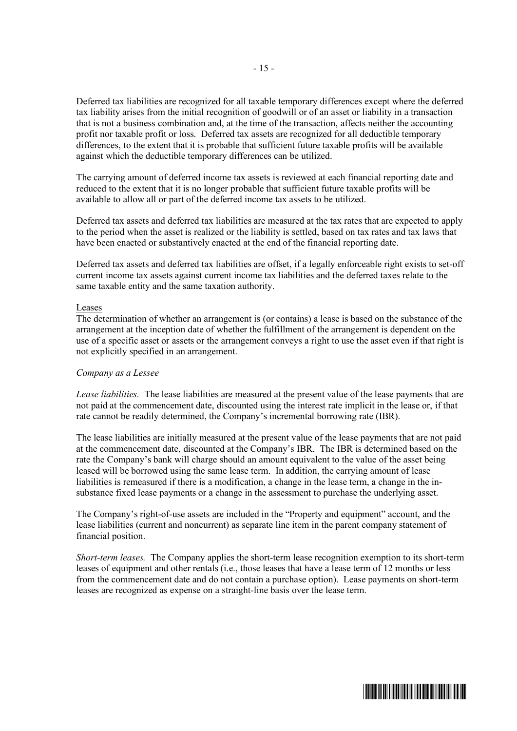Deferred tax liabilities are recognized for all taxable temporary differences except where the deferred tax liability arises from the initial recognition of goodwill or of an asset or liability in a transaction that is not a business combination and, at the time of the transaction, affects neither the accounting profit nor taxable profit or loss. Deferred tax assets are recognized for all deductible temporary differences, to the extent that it is probable that sufficient future taxable profits will be available against which the deductible temporary differences can be utilized.

The carrying amount of deferred income tax assets is reviewed at each financial reporting date and reduced to the extent that it is no longer probable that sufficient future taxable profits will be available to allow all or part of the deferred income tax assets to be utilized.

Deferred tax assets and deferred tax liabilities are measured at the tax rates that are expected to apply to the period when the asset is realized or the liability is settled, based on tax rates and tax laws that have been enacted or substantively enacted at the end of the financial reporting date.

Deferred tax assets and deferred tax liabilities are offset, if a legally enforceable right exists to set-off current income tax assets against current income tax liabilities and the deferred taxes relate to the same taxable entity and the same taxation authority.

#### Leases

The determination of whether an arrangement is (or contains) a lease is based on the substance of the arrangement at the inception date of whether the fulfillment of the arrangement is dependent on the use of a specific asset or assets or the arrangement conveys a right to use the asset even if that right is not explicitly specified in an arrangement.

#### *Company as a Lessee*

*Lease liabilities.* The lease liabilities are measured at the present value of the lease payments that are not paid at the commencement date, discounted using the interest rate implicit in the lease or, if that rate cannot be readily determined, the Company's incremental borrowing rate (IBR).

The lease liabilities are initially measured at the present value of the lease payments that are not paid at the commencement date, discounted at the Company's IBR. The IBR is determined based on the rate the Company's bank will charge should an amount equivalent to the value of the asset being leased will be borrowed using the same lease term. In addition, the carrying amount of lease liabilities is remeasured if there is a modification, a change in the lease term, a change in the insubstance fixed lease payments or a change in the assessment to purchase the underlying asset.

The Company's right-of-use assets are included in the "Property and equipment" account, and the lease liabilities (current and noncurrent) as separate line item in the parent company statement of financial position.

*Short-term leases.* The Company applies the short-term lease recognition exemption to its short-term leases of equipment and other rentals (i.e., those leases that have a lease term of 12 months or less from the commencement date and do not contain a purchase option). Lease payments on short-term leases are recognized as expense on a straight-line basis over the lease term.

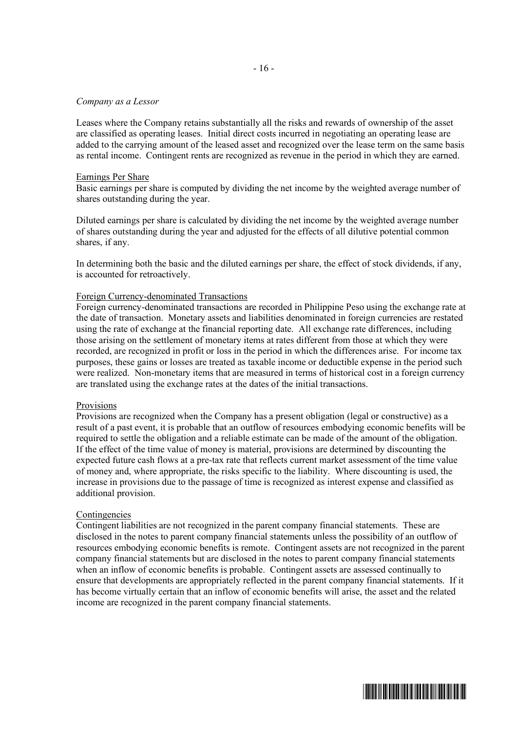#### *Company as a Lessor*

Leases where the Company retains substantially all the risks and rewards of ownership of the asset are classified as operating leases. Initial direct costs incurred in negotiating an operating lease are added to the carrying amount of the leased asset and recognized over the lease term on the same basis as rental income. Contingent rents are recognized as revenue in the period in which they are earned.

#### Earnings Per Share

Basic earnings per share is computed by dividing the net income by the weighted average number of shares outstanding during the year.

Diluted earnings per share is calculated by dividing the net income by the weighted average number of shares outstanding during the year and adjusted for the effects of all dilutive potential common shares, if any.

In determining both the basic and the diluted earnings per share, the effect of stock dividends, if any, is accounted for retroactively.

#### Foreign Currency-denominated Transactions

Foreign currency-denominated transactions are recorded in Philippine Peso using the exchange rate at the date of transaction. Monetary assets and liabilities denominated in foreign currencies are restated using the rate of exchange at the financial reporting date. All exchange rate differences, including those arising on the settlement of monetary items at rates different from those at which they were recorded, are recognized in profit or loss in the period in which the differences arise. For income tax purposes, these gains or losses are treated as taxable income or deductible expense in the period such were realized. Non-monetary items that are measured in terms of historical cost in a foreign currency are translated using the exchange rates at the dates of the initial transactions.

#### Provisions

Provisions are recognized when the Company has a present obligation (legal or constructive) as a result of a past event, it is probable that an outflow of resources embodying economic benefits will be required to settle the obligation and a reliable estimate can be made of the amount of the obligation. If the effect of the time value of money is material, provisions are determined by discounting the expected future cash flows at a pre-tax rate that reflects current market assessment of the time value of money and, where appropriate, the risks specific to the liability. Where discounting is used, the increase in provisions due to the passage of time is recognized as interest expense and classified as additional provision.

#### **Contingencies**

Contingent liabilities are not recognized in the parent company financial statements. These are disclosed in the notes to parent company financial statements unless the possibility of an outflow of resources embodying economic benefits is remote. Contingent assets are not recognized in the parent company financial statements but are disclosed in the notes to parent company financial statements when an inflow of economic benefits is probable. Contingent assets are assessed continually to ensure that developments are appropriately reflected in the parent company financial statements. If it has become virtually certain that an inflow of economic benefits will arise, the asset and the related income are recognized in the parent company financial statements.

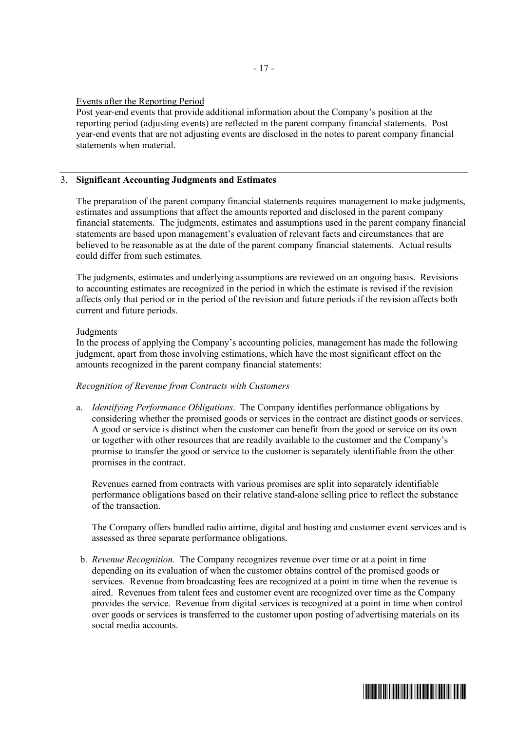# - 17 -

#### Events after the Reporting Period

Post year-end events that provide additional information about the Company's position at the reporting period (adjusting events) are reflected in the parent company financial statements. Post year-end events that are not adjusting events are disclosed in the notes to parent company financial statements when material.

#### 3. **Significant Accounting Judgments and Estimates**

The preparation of the parent company financial statements requires management to make judgments, estimates and assumptions that affect the amounts reported and disclosed in the parent company financial statements. The judgments, estimates and assumptions used in the parent company financial statements are based upon management's evaluation of relevant facts and circumstances that are believed to be reasonable as at the date of the parent company financial statements. Actual results could differ from such estimates.

The judgments, estimates and underlying assumptions are reviewed on an ongoing basis. Revisions to accounting estimates are recognized in the period in which the estimate is revised if the revision affects only that period or in the period of the revision and future periods if the revision affects both current and future periods.

#### Judgments

In the process of applying the Company's accounting policies, management has made the following judgment, apart from those involving estimations, which have the most significant effect on the amounts recognized in the parent company financial statements:

#### *Recognition of Revenue from Contracts with Customers*

a. *Identifying Performance Obligations*. The Company identifies performance obligations by considering whether the promised goods or services in the contract are distinct goods or services. A good or service is distinct when the customer can benefit from the good or service on its own or together with other resources that are readily available to the customer and the Company's promise to transfer the good or service to the customer is separately identifiable from the other promises in the contract.

Revenues earned from contracts with various promises are split into separately identifiable performance obligations based on their relative stand-alone selling price to reflect the substance of the transaction.

The Company offers bundled radio airtime, digital and hosting and customer event services and is assessed as three separate performance obligations.

b. *Revenue Recognition.* The Company recognizes revenue over time or at a point in time depending on its evaluation of when the customer obtains control of the promised goods or services. Revenue from broadcasting fees are recognized at a point in time when the revenue is aired. Revenues from talent fees and customer event are recognized over time as the Company provides the service. Revenue from digital services is recognized at a point in time when control over goods or services is transferred to the customer upon posting of advertising materials on its social media accounts.

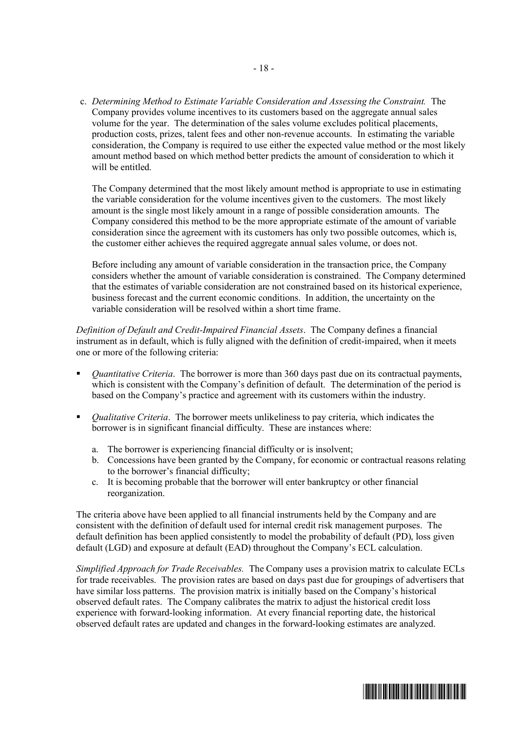c. *Determining Method to Estimate Variable Consideration and Assessing the Constraint.* The Company provides volume incentives to its customers based on the aggregate annual sales volume for the year. The determination of the sales volume excludes political placements, production costs, prizes, talent fees and other non-revenue accounts. In estimating the variable consideration, the Company is required to use either the expected value method or the most likely amount method based on which method better predicts the amount of consideration to which it will be entitled.

The Company determined that the most likely amount method is appropriate to use in estimating the variable consideration for the volume incentives given to the customers. The most likely amount is the single most likely amount in a range of possible consideration amounts. The Company considered this method to be the more appropriate estimate of the amount of variable consideration since the agreement with its customers has only two possible outcomes, which is, the customer either achieves the required aggregate annual sales volume, or does not.

Before including any amount of variable consideration in the transaction price, the Company considers whether the amount of variable consideration is constrained. The Company determined that the estimates of variable consideration are not constrained based on its historical experience, business forecast and the current economic conditions. In addition, the uncertainty on the variable consideration will be resolved within a short time frame.

*Definition of Default and Credit-Impaired Financial Assets*. The Company defines a financial instrument as in default, which is fully aligned with the definition of credit-impaired, when it meets one or more of the following criteria:

- *Quantitative Criteria*. The borrower is more than 360 days past due on its contractual payments, which is consistent with the Company's definition of default. The determination of the period is based on the Company's practice and agreement with its customers within the industry.
- *Qualitative Criteria*. The borrower meets unlikeliness to pay criteria, which indicates the borrower is in significant financial difficulty. These are instances where:
	- a. The borrower is experiencing financial difficulty or is insolvent;
	- b. Concessions have been granted by the Company, for economic or contractual reasons relating to the borrower's financial difficulty;
	- c. It is becoming probable that the borrower will enter bankruptcy or other financial reorganization.

The criteria above have been applied to all financial instruments held by the Company and are consistent with the definition of default used for internal credit risk management purposes. The default definition has been applied consistently to model the probability of default (PD), loss given default (LGD) and exposure at default (EAD) throughout the Company's ECL calculation.

*Simplified Approach for Trade Receivables.* The Company uses a provision matrix to calculate ECLs for trade receivables. The provision rates are based on days past due for groupings of advertisers that have similar loss patterns. The provision matrix is initially based on the Company's historical observed default rates. The Company calibrates the matrix to adjust the historical credit loss experience with forward-looking information. At every financial reporting date, the historical observed default rates are updated and changes in the forward-looking estimates are analyzed.

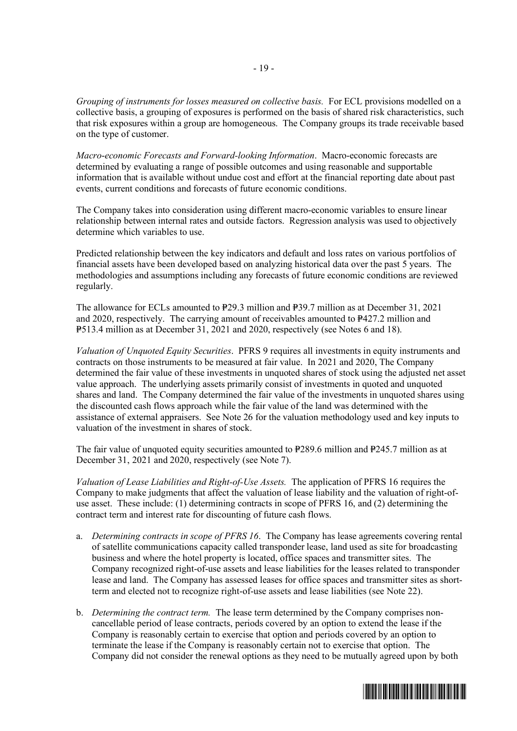*Grouping of instruments for losses measured on collective basis.* For ECL provisions modelled on a collective basis, a grouping of exposures is performed on the basis of shared risk characteristics, such that risk exposures within a group are homogeneous. The Company groups its trade receivable based on the type of customer.

*Macro*-*economic Forecasts and Forward-looking Information*. Macro-economic forecasts are determined by evaluating a range of possible outcomes and using reasonable and supportable information that is available without undue cost and effort at the financial reporting date about past events, current conditions and forecasts of future economic conditions.

The Company takes into consideration using different macro-economic variables to ensure linear relationship between internal rates and outside factors. Regression analysis was used to objectively determine which variables to use.

Predicted relationship between the key indicators and default and loss rates on various portfolios of financial assets have been developed based on analyzing historical data over the past 5 years. The methodologies and assumptions including any forecasts of future economic conditions are reviewed regularly.

The allowance for ECLs amounted to  $P29.3$  million and P39.7 million as at December 31, 2021 and 2020, respectively. The carrying amount of receivables amounted to  $\frac{P427.2}{P}$  million and P513.4 million as at December 31, 2021 and 2020, respectively (see Notes 6 and 18).

*Valuation of Unquoted Equity Securities*. PFRS 9 requires all investments in equity instruments and contracts on those instruments to be measured at fair value. In 2021 and 2020, The Company determined the fair value of these investments in unquoted shares of stock using the adjusted net asset value approach. The underlying assets primarily consist of investments in quoted and unquoted shares and land. The Company determined the fair value of the investments in unquoted shares using the discounted cash flows approach while the fair value of the land was determined with the assistance of external appraisers. See Note 26 for the valuation methodology used and key inputs to valuation of the investment in shares of stock.

The fair value of unquoted equity securities amounted to  $P289.6$  million and  $P245.7$  million as at December 31, 2021 and 2020, respectively (see Note 7).

*Valuation of Lease Liabilities and Right-of-Use Assets.* The application of PFRS 16 requires the Company to make judgments that affect the valuation of lease liability and the valuation of right-ofuse asset. These include: (1) determining contracts in scope of PFRS 16, and (2) determining the contract term and interest rate for discounting of future cash flows.

- a. *Determining contracts in scope of PFRS 16*. The Company has lease agreements covering rental of satellite communications capacity called transponder lease, land used as site for broadcasting business and where the hotel property is located, office spaces and transmitter sites. The Company recognized right-of-use assets and lease liabilities for the leases related to transponder lease and land. The Company has assessed leases for office spaces and transmitter sites as shortterm and elected not to recognize right-of-use assets and lease liabilities (see Note 22).
- b. *Determining the contract term.* The lease term determined by the Company comprises noncancellable period of lease contracts, periods covered by an option to extend the lease if the Company is reasonably certain to exercise that option and periods covered by an option to terminate the lease if the Company is reasonably certain not to exercise that option. The Company did not consider the renewal options as they need to be mutually agreed upon by both

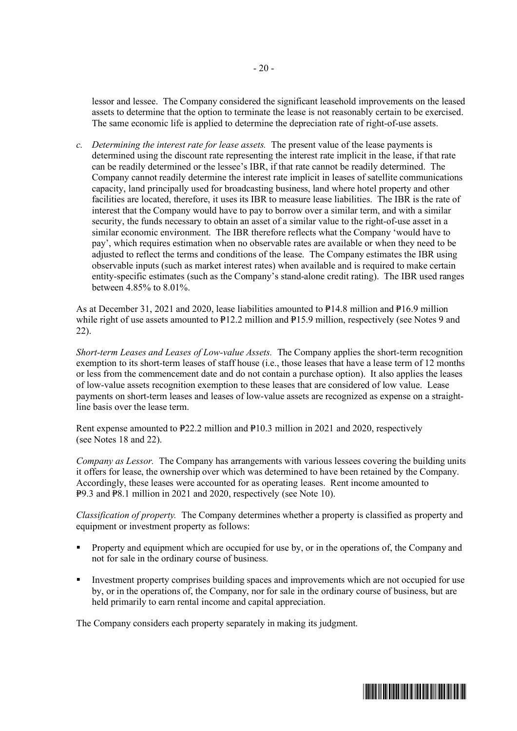lessor and lessee. The Company considered the significant leasehold improvements on the leased assets to determine that the option to terminate the lease is not reasonably certain to be exercised. The same economic life is applied to determine the depreciation rate of right-of-use assets.

*c. Determining the interest rate for lease assets.* The present value of the lease payments is determined using the discount rate representing the interest rate implicit in the lease, if that rate can be readily determined or the lessee's IBR, if that rate cannot be readily determined. The Company cannot readily determine the interest rate implicit in leases of satellite communications capacity, land principally used for broadcasting business, land where hotel property and other facilities are located, therefore, it uses its IBR to measure lease liabilities. The IBR is the rate of interest that the Company would have to pay to borrow over a similar term, and with a similar security, the funds necessary to obtain an asset of a similar value to the right-of-use asset in a similar economic environment. The IBR therefore reflects what the Company 'would have to pay', which requires estimation when no observable rates are available or when they need to be adjusted to reflect the terms and conditions of the lease. The Company estimates the IBR using observable inputs (such as market interest rates) when available and is required to make certain entity-specific estimates (such as the Company's stand-alone credit rating). The IBR used ranges between 4.85% to 8.01%.

As at December 31, 2021 and 2020, lease liabilities amounted to  $P14.8$  million and  $P16.9$  million while right of use assets amounted to  $P12.2$  million and  $P15.9$  million, respectively (see Notes 9 and 22).

*Short-term Leases and Leases of Low-value Assets.* The Company applies the short-term recognition exemption to its short-term leases of staff house (i.e., those leases that have a lease term of 12 months or less from the commencement date and do not contain a purchase option). It also applies the leases of low-value assets recognition exemption to these leases that are considered of low value. Lease payments on short-term leases and leases of low-value assets are recognized as expense on a straightline basis over the lease term.

Rent expense amounted to  $E22.2$  million and  $E10.3$  million in 2021 and 2020, respectively (see Notes 18 and 22).

*Company as Lessor.* The Company has arrangements with various lessees covering the building units it offers for lease, the ownership over which was determined to have been retained by the Company. Accordingly, these leases were accounted for as operating leases. Rent income amounted to  $P9.3$  and  $P8.1$  million in 2021 and 2020, respectively (see Note 10).

*Classification of property.* The Company determines whether a property is classified as property and equipment or investment property as follows:

- Property and equipment which are occupied for use by, or in the operations of, the Company and not for sale in the ordinary course of business.
- Investment property comprises building spaces and improvements which are not occupied for use by, or in the operations of, the Company, nor for sale in the ordinary course of business, but are held primarily to earn rental income and capital appreciation.

The Company considers each property separately in making its judgment.

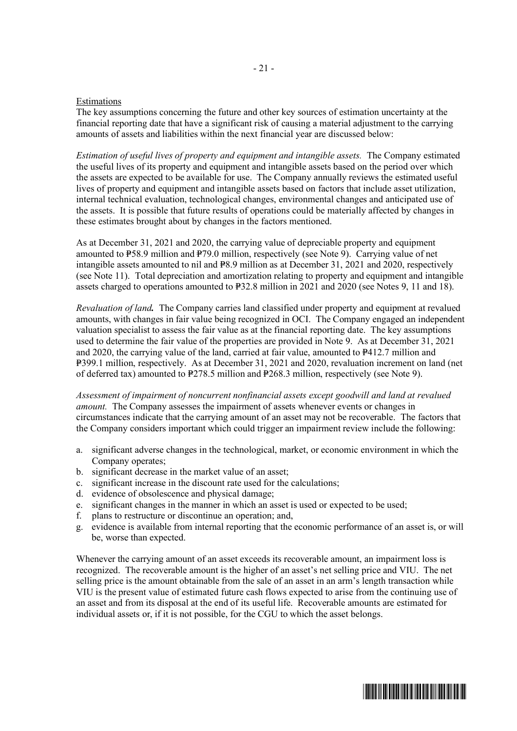#### Estimations

The key assumptions concerning the future and other key sources of estimation uncertainty at the financial reporting date that have a significant risk of causing a material adjustment to the carrying amounts of assets and liabilities within the next financial year are discussed below:

*Estimation of useful lives of property and equipment and intangible assets.* The Company estimated the useful lives of its property and equipment and intangible assets based on the period over which the assets are expected to be available for use. The Company annually reviews the estimated useful lives of property and equipment and intangible assets based on factors that include asset utilization, internal technical evaluation, technological changes, environmental changes and anticipated use of the assets. It is possible that future results of operations could be materially affected by changes in these estimates brought about by changes in the factors mentioned.

As at December 31, 2021 and 2020, the carrying value of depreciable property and equipment amounted to  $P58.9$  million and  $P79.0$  million, respectively (see Note 9). Carrying value of net intangible assets amounted to nil and  $\frac{1}{28.9}$  million as at December 31, 2021 and 2020, respectively (see Note 11). Total depreciation and amortization relating to property and equipment and intangible assets charged to operations amounted to  $P32.8$  million in 2021 and 2020 (see Notes 9, 11 and 18).

*Revaluation of land.* The Company carries land classified under property and equipment at revalued amounts, with changes in fair value being recognized in OCI. The Company engaged an independent valuation specialist to assess the fair value as at the financial reporting date. The key assumptions used to determine the fair value of the properties are provided in Note 9. As at December 31, 2021 and 2020, the carrying value of the land, carried at fair value, amounted to  $E412.7$  million and P=399.1 million, respectively. As at December 31, 2021 and 2020, revaluation increment on land (net of deferred tax) amounted to P278.5 million and P268.3 million, respectively (see Note 9).

*Assessment of impairment of noncurrent nonfinancial assets except goodwill and land at revalued amount.* The Company assesses the impairment of assets whenever events or changes in circumstances indicate that the carrying amount of an asset may not be recoverable. The factors that the Company considers important which could trigger an impairment review include the following:

- a. significant adverse changes in the technological, market, or economic environment in which the Company operates;
- b. significant decrease in the market value of an asset;
- c. significant increase in the discount rate used for the calculations;
- d. evidence of obsolescence and physical damage;
- e. significant changes in the manner in which an asset is used or expected to be used;
- f. plans to restructure or discontinue an operation; and,
- g. evidence is available from internal reporting that the economic performance of an asset is, or will be, worse than expected.

Whenever the carrying amount of an asset exceeds its recoverable amount, an impairment loss is recognized. The recoverable amount is the higher of an asset's net selling price and VIU. The net selling price is the amount obtainable from the sale of an asset in an arm's length transaction while VIU is the present value of estimated future cash flows expected to arise from the continuing use of an asset and from its disposal at the end of its useful life. Recoverable amounts are estimated for individual assets or, if it is not possible, for the CGU to which the asset belongs.

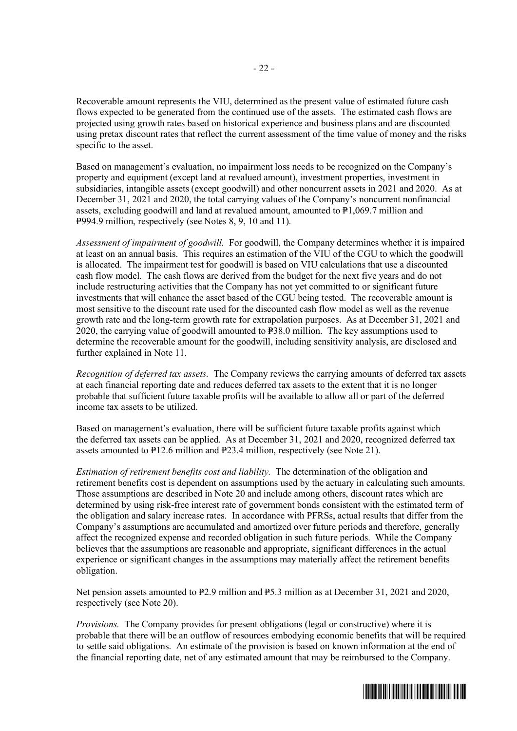Recoverable amount represents the VIU, determined as the present value of estimated future cash flows expected to be generated from the continued use of the assets. The estimated cash flows are projected using growth rates based on historical experience and business plans and are discounted using pretax discount rates that reflect the current assessment of the time value of money and the risks specific to the asset.

Based on management's evaluation, no impairment loss needs to be recognized on the Company's property and equipment (except land at revalued amount), investment properties, investment in subsidiaries, intangible assets (except goodwill) and other noncurrent assets in 2021 and 2020. As at December 31, 2021 and 2020, the total carrying values of the Company's noncurrent nonfinancial assets, excluding goodwill and land at revalued amount, amounted to  $P1,069.7$  million and  $P994.9$  million, respectively (see Notes 8, 9, 10 and 11).

*Assessment of impairment of goodwill.* For goodwill, the Company determines whether it is impaired at least on an annual basis. This requires an estimation of the VIU of the CGU to which the goodwill is allocated. The impairment test for goodwill is based on VIU calculations that use a discounted cash flow model. The cash flows are derived from the budget for the next five years and do not include restructuring activities that the Company has not yet committed to or significant future investments that will enhance the asset based of the CGU being tested. The recoverable amount is most sensitive to the discount rate used for the discounted cash flow model as well as the revenue growth rate and the long-term growth rate for extrapolation purposes. As at December 31, 2021 and 2020, the carrying value of goodwill amounted to  $\overline{P}38.0$  million. The key assumptions used to determine the recoverable amount for the goodwill, including sensitivity analysis, are disclosed and further explained in Note 11.

*Recognition of deferred tax assets.* The Company reviews the carrying amounts of deferred tax assets at each financial reporting date and reduces deferred tax assets to the extent that it is no longer probable that sufficient future taxable profits will be available to allow all or part of the deferred income tax assets to be utilized.

Based on management's evaluation, there will be sufficient future taxable profits against which the deferred tax assets can be applied. As at December 31, 2021 and 2020, recognized deferred tax assets amounted to  $P12.6$  million and  $P23.4$  million, respectively (see Note 21).

*Estimation of retirement benefits cost and liability.* The determination of the obligation and retirement benefits cost is dependent on assumptions used by the actuary in calculating such amounts. Those assumptions are described in Note 20 and include among others, discount rates which are determined by using risk-free interest rate of government bonds consistent with the estimated term of the obligation and salary increase rates. In accordance with PFRSs, actual results that differ from the Company's assumptions are accumulated and amortized over future periods and therefore, generally affect the recognized expense and recorded obligation in such future periods. While the Company believes that the assumptions are reasonable and appropriate, significant differences in the actual experience or significant changes in the assumptions may materially affect the retirement benefits obligation.

Net pension assets amounted to  $P2.9$  million and  $P5.3$  million as at December 31, 2021 and 2020, respectively (see Note 20).

*Provisions.* The Company provides for present obligations (legal or constructive) where it is probable that there will be an outflow of resources embodying economic benefits that will be required to settle said obligations. An estimate of the provision is based on known information at the end of the financial reporting date, net of any estimated amount that may be reimbursed to the Company.

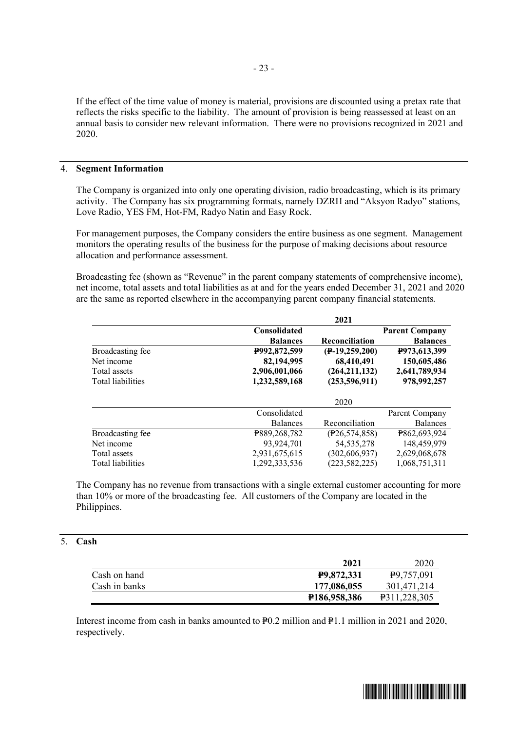If the effect of the time value of money is material, provisions are discounted using a pretax rate that reflects the risks specific to the liability. The amount of provision is being reassessed at least on an annual basis to consider new relevant information. There were no provisions recognized in 2021 and 2020.

#### 4. **Segment Information**

The Company is organized into only one operating division, radio broadcasting, which is its primary activity. The Company has six programming formats, namely DZRH and "Aksyon Radyo" stations, Love Radio, YES FM, Hot-FM, Radyo Natin and Easy Rock.

For management purposes, the Company considers the entire business as one segment. Management monitors the operating results of the business for the purpose of making decisions about resource allocation and performance assessment.

Broadcasting fee (shown as "Revenue" in the parent company statements of comprehensive income), net income, total assets and total liabilities as at and for the years ended December 31, 2021 and 2020 are the same as reported elsewhere in the accompanying parent company financial statements.

|                          |                     | 2021             |                       |
|--------------------------|---------------------|------------------|-----------------------|
|                          | <b>Consolidated</b> |                  | <b>Parent Company</b> |
|                          | <b>Balances</b>     | Reconciliation   | <b>Balances</b>       |
| Broadcasting fee         | P992,872,599        | $(F-19,259,200)$ | P973,613,399          |
| Net income               | 82,194,995          | 68,410,491       | 150,605,486           |
| Total assets             | 2,906,001,066       | (264, 211, 132)  | 2,641,789,934         |
| <b>Total liabilities</b> | 1,232,589,168       | (253,596,911)    | 978,992,257           |
|                          |                     | 2020             |                       |
|                          | Consolidated        |                  | Parent Company        |
|                          | <b>Balances</b>     | Reconciliation   | <b>Balances</b>       |
| Broadcasting fee         | P889,268,782        | (P26, 574, 858)  | P862,693,924          |
| Net income               | 93,924,701          | 54, 535, 278     | 148,459,979           |
| Total assets             | 2,931,675,615       | (302, 606, 937)  | 2,629,068,678         |
| Total liabilities        | 1.292.333.536       | (223, 582, 225)  | 1.068.751.311         |

The Company has no revenue from transactions with a single external customer accounting for more than 10% or more of the broadcasting fee. All customers of the Company are located in the Philippines.

#### 5. **Cash**

|               | 2021                     | 2020                    |
|---------------|--------------------------|-------------------------|
| Cash on hand  | P <sub>9</sub> ,872,331  | P <sub>9</sub> ,757,091 |
| Cash in banks | 177,086,055              | 301,471,214             |
|               | P <sub>186,958,386</sub> | P311,228,305            |

Interest income from cash in banks amounted to  $P=0.2$  million and P1.1 million in 2021 and 2020, respectively.

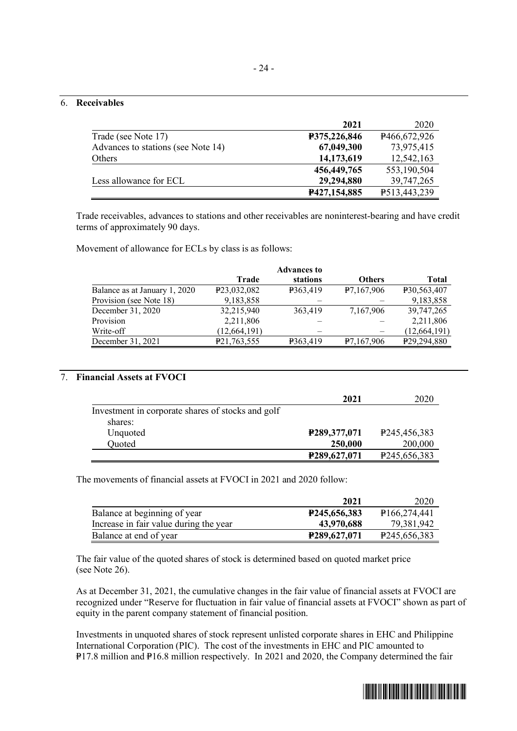#### 6. **Receivables**

|                                    | 2021                | 2020         |
|------------------------------------|---------------------|--------------|
| Trade (see Note 17)                | <b>P375,226,846</b> | P466,672,926 |
| Advances to stations (see Note 14) | 67,049,300          | 73,975,415   |
| Others                             | 14,173,619          | 12,542,163   |
|                                    | 456,449,765         | 553,190,504  |
| Less allowance for ECL             | 29,294,880          | 39,747,265   |
|                                    | P427,154,885        | P513,443,239 |

Trade receivables, advances to stations and other receivables are noninterest-bearing and have credit terms of approximately 90 days.

Movement of allowance for ECLs by class is as follows:

|                               |                            | <b>Advances to</b> |               |                          |
|-------------------------------|----------------------------|--------------------|---------------|--------------------------|
|                               | Trade                      | stations           | <b>Others</b> | <b>Total</b>             |
| Balance as at January 1, 2020 | P <sub>23</sub> ,032,082   | P363,419           | P7,167,906    | P30,563,407              |
| Provision (see Note 18)       | 9,183,858                  |                    |               | 9,183,858                |
| December 31, 2020             | 32,215,940                 | 363,419            | 7,167,906     | 39,747,265               |
| Provision                     | 2,211,806                  |                    |               | 2,211,806                |
| Write-off                     | (12, 664, 191)             |                    |               | (12, 664, 191)           |
| December 31, 2021             | P <sub>21</sub> , 763, 555 | P363,419           | P7,167,906    | P <sub>29</sub> ,294,880 |

### 7. **Financial Assets at FVOCI**

|                                                   | 2021         | 2020                        |
|---------------------------------------------------|--------------|-----------------------------|
| Investment in corporate shares of stocks and golf |              |                             |
| shares:                                           |              |                             |
| Unquoted                                          | P289,377,071 | P <sub>245</sub> , 456, 383 |
| Ouoted                                            | 250,000      | 200,000                     |
|                                                   | P289,627,071 | P245,656,383                |

The movements of financial assets at FVOCI in 2021 and 2020 follow:

|                                        | 2021                        | 2020                        |
|----------------------------------------|-----------------------------|-----------------------------|
| Balance at beginning of year           | P <sub>245</sub> , 656, 383 | P <sub>166</sub> , 274, 441 |
| Increase in fair value during the year | 43,970,688                  | 79,381,942                  |
| Balance at end of year                 | P <sub>289</sub> , 627, 071 | P <sub>245</sub> , 656, 383 |

The fair value of the quoted shares of stock is determined based on quoted market price (see Note 26).

As at December 31, 2021, the cumulative changes in the fair value of financial assets at FVOCI are recognized under "Reserve for fluctuation in fair value of financial assets at FVOCI" shown as part of equity in the parent company statement of financial position.

Investments in unquoted shares of stock represent unlisted corporate shares in EHC and Philippine International Corporation (PIC). The cost of the investments in EHC and PIC amounted to P17.8 million and P16.8 million respectively. In 2021 and 2020, the Company determined the fair

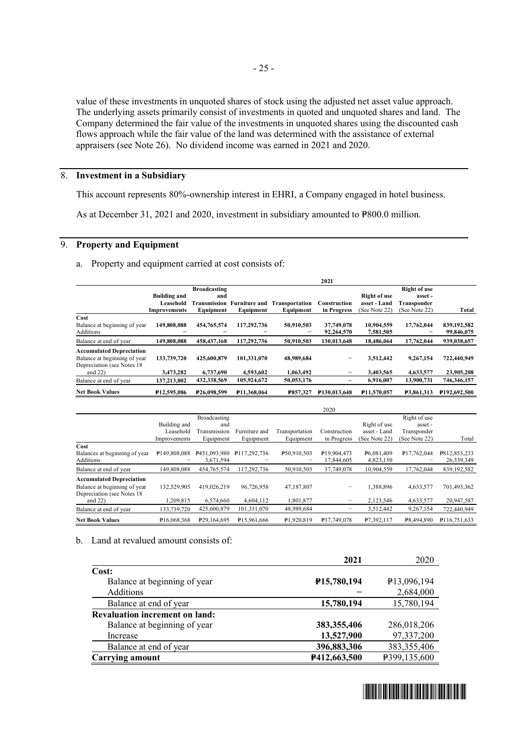value of these investments in unquoted shares of stock using the adjusted net asset value approach. The underlying assets primarily consist of investments in quoted and unquoted shares and land. The Company determined the fair value of the investments in unquoted shares using the discounted cash flows approach while the fair value of the land was determined with the assistance of external appraisers (see Note 26). No dividend income was earned in 2021 and 2020.

#### 8. **Investment in a Subsidiary**

This account represents 80%-ownership interest in EHRI, a Company engaged in hotel business.

As at December 31, 2021 and 2020, investment in subsidiary amounted to  $P800.0$  million.

#### 9. **Property and Equipment**

a. Property and equipment carried at cost consists of:

|                                 |                         |                     |                      |                       | 2021                     |                         |                     |              |
|---------------------------------|-------------------------|---------------------|----------------------|-----------------------|--------------------------|-------------------------|---------------------|--------------|
|                                 |                         | <b>Broadcasting</b> |                      |                       |                          |                         | <b>Right of use</b> |              |
|                                 | <b>Building and</b>     | and                 |                      |                       |                          | <b>Right of use</b>     | asset -             |              |
|                                 | Leasehold               | Transmission        | <b>Furniture and</b> | <b>Transportation</b> | Construction             | asset - Land            | Transponder         |              |
|                                 | Improvements            | Equipment           | Equipment            | Equipment             | in Progress              | (See Note 22)           | (See Note 22)       | Total        |
| Cost                            |                         |                     |                      |                       |                          |                         |                     |              |
| Balance at beginning of year    | 149,808,088             | 454,765,574         | 117,292,736          | 50,910,503            | 37,749,078               | 10.904.559              | 17,762,044          | 839,192,582  |
| Additions                       |                         |                     |                      |                       | 92.264.570               | 7.581.505               | -                   | 99,846,075   |
| Balance at end of year          | 149,808,088             | 458, 437, 168       | 117,292,736          | 50.910.503            | 130.013.648              | 18,486,064              | 17,762,044          | 939,038,657  |
| <b>Accumulated Depreciation</b> |                         |                     |                      |                       |                          |                         |                     |              |
| Balance at beginning of year    | 133,739,720             | 425,600,879         | 101.331.070          | 48.989.684            |                          | 3.512.442               | 9.267.154           | 722,440,949  |
| Depreciation (see Notes 18)     |                         |                     |                      |                       |                          |                         |                     |              |
| and $22$ )                      | 3.473.282               | 6,737,690           | 4.593.602            | 1.063.492             |                          | 3.403.565               | 4,633,577           | 23,905,208   |
| Balance at end of year          | 137,213,002             | 432,338,569         | 105.924.672          | 50,053,176            | -                        | 6,916,007               | 13,900,731          | 746,346,157  |
| <b>Net Book Values</b>          | P <sub>12.595.086</sub> | P26.098.599         | P11.368.064          | <b>P857.327</b>       | P <sub>130.013.648</sub> | P <sub>11.570.057</sub> | <b>P3.861.313</b>   | P192,692,500 |

|                                 |                          |                          |               |                | 2020.        |               |               |              |
|---------------------------------|--------------------------|--------------------------|---------------|----------------|--------------|---------------|---------------|--------------|
|                                 |                          | Broadcasting             |               |                |              |               | Right of use  |              |
|                                 | Building and             | and                      |               |                |              | Right of use  | asset -       |              |
|                                 | Leasehold                | Transmission             | Furniture and | Transportation | Construction | asset - Land  | Transponder   |              |
|                                 | Improvements             | Equipment                | Equipment     | Equipment      | in Progress  | (See Note 22) | (See Note 22) | Total        |
| Cost                            |                          |                          |               |                |              |               |               |              |
| Balances at beginning of year   | P149.808.088             | P451.093.980             | P117.292.736  | P50,910,503    | P19.904.473  | P6,081,409    | P17.762.044   | P812,853,233 |
| Additions                       |                          | 3,671,594                |               |                | 17,844,605   | 4,823,150     |               | 26,339,349   |
| Balance at end of year          | 149,808,088              | 454,765,574              | 117.292.736   | 50.910.503     | 37,749,078   | 10.904.559    | 17.762.044    | 839,192,582  |
| <b>Accumulated Depreciation</b> |                          |                          |               |                |              |               |               |              |
| Balance at beginning of year    | 132,529,905              | 419,026,219              | 96,726,958    | 47,187,807     |              | 1,388,896     | 4,633,577     | 701,493,362  |
| Depreciation (see Notes 18)     |                          |                          |               |                |              |               |               |              |
| and $22$ )                      | 1.209.815                | 6.574.660                | 4,604.112     | 1,801,877      |              | 2.123.546     | 4,633,577     | 20,947,587   |
| Balance at end of year          | 133,739,720              | 425,600,879              | 101,331,070   | 48,989,684     | -            | 3,512,442     | 9,267,154     | 722,440,949  |
| <b>Net Book Values</b>          | P <sub>16</sub> ,068,368 | P <sub>29</sub> .164.695 | P15.961.666   | P1,920,819     | P37.749.078  | P7,392,117    | P8.494.890    | P116,751,633 |

2020

b. Land at revalued amount consists of:

|                                       | 2021          | 2020          |
|---------------------------------------|---------------|---------------|
| Cost:                                 |               |               |
| Balance at beginning of year          | P15,780,194   | P13,096,194   |
| <b>Additions</b>                      |               | 2,684,000     |
| Balance at end of year                | 15,780,194    | 15,780,194    |
| <b>Revaluation increment on land:</b> |               |               |
| Balance at beginning of year          | 383, 355, 406 | 286,018,206   |
| Increase                              | 13,527,900    | 97,337,200    |
| Balance at end of year                | 396,883,306   | 383, 355, 406 |
| <b>Carrying amount</b>                | P412,663,500  | P399,135,600  |

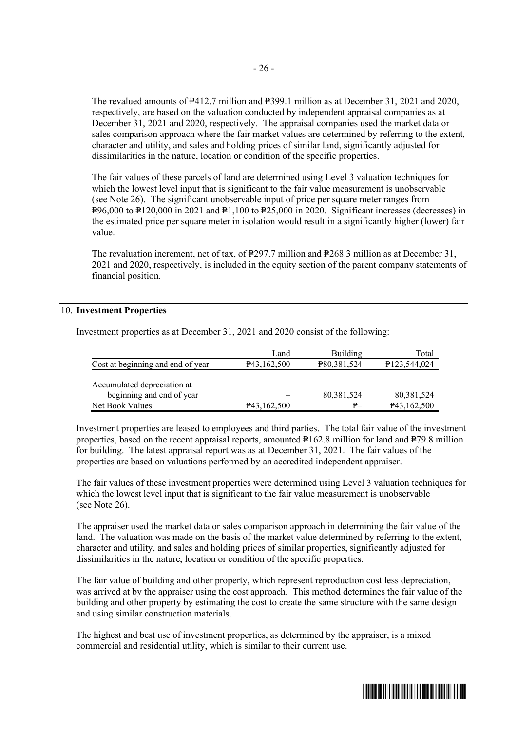The revalued amounts of  $\frac{p412.7 \text{ million and } p399.1 \text{ million as at December 31, } 2021 \text{ and } 2020.$ respectively, are based on the valuation conducted by independent appraisal companies as at December 31, 2021 and 2020, respectively. The appraisal companies used the market data or sales comparison approach where the fair market values are determined by referring to the extent, character and utility, and sales and holding prices of similar land, significantly adjusted for dissimilarities in the nature, location or condition of the specific properties.

The fair values of these parcels of land are determined using Level 3 valuation techniques for which the lowest level input that is significant to the fair value measurement is unobservable (see Note 26). The significant unobservable input of price per square meter ranges from P96,000 to P120,000 in 2021 and P1,100 to P25,000 in 2020. Significant increases (decreases) in the estimated price per square meter in isolation would result in a significantly higher (lower) fair value.

The revaluation increment, net of tax, of  $\text{\texttt{P297.7}}$  million and  $\text{\texttt{P268.3}}$  million as at December 31, 2021 and 2020, respectively, is included in the equity section of the parent company statements of financial position.

#### 10. **Investment Properties**

Investment properties as at December 31, 2021 and 2020 consist of the following:

|                                                          | Land                       | Building     | Total                      |
|----------------------------------------------------------|----------------------------|--------------|----------------------------|
| Cost at beginning and end of year                        | P <sub>43</sub> , 162, 500 | P80,381,524  | P123,544,024               |
| Accumulated depreciation at<br>beginning and end of year |                            | 80, 381, 524 | 80, 381, 524               |
| Net Book Values                                          | P <sub>43</sub> , 162, 500 | ₽            | P <sub>43</sub> , 162, 500 |

Investment properties are leased to employees and third parties. The total fair value of the investment properties, based on the recent appraisal reports, amounted  $P162.8$  million for land and P79.8 million for building. The latest appraisal report was as at December 31, 2021. The fair values of the properties are based on valuations performed by an accredited independent appraiser.

The fair values of these investment properties were determined using Level 3 valuation techniques for which the lowest level input that is significant to the fair value measurement is unobservable (see Note 26).

The appraiser used the market data or sales comparison approach in determining the fair value of the land. The valuation was made on the basis of the market value determined by referring to the extent, character and utility, and sales and holding prices of similar properties, significantly adjusted for dissimilarities in the nature, location or condition of the specific properties.

The fair value of building and other property, which represent reproduction cost less depreciation, was arrived at by the appraiser using the cost approach. This method determines the fair value of the building and other property by estimating the cost to create the same structure with the same design and using similar construction materials.

The highest and best use of investment properties, as determined by the appraiser, is a mixed commercial and residential utility, which is similar to their current use.

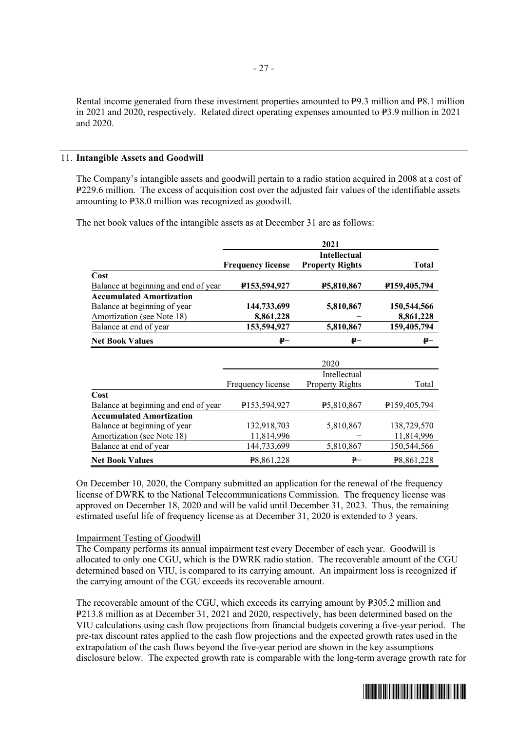Rental income generated from these investment properties amounted to  $P9.3$  million and  $P8.1$  million in 2021 and 2020, respectively. Related direct operating expenses amounted to  $\frac{1}{2}3.9$  million in 2021 and 2020.

#### 11. **Intangible Assets and Goodwill**

The Company's intangible assets and goodwill pertain to a radio station acquired in 2008 at a cost of P229.6 million. The excess of acquisition cost over the adjusted fair values of the identifiable assets amounting to  $P38.0$  million was recognized as goodwill.

The net book values of the intangible assets as at December 31 are as follows:

|                                      |                          | 2021                   |              |
|--------------------------------------|--------------------------|------------------------|--------------|
|                                      |                          | <b>Intellectual</b>    |              |
|                                      | <b>Frequency license</b> | <b>Property Rights</b> | Total        |
| Cost                                 |                          |                        |              |
| Balance at beginning and end of year | P153,594,927             | <b>P5,810,867</b>      | P159,405,794 |
| <b>Accumulated Amortization</b>      |                          |                        |              |
| Balance at beginning of year         | 144,733,699              | 5,810,867              | 150,544,566  |
| Amortization (see Note 18)           | 8,861,228                |                        | 8,861,228    |
| Balance at end of year               | 153,594,927              | 5,810,867              | 159,405,794  |
| <b>Net Book Values</b>               | ₽—                       | ₽—                     | $P-$         |
|                                      |                          |                        |              |
|                                      |                          | 2020                   |              |
|                                      |                          | Intellectual           |              |
|                                      | Frequency license        | <b>Property Rights</b> | Total        |
| Cost                                 |                          |                        |              |
| Balance at beginning and end of year | P153,594,927             | P5,810,867             | P159,405,794 |
| <b>Accumulated Amortization</b>      |                          |                        |              |
| Balance at beginning of year         | 132,918,703              | 5,810,867              | 138,729,570  |
| Amortization (see Note 18)           | 11,814,996               |                        | 11,814,996   |
| Balance at end of year               | 144,733,699              | 5,810,867              | 150,544,566  |

On December 10, 2020, the Company submitted an application for the renewal of the frequency license of DWRK to the National Telecommunications Commission. The frequency license was approved on December 18, 2020 and will be valid until December 31, 2023. Thus, the remaining estimated useful life of frequency license as at December 31, 2020 is extended to 3 years.

**Net Book Values** P=8,861,228 P=8,861,228 P=8,861,228

#### Impairment Testing of Goodwill

The Company performs its annual impairment test every December of each year. Goodwill is allocated to only one CGU, which is the DWRK radio station. The recoverable amount of the CGU determined based on VIU, is compared to its carrying amount. An impairment loss is recognized if the carrying amount of the CGU exceeds its recoverable amount.

The recoverable amount of the CGU, which exceeds its carrying amount by  $P305.2$  million and P213.8 million as at December 31, 2021 and 2020, respectively, has been determined based on the VIU calculations using cash flow projections from financial budgets covering a five-year period. The pre-tax discount rates applied to the cash flow projections and the expected growth rates used in the extrapolation of the cash flows beyond the five-year period are shown in the key assumptions disclosure below. The expected growth rate is comparable with the long-term average growth rate for

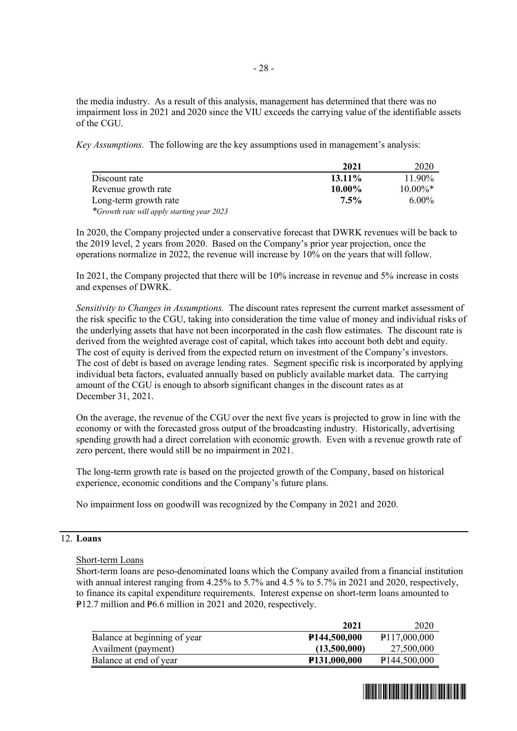the media industry. As a result of this analysis, management has determined that there was no impairment loss in 2021 and 2020 since the VIU exceeds the carrying value of the identifiable assets of the CGU.

*Key Assumptions.* The following are the key assumptions used in management's analysis:

|                                            | 2021      | 2020        |
|--------------------------------------------|-----------|-------------|
| Discount rate                              | $13.11\%$ | 11.90%      |
| Revenue growth rate                        | 10.00%    | $10.00\%$ * |
| Long-term growth rate                      | $7.5\%$   | $6.00\%$    |
| *Growth rate will apply starting year 2023 |           |             |

In 2020, the Company projected under a conservative forecast that DWRK revenues will be back to the 2019 level, 2 years from 2020. Based on the Company's prior year projection, once the operations normalize in 2022, the revenue will increase by 10% on the years that will follow.

In 2021, the Company projected that there will be 10% increase in revenue and 5% increase in costs and expenses of DWRK.

*Sensitivity to Changes in Assumptions.* The discount rates represent the current market assessment of the risk specific to the CGU, taking into consideration the time value of money and individual risks of the underlying assets that have not been incorporated in the cash flow estimates. The discount rate is derived from the weighted average cost of capital, which takes into account both debt and equity. The cost of equity is derived from the expected return on investment of the Company's investors. The cost of debt is based on average lending rates. Segment specific risk is incorporated by applying individual beta factors, evaluated annually based on publicly available market data. The carrying amount of the CGU is enough to absorb significant changes in the discount rates as at December 31, 2021.

On the average, the revenue of the CGU over the next five years is projected to grow in line with the economy or with the forecasted gross output of the broadcasting industry. Historically, advertising spending growth had a direct correlation with economic growth. Even with a revenue growth rate of zero percent, there would still be no impairment in 2021.

The long-term growth rate is based on the projected growth of the Company, based on historical experience, economic conditions and the Company's future plans.

No impairment loss on goodwill was recognized by the Company in 2021 and 2020.

### 12. **Loans**

#### Short-term Loans

Short-term loans are peso-denominated loans which the Company availed from a financial institution with annual interest ranging from 4.25% to 5.7% and 4.5 % to 5.7% in 2021 and 2020, respectively, to finance its capital expenditure requirements. Interest expense on short-term loans amounted to P12.7 million and P6.6 million in 2021 and 2020, respectively.

|                              | 2021                     | 2020                     |
|------------------------------|--------------------------|--------------------------|
| Balance at beginning of year | P <sub>144,500,000</sub> | P117,000,000             |
| Availment (payment)          | (13,500,000)             | 27,500,000               |
| Balance at end of year       | P <sub>131,000,000</sub> | P <sub>144,500,000</sub> |

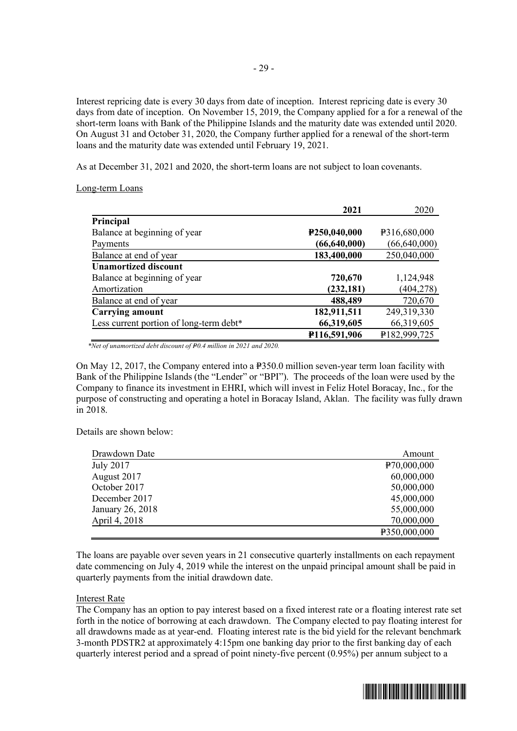Interest repricing date is every 30 days from date of inception. Interest repricing date is every 30 days from date of inception. On November 15, 2019, the Company applied for a for a renewal of the short-term loans with Bank of the Philippine Islands and the maturity date was extended until 2020. On August 31 and October 31, 2020, the Company further applied for a renewal of the short-term loans and the maturity date was extended until February 19, 2021.

As at December 31, 2021 and 2020, the short-term loans are not subject to loan covenants.

#### Long-term Loans

|                                         | 2021           | 2020           |
|-----------------------------------------|----------------|----------------|
| Principal                               |                |                |
| Balance at beginning of year            | P250,040,000   | P316,680,000   |
| Payments                                | (66, 640, 000) | (66, 640, 000) |
| Balance at end of year                  | 183,400,000    | 250,040,000    |
| <b>Unamortized discount</b>             |                |                |
| Balance at beginning of year            | 720,670        | 1,124,948      |
| Amortization                            | (232, 181)     | (404, 278)     |
| Balance at end of year                  | 488,489        | 720,670        |
| <b>Carrying amount</b>                  | 182,911,511    | 249,319,330    |
| Less current portion of long-term debt* | 66,319,605     | 66,319,605     |
|                                         | P116,591,906   | P182,999,725   |

*\*Net of unamortized debt discount of P0.4 million in 2021 and 2020.* 

On May 12, 2017, the Company entered into a  $\text{\texttt{P350.0}}$  million seven-year term loan facility with Bank of the Philippine Islands (the "Lender" or "BPI"). The proceeds of the loan were used by the Company to finance its investment in EHRI, which will invest in Feliz Hotel Boracay, Inc., for the purpose of constructing and operating a hotel in Boracay Island, Aklan. The facility was fully drawn in 2018.

Details are shown below:

| Drawdown Date    | Amount       |
|------------------|--------------|
| <b>July 2017</b> | P70,000,000  |
| August 2017      | 60,000,000   |
| October 2017     | 50,000,000   |
| December 2017    | 45,000,000   |
| January 26, 2018 | 55,000,000   |
| April 4, 2018    | 70,000,000   |
|                  | P350,000,000 |

The loans are payable over seven years in 21 consecutive quarterly installments on each repayment date commencing on July 4, 2019 while the interest on the unpaid principal amount shall be paid in quarterly payments from the initial drawdown date.

#### Interest Rate

The Company has an option to pay interest based on a fixed interest rate or a floating interest rate set forth in the notice of borrowing at each drawdown. The Company elected to pay floating interest for all drawdowns made as at year-end. Floating interest rate is the bid yield for the relevant benchmark 3-month PDSTR2 at approximately 4:15pm one banking day prior to the first banking day of each quarterly interest period and a spread of point ninety-five percent (0.95%) per annum subject to a

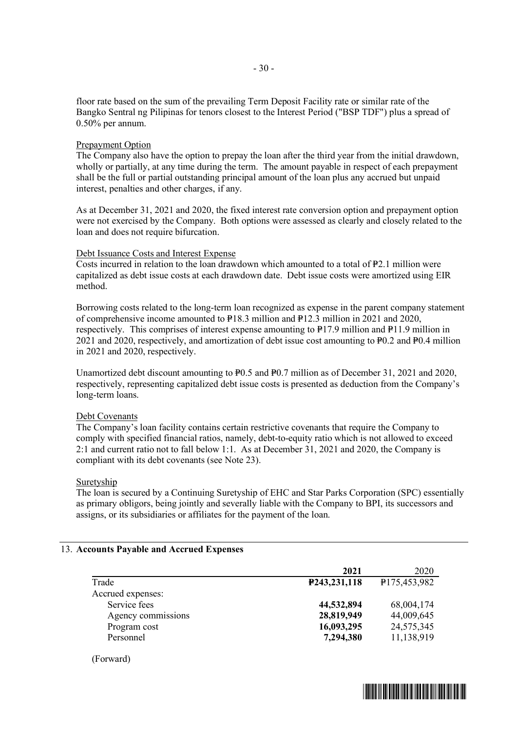floor rate based on the sum of the prevailing Term Deposit Facility rate or similar rate of the Bangko Sentral ng Pilipinas for tenors closest to the Interest Period ("BSP TDF") plus a spread of 0.50% per annum.

#### Prepayment Option

The Company also have the option to prepay the loan after the third year from the initial drawdown, wholly or partially, at any time during the term. The amount payable in respect of each prepayment shall be the full or partial outstanding principal amount of the loan plus any accrued but unpaid interest, penalties and other charges, if any.

As at December 31, 2021 and 2020, the fixed interest rate conversion option and prepayment option were not exercised by the Company. Both options were assessed as clearly and closely related to the loan and does not require bifurcation.

#### Debt Issuance Costs and Interest Expense

Costs incurred in relation to the loan drawdown which amounted to a total of  $P2.1$  million were capitalized as debt issue costs at each drawdown date. Debt issue costs were amortized using EIR method.

Borrowing costs related to the long-term loan recognized as expense in the parent company statement of comprehensive income amounted to  $\frac{18.3 \text{ million and } 12.3 \text{ million in } 2021 \text{ and } 2020.$ respectively. This comprises of interest expense amounting to  $P17.9$  million and  $P11.9$  million in  $20\overline{2}1$  and  $20\overline{2}0$ , respectively, and amortization of debt issue cost amounting to P0.2 and P0.4 million in 2021 and 2020, respectively.

Unamortized debt discount amounting to  $P0.5$  and  $P0.7$  million as of December 31, 2021 and 2020, respectively, representing capitalized debt issue costs is presented as deduction from the Company's long-term loans.

#### Debt Covenants

The Company's loan facility contains certain restrictive covenants that require the Company to comply with specified financial ratios, namely, debt-to-equity ratio which is not allowed to exceed 2:1 and current ratio not to fall below 1:1. As at December 31, 2021 and 2020, the Company is compliant with its debt covenants (see Note 23).

#### Suretyship

The loan is secured by a Continuing Suretyship of EHC and Star Parks Corporation (SPC) essentially as primary obligors, being jointly and severally liable with the Company to BPI, its successors and assigns, or its subsidiaries or affiliates for the payment of the loan.

#### 13. **Accounts Payable and Accrued Expenses**

|                    | 2021         | 2020         |
|--------------------|--------------|--------------|
| Trade              | P243,231,118 | P175,453,982 |
| Accrued expenses:  |              |              |
| Service fees       | 44,532,894   | 68,004,174   |
| Agency commissions | 28,819,949   | 44,009,645   |
| Program cost       | 16,093,295   | 24,575,345   |
| Personnel          | 7,294,380    | 11,138,919   |

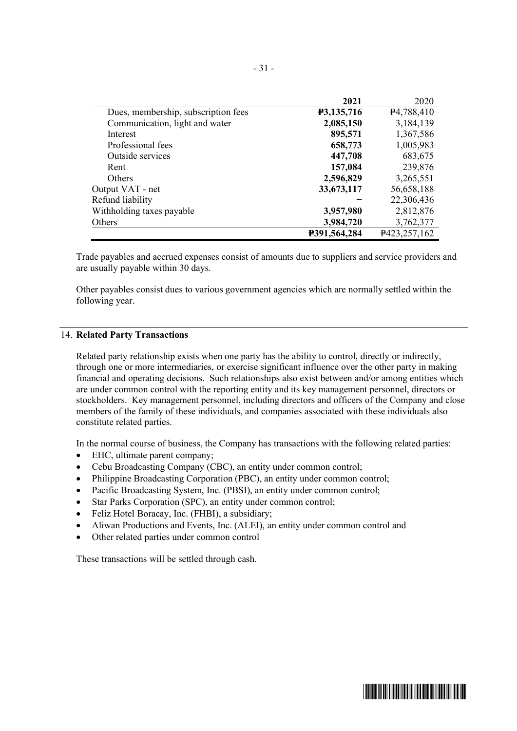|                                     | 2021         | 2020                    |
|-------------------------------------|--------------|-------------------------|
| Dues, membership, subscription fees | P3,135,716   | P <sub>4</sub> ,788,410 |
| Communication, light and water      | 2,085,150    | 3,184,139               |
| Interest                            | 895,571      | 1,367,586               |
| Professional fees                   | 658,773      | 1,005,983               |
| Outside services                    | 447,708      | 683,675                 |
| Rent                                | 157,084      | 239,876                 |
| Others                              | 2,596,829    | 3,265,551               |
| Output VAT - net                    | 33,673,117   | 56,658,188              |
| Refund liability                    |              | 22,306,436              |
| Withholding taxes payable           | 3,957,980    | 2,812,876               |
| Others                              | 3,984,720    | 3,762,377               |
|                                     | P391,564,284 | P423,257,162            |

Trade payables and accrued expenses consist of amounts due to suppliers and service providers and are usually payable within 30 days.

Other payables consist dues to various government agencies which are normally settled within the following year.

#### 14. **Related Party Transactions**

Related party relationship exists when one party has the ability to control, directly or indirectly, through one or more intermediaries, or exercise significant influence over the other party in making financial and operating decisions. Such relationships also exist between and/or among entities which are under common control with the reporting entity and its key management personnel, directors or stockholders. Key management personnel, including directors and officers of the Company and close members of the family of these individuals, and companies associated with these individuals also constitute related parties.

In the normal course of business, the Company has transactions with the following related parties:

- EHC, ultimate parent company;
- Cebu Broadcasting Company (CBC), an entity under common control;
- Philippine Broadcasting Corporation (PBC), an entity under common control;
- Pacific Broadcasting System, Inc. (PBSI), an entity under common control;
- Star Parks Corporation (SPC), an entity under common control;
- Feliz Hotel Boracay, Inc. (FHBI), a subsidiary;
- Aliwan Productions and Events, Inc. (ALEI), an entity under common control and
- Other related parties under common control

These transactions will be settled through cash.

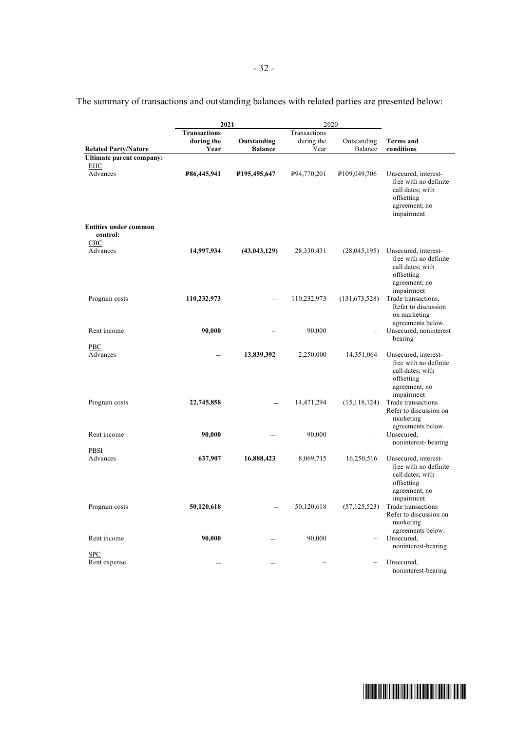| The summary of transactions and outstanding balances with related parties are presented below: |  |
|------------------------------------------------------------------------------------------------|--|
|------------------------------------------------------------------------------------------------|--|

|                                                         | 2021                |                   | 2020         |                           |                                                                                                                |  |
|---------------------------------------------------------|---------------------|-------------------|--------------|---------------------------|----------------------------------------------------------------------------------------------------------------|--|
|                                                         | <b>Transactions</b> |                   | Transactions |                           |                                                                                                                |  |
|                                                         | during the          | Outstanding       | during the   | Outstanding               | <b>Terms</b> and<br>conditions                                                                                 |  |
| <b>Related Party/Nature</b><br>Ultimate parent company: | Year                | <b>Balance</b>    | Year         | Balance                   |                                                                                                                |  |
| EHC                                                     |                     |                   |              |                           |                                                                                                                |  |
| Advances                                                | P86,445,941         | P195,495,647      | P94,770,201  | P <sub>109</sub> ,049,706 | Unsecured, interest-<br>free with no definite<br>call dates; with<br>offsetting<br>agreement; no<br>impairment |  |
| <b>Entities under common</b><br>control:                |                     |                   |              |                           |                                                                                                                |  |
| <b>CBC</b>                                              |                     |                   |              |                           |                                                                                                                |  |
| Advances                                                | 14,997,934          | (43, 043, 129)    | 28,330,431   | (28, 045, 195)            | Unsecured, interest-<br>free with no definite<br>call dates; with<br>offsetting<br>agreement; no<br>impairment |  |
| Program costs                                           | 110,232,973         | $\qquad \qquad -$ | 110,232,973  | (131,673,528)             | Trade transactions;<br>Refer to discussion<br>on marketing<br>agreements below.                                |  |
| Rent income                                             | 90,000              |                   | 90,000       |                           | Unsecured, noninterest<br>bearing                                                                              |  |
| PBC<br>Advances                                         |                     | 13,839,392        | 2,250,000    | 14,351,064                | Unsecured, interest-<br>free with no definite<br>call dates; with<br>offsetting<br>agreement; no               |  |
| Program costs                                           | 22,745,858          |                   | 14,471,294   | (15, 118, 124)            | impairment<br>Trade transactions<br>Refer to discussion on<br>marketing<br>agreements below.                   |  |
| Rent income                                             | 90,000              |                   | 90,000       |                           | Unsecured,<br>noninterest-bearing                                                                              |  |
| PBSI<br>Advances                                        | 637,907             | 16,888,423        | 8,069,715    | 16,250,516                | Unsecured, interest-<br>free with no definite<br>call dates; with<br>offsetting<br>agreement; no               |  |
| Program costs                                           | 50,120,618          |                   | 50,120,618   |                           | impairment<br>$(57, 125, 523)$ Trade transactions<br>Refer to discussion on<br>marketing                       |  |
| Rent income                                             | 90,000              |                   | 90,000       |                           | agreements below.<br>Unsecured,<br>noninterest-bearing                                                         |  |
| <b>SPC</b><br>Rent expense                              |                     |                   |              |                           | Unsecured,<br>noninterest-bearing                                                                              |  |

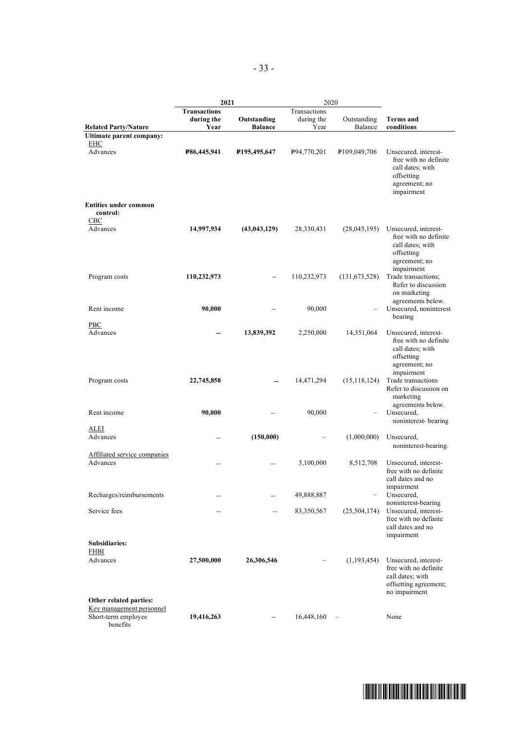|                                                             |                     | 2021<br>2020                |              |                           |                                                                                                                |
|-------------------------------------------------------------|---------------------|-----------------------------|--------------|---------------------------|----------------------------------------------------------------------------------------------------------------|
|                                                             | <b>Transactions</b> |                             | Transactions |                           |                                                                                                                |
|                                                             | during the          | Outstanding                 | during the   | Outstanding               | <b>Terms</b> and                                                                                               |
| <b>Related Party/Nature</b>                                 | Year                | <b>Balance</b>              | Year         | Balance                   | conditions                                                                                                     |
| Ultimate parent company:                                    |                     |                             |              |                           |                                                                                                                |
| EHC<br>Advances                                             | <b>P86,445,941</b>  | P <sub>195</sub> , 495, 647 | P94,770,201  | P <sub>109</sub> ,049,706 | Unsecured, interest-<br>free with no definite<br>call dates; with<br>offsetting<br>agreement; no<br>impairment |
| <b>Entities under common</b><br>control:                    |                     |                             |              |                           |                                                                                                                |
| <b>CBC</b><br>Advances                                      | 14,997,934          | (43, 043, 129)              | 28,330,431   | (28,045,195)              | Unsecured, interest-<br>free with no definite<br>call dates; with<br>offsetting<br>agreement; no<br>impairment |
| Program costs                                               | 110,232,973         |                             | 110,232,973  | (131,673,528)             | Trade transactions;<br>Refer to discussion<br>on marketing<br>agreements below.                                |
| Rent income                                                 | 90,000              |                             | 90,000       |                           | Unsecured, noninterest<br>bearing                                                                              |
| PBC<br>Advances                                             |                     | 13,839,392                  | 2,250,000    | 14,351,064                | Unsecured, interest-<br>free with no definite<br>call dates: with<br>offsetting<br>agreement; no<br>impairment |
| Program costs                                               | 22,745,858          |                             | 14,471,294   | (15, 118, 124)            | Trade transactions<br>Refer to discussion on<br>marketing<br>agreements below.                                 |
| Rent income                                                 | 90,000              |                             | 90,000       |                           | Unsecured,<br>noninterest-bearing                                                                              |
| ALEI<br>Advances                                            |                     | (150,000)                   |              | (1,000,000)               | Unsecured,<br>noninterest-bearing.                                                                             |
| Affiliated service companies<br>Advances                    |                     |                             | 3,100,000    | 8,512,708                 | Unsecured, interest-<br>free with no definite<br>call dates and no<br>impairment                               |
| Recharges/reimbursements                                    |                     |                             | 49,888,887   | $\qquad \qquad -$         | Unsecured,<br>noninterest-bearing                                                                              |
| Service fees<br>Subsidiaries:                               |                     |                             | 83,350,567   | (25,504,174)              | Unsecured, interest-<br>free with no definite<br>call dates and no<br>impairment                               |
| <b>FHBI</b><br>Advances<br>Other related parties:           | 27,500,000          | 26,306,546                  |              | (1, 193, 454)             | Unsecured, interest-<br>free with no definite<br>call dates: with<br>offsetting agreement;<br>no impairment    |
| Key management personnel<br>Short-term employee<br>benefits | 19,416,263          |                             | 16,448,160   |                           | None                                                                                                           |

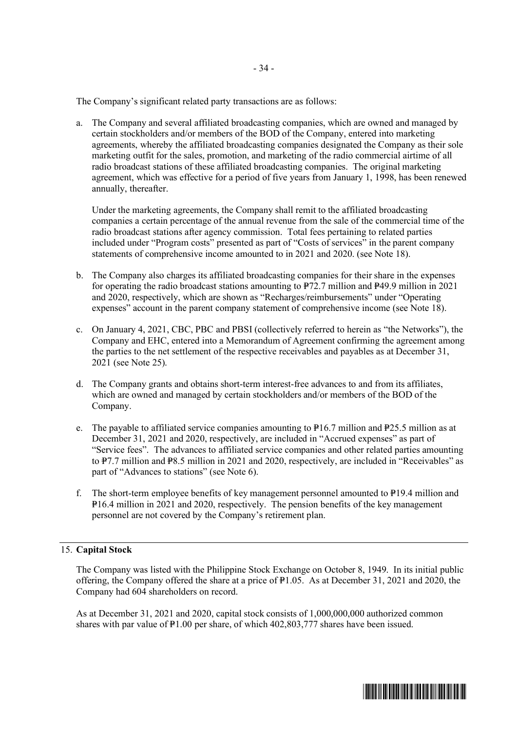The Company's significant related party transactions are as follows:

a. The Company and several affiliated broadcasting companies, which are owned and managed by certain stockholders and/or members of the BOD of the Company, entered into marketing agreements, whereby the affiliated broadcasting companies designated the Company as their sole marketing outfit for the sales, promotion, and marketing of the radio commercial airtime of all radio broadcast stations of these affiliated broadcasting companies. The original marketing agreement, which was effective for a period of five years from January 1, 1998, has been renewed annually, thereafter.

Under the marketing agreements, the Company shall remit to the affiliated broadcasting companies a certain percentage of the annual revenue from the sale of the commercial time of the radio broadcast stations after agency commission. Total fees pertaining to related parties included under "Program costs" presented as part of "Costs of services" in the parent company statements of comprehensive income amounted to in 2021 and 2020. (see Note 18).

- b. The Company also charges its affiliated broadcasting companies for their share in the expenses for operating the radio broadcast stations amounting to  $P72.7$  million and  $P49.9$  million in 2021 and 2020, respectively, which are shown as "Recharges/reimbursements" under "Operating expenses" account in the parent company statement of comprehensive income (see Note 18).
- c. On January 4, 2021, CBC, PBC and PBSI (collectively referred to herein as "the Networks"), the Company and EHC, entered into a Memorandum of Agreement confirming the agreement among the parties to the net settlement of the respective receivables and payables as at December 31, 2021 (see Note 25).
- d. The Company grants and obtains short-term interest-free advances to and from its affiliates, which are owned and managed by certain stockholders and/or members of the BOD of the Company.
- e. The payable to affiliated service companies amounting to  $\frac{P16.7}{P100}$  million and P25.5 million as at December 31, 2021 and 2020, respectively, are included in "Accrued expenses" as part of "Service fees". The advances to affiliated service companies and other related parties amounting to  $\overline{P}$ 7.7 million and  $\overline{P}8.5$  million in 2021 and 2020, respectively, are included in "Receivables" as part of "Advances to stations" (see Note 6).
- f. The short-term employee benefits of key management personnel amounted to  $P19.4$  million and  $P16.4$  million in 2021 and 2020, respectively. The pension benefits of the key management personnel are not covered by the Company's retirement plan.

### 15. **Capital Stock**

The Company was listed with the Philippine Stock Exchange on October 8, 1949. In its initial public offering, the Company offered the share at a price of  $\text{P}1.05$ . As at December 31, 2021 and 2020, the Company had 604 shareholders on record.

As at December 31, 2021 and 2020, capital stock consists of 1,000,000,000 authorized common shares with par value of  $\text{P}1.00$  per share, of which 402,803,777 shares have been issued.

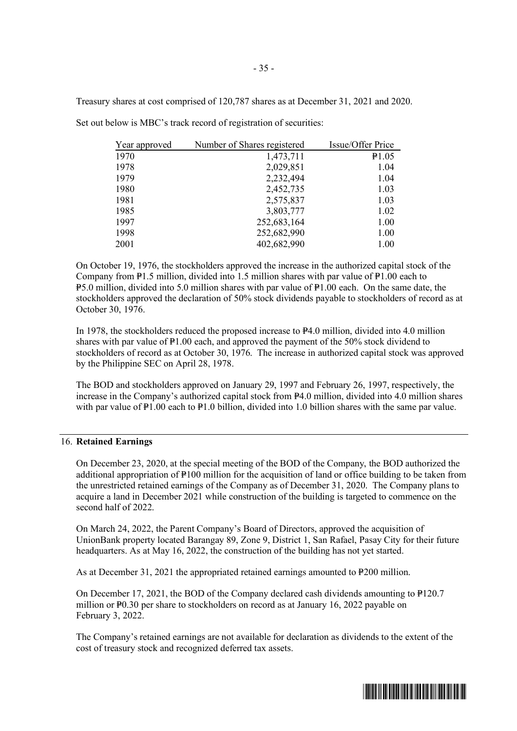Treasury shares at cost comprised of 120,787 shares as at December 31, 2021 and 2020.

Set out below is MBC's track record of registration of securities:

| Year approved | Number of Shares registered | Issue/Offer Price |
|---------------|-----------------------------|-------------------|
| 1970          | 1,473,711                   | P1.05             |
| 1978          | 2,029,851                   | 1.04              |
| 1979          | 2,232,494                   | 1.04              |
| 1980          | 2,452,735                   | 1.03              |
| 1981          | 2,575,837                   | 1.03              |
| 1985          | 3,803,777                   | 1.02              |
| 1997          | 252,683,164                 | 1.00              |
| 1998          | 252,682,990                 | 1.00              |
| 2001          | 402,682,990                 | 1.00              |

On October 19, 1976, the stockholders approved the increase in the authorized capital stock of the Company from P1.5 million, divided into 1.5 million shares with par value of P1.00 each to  $\overline{P5.0}$  million, divided into 5.0 million shares with par value of  $\overline{P1.00}$  each. On the same date, the stockholders approved the declaration of 50% stock dividends payable to stockholders of record as at October 30, 1976.

In 1978, the stockholders reduced the proposed increase to  $\text{P4.0}$  million, divided into 4.0 million shares with par value of  $P1.00$  each, and approved the payment of the 50% stock dividend to stockholders of record as at October 30, 1976. The increase in authorized capital stock was approved by the Philippine SEC on April 28, 1978.

The BOD and stockholders approved on January 29, 1997 and February 26, 1997, respectively, the increase in the Company's authorized capital stock from  $P4.0$  million, divided into 4.0 million shares with par value of  $\overline{P1.00}$  each to P1.0 billion, divided into 1.0 billion shares with the same par value.

#### 16. **Retained Earnings**

On December 23, 2020, at the special meeting of the BOD of the Company, the BOD authorized the additional appropriation of  $P100$  million for the acquisition of land or office building to be taken from the unrestricted retained earnings of the Company as of December 31, 2020. The Company plans to acquire a land in December 2021 while construction of the building is targeted to commence on the second half of 2022.

On March 24, 2022, the Parent Company's Board of Directors, approved the acquisition of UnionBank property located Barangay 89, Zone 9, District 1, San Rafael, Pasay City for their future headquarters. As at May 16, 2022, the construction of the building has not yet started.

As at December 31, 2021 the appropriated retained earnings amounted to  $P200$  million.

On December 17, 2021, the BOD of the Company declared cash dividends amounting to  $P$ 120.7 million or  $\overline{P0.30}$  per share to stockholders on record as at January 16, 2022 payable on February 3, 2022.

The Company's retained earnings are not available for declaration as dividends to the extent of the cost of treasury stock and recognized deferred tax assets.

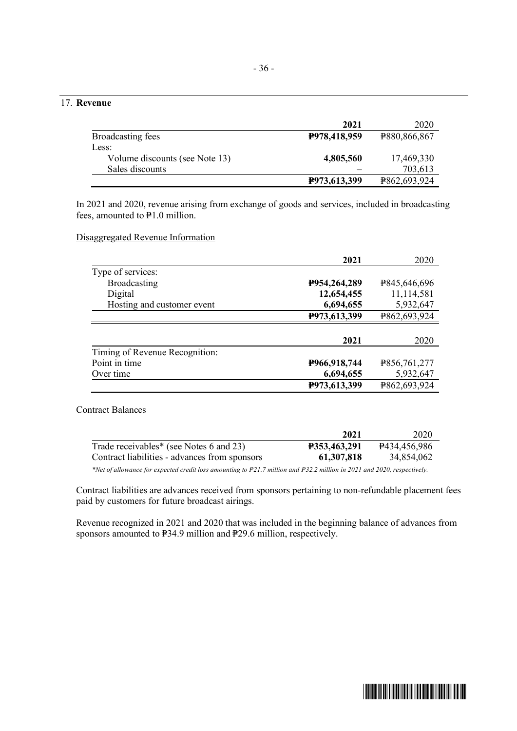### 17. **Revenue**

|                                | 2021         | 2020         |
|--------------------------------|--------------|--------------|
| Broadcasting fees              | P978,418,959 | P880,866,867 |
| Less:                          |              |              |
| Volume discounts (see Note 13) | 4,805,560    | 17,469,330   |
| Sales discounts                |              | 703,613      |
|                                | P973,613,399 | P862,693,924 |

In 2021 and 2020, revenue arising from exchange of goods and services, included in broadcasting fees, amounted to  $P1.0$  million.

#### Disaggregated Revenue Information

|                                | 2021         | 2020         |
|--------------------------------|--------------|--------------|
| Type of services:              |              |              |
| Broadcasting                   | P954,264,289 | P845,646,696 |
| Digital                        | 12,654,455   | 11,114,581   |
| Hosting and customer event     | 6,694,655    | 5,932,647    |
|                                | P973,613,399 | P862,693,924 |
|                                |              |              |
|                                | 2021         | 2020         |
| Timing of Revenue Recognition: |              |              |
| Point in time                  | P966,918,744 | P856,761,277 |
| Over time                      | 6,694,655    | 5,932,647    |
|                                | P973,613,399 | P862,693,924 |

#### Contract Balances

|                                                     | 2021                | 2020         |
|-----------------------------------------------------|---------------------|--------------|
| Trade receivables <sup>*</sup> (see Notes 6 and 23) | <b>P353.463.291</b> | P434,456,986 |
| Contract liabilities - advances from sponsors       | 61,307,818          | 34,854,062   |
|                                                     |                     |              |

*\*Net of allowance for expected credit loss amounting to =P21.7 million and =P32.2 million in 2021 and 2020, respectively.*

Contract liabilities are advances received from sponsors pertaining to non-refundable placement fees paid by customers for future broadcast airings.

Revenue recognized in 2021 and 2020 that was included in the beginning balance of advances from sponsors amounted to P34.9 million and P29.6 million, respectively.

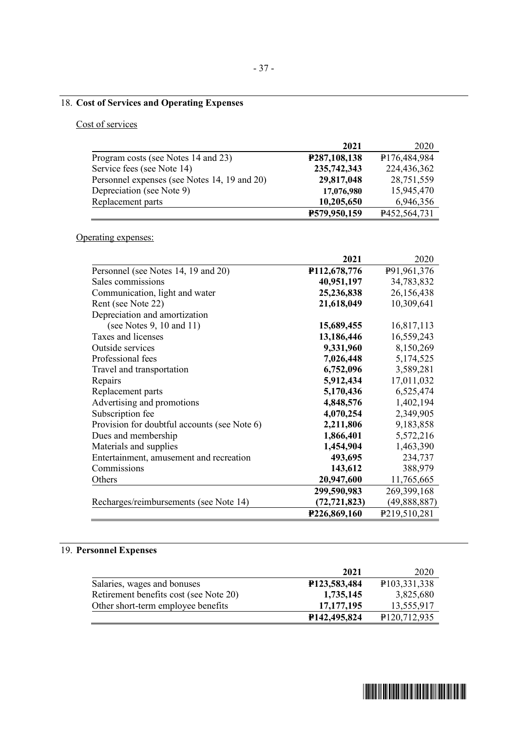# 18. **Cost of Services and Operating Expenses**

# Cost of services

|                                              | 2021                        | 2020         |
|----------------------------------------------|-----------------------------|--------------|
| Program costs (see Notes 14 and 23)          | P <sub>287</sub> , 108, 138 | P176,484,984 |
| Service fees (see Note 14)                   | 235,742,343                 | 224,436,362  |
| Personnel expenses (see Notes 14, 19 and 20) | 29,817,048                  | 28,751,559   |
| Depreciation (see Note 9)                    | 17,076,980                  | 15,945,470   |
| Replacement parts                            | 10,205,650                  | 6,946,356    |
|                                              | P579,950,159                | P452,564,731 |

## Operating expenses:

|                                              | 2021           | 2020          |
|----------------------------------------------|----------------|---------------|
| Personnel (see Notes 14, 19 and 20)          | P112,678,776   | P91,961,376   |
| Sales commissions                            | 40,951,197     | 34,783,832    |
| Communication, light and water               | 25,236,838     | 26,156,438    |
| Rent (see Note 22)                           | 21,618,049     | 10,309,641    |
| Depreciation and amortization                |                |               |
| (see Notes 9, 10 and 11)                     | 15,689,455     | 16,817,113    |
| Taxes and licenses                           | 13,186,446     | 16,559,243    |
| Outside services                             | 9,331,960      | 8,150,269     |
| Professional fees                            | 7,026,448      | 5,174,525     |
| Travel and transportation                    | 6,752,096      | 3,589,281     |
| Repairs                                      | 5,912,434      | 17,011,032    |
| Replacement parts                            | 5,170,436      | 6,525,474     |
| Advertising and promotions                   | 4,848,576      | 1,402,194     |
| Subscription fee                             | 4,070,254      | 2,349,905     |
| Provision for doubtful accounts (see Note 6) | 2,211,806      | 9,183,858     |
| Dues and membership                          | 1,866,401      | 5,572,216     |
| Materials and supplies                       | 1,454,904      | 1,463,390     |
| Entertainment, amusement and recreation      | 493,695        | 234,737       |
| Commissions                                  | 143,612        | 388,979       |
| Others                                       | 20,947,600     | 11,765,665    |
|                                              | 299,590,983    | 269, 399, 168 |
| Recharges/reimbursements (see Note 14)       | (72, 721, 823) | (49,888,887)  |
|                                              | P226,869,160   | P219,510,281  |

# 19. **Personnel Expenses**

|                                        | 2021                        | 2020                      |
|----------------------------------------|-----------------------------|---------------------------|
| Salaries, wages and bonuses            | P <sub>123</sub> , 583, 484 | P103,331,338              |
| Retirement benefits cost (see Note 20) | 1,735,145                   | 3,825,680                 |
| Other short-term employee benefits     | 17, 177, 195                | 13,555,917                |
|                                        | P <sub>142</sub> , 495, 824 | P <sub>120</sub> ,712,935 |

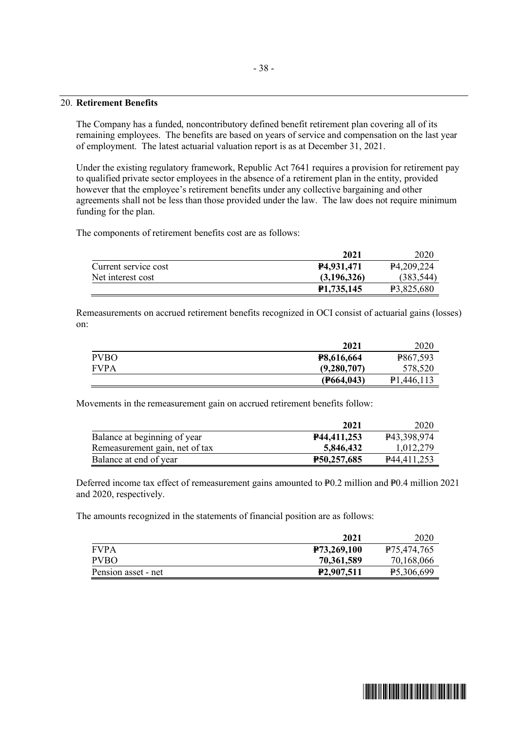#### 20. **Retirement Benefits**

The Company has a funded, noncontributory defined benefit retirement plan covering all of its remaining employees. The benefits are based on years of service and compensation on the last year of employment. The latest actuarial valuation report is as at December 31, 2021.

Under the existing regulatory framework, Republic Act 7641 requires a provision for retirement pay to qualified private sector employees in the absence of a retirement plan in the entity, provided however that the employee's retirement benefits under any collective bargaining and other agreements shall not be less than those provided under the law. The law does not require minimum funding for the plan.

The components of retirement benefits cost are as follows:

|                      | 2021              | 2020                    |
|----------------------|-------------------|-------------------------|
| Current service cost | <b>P4,931,471</b> | P <sub>4</sub> ,209,224 |
| Net interest cost    | (3,196,326)       | (383, 544)              |
|                      | <b>P1,735,145</b> | P3,825,680              |

Remeasurements on accrued retirement benefits recognized in OCI consist of actuarial gains (losses) on:

|       | 2021              | 2020       |
|-------|-------------------|------------|
| PVBO. | <b>P8,616,664</b> | P867,593   |
| FVPA  | (9, 280, 707)     | 578,520    |
|       | (F664, 043)       | P1,446,113 |

Movements in the remeasurement gain on accrued retirement benefits follow:

|                                | 2021               | 2020        |
|--------------------------------|--------------------|-------------|
| Balance at beginning of year   | P44,411,253        | P43,398,974 |
| Remeasurement gain, net of tax | 5.846.432          | 1,012,279   |
| Balance at end of year         | <b>P50,257,685</b> | P44,411,253 |

Deferred income tax effect of remeasurement gains amounted to  $P0.2$  million and  $P0.4$  million 2021 and 2020, respectively.

The amounts recognized in the statements of financial position are as follows:

|                     | 2021                    | 2020                     |
|---------------------|-------------------------|--------------------------|
| <b>FVPA</b>         | P73,269,100             | P <sub>75</sub> ,474,765 |
| <b>PVBO</b>         | 70,361,589              | 70,168,066               |
| Pension asset - net | P <sub>2</sub> ,907,511 | P5,306,699               |

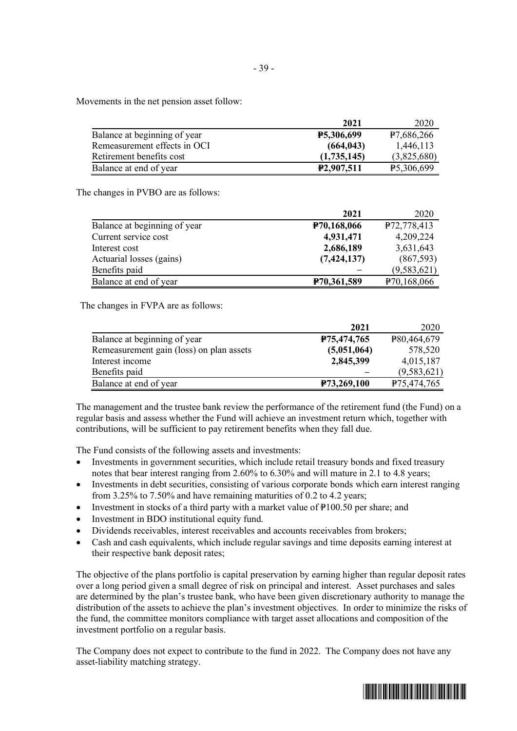Movements in the net pension asset follow:

|                              | 2021                    | 2020        |
|------------------------------|-------------------------|-------------|
| Balance at beginning of year | <b>P5,306,699</b>       | 47,686,266  |
| Remeasurement effects in OCI | (664, 043)              | 1,446,113   |
| Retirement benefits cost     | (1,735,145)             | (3,825,680) |
| Balance at end of year       | P <sub>2</sub> ,907,511 | P5,306,699  |

The changes in PVBO are as follows:

|                              | 2021          | 2020        |
|------------------------------|---------------|-------------|
| Balance at beginning of year | P70,168,066   | P72,778,413 |
| Current service cost         | 4,931,471     | 4,209,224   |
| Interest cost                | 2,686,189     | 3,631,643   |
| Actuarial losses (gains)     | (7, 424, 137) | (867,593)   |
| Benefits paid                |               | (9,583,621) |
| Balance at end of year       | P70,361,589   | P70,168,066 |

The changes in FVPA are as follows:

|                                          | 2021        | 2020                     |
|------------------------------------------|-------------|--------------------------|
| Balance at beginning of year             | P75,474,765 | P80,464,679              |
| Remeasurement gain (loss) on plan assets | (5,051,064) | 578,520                  |
| Interest income                          | 2,845,399   | 4,015,187                |
| Benefits paid                            |             | (9,583,621)              |
| Balance at end of year                   | P73,269,100 | P <sub>75</sub> ,474,765 |

The management and the trustee bank review the performance of the retirement fund (the Fund) on a regular basis and assess whether the Fund will achieve an investment return which, together with contributions, will be sufficient to pay retirement benefits when they fall due.

The Fund consists of the following assets and investments:

- Investments in government securities, which include retail treasury bonds and fixed treasury notes that bear interest ranging from 2.60% to 6.30% and will mature in 2.1 to 4.8 years;
- Investments in debt securities, consisting of various corporate bonds which earn interest ranging from 3.25% to 7.50% and have remaining maturities of 0.2 to 4.2 years;
- Investment in stocks of a third party with a market value of  $\text{P}100.50$  per share; and
- Investment in BDO institutional equity fund.
- Dividends receivables, interest receivables and accounts receivables from brokers;
- Cash and cash equivalents, which include regular savings and time deposits earning interest at their respective bank deposit rates;

The objective of the plans portfolio is capital preservation by earning higher than regular deposit rates over a long period given a small degree of risk on principal and interest. Asset purchases and sales are determined by the plan's trustee bank, who have been given discretionary authority to manage the distribution of the assets to achieve the plan's investment objectives. In order to minimize the risks of the fund, the committee monitors compliance with target asset allocations and composition of the investment portfolio on a regular basis.

The Company does not expect to contribute to the fund in 2022. The Company does not have any asset-liability matching strategy.

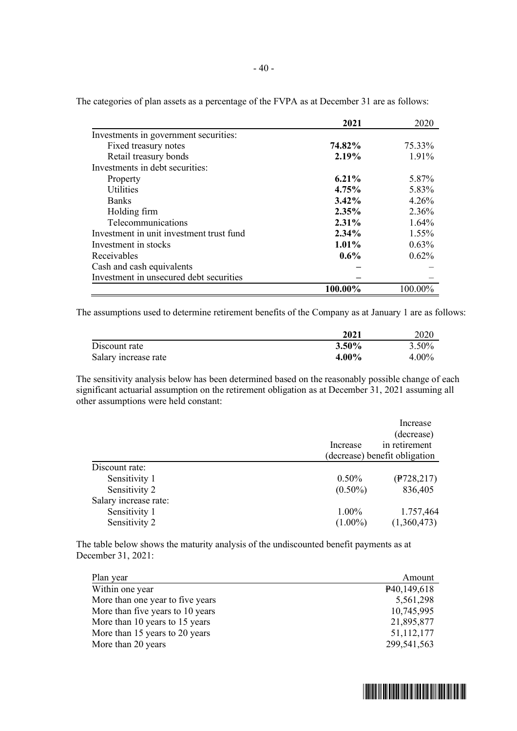|                                          | 2021     | 2020    |
|------------------------------------------|----------|---------|
| Investments in government securities:    |          |         |
| Fixed treasury notes                     | 74.82%   | 75.33%  |
| Retail treasury bonds                    | 2.19%    | 1.91%   |
| Investments in debt securities:          |          |         |
| Property                                 | $6.21\%$ | 5.87%   |
| <b>Utilities</b>                         | $4.75\%$ | 5.83%   |
| <b>Banks</b>                             | $3.42\%$ | 4.26%   |
| Holding firm                             | 2.35%    | 2.36%   |
| Telecommunications                       | $2.31\%$ | 1.64%   |
| Investment in unit investment trust fund | $2.34\%$ | 1.55%   |
| Investment in stocks                     | 1.01%    | 0.63%   |
| Receivables                              | $0.6\%$  | 0.62%   |
| Cash and cash equivalents                |          |         |
| Investment in unsecured debt securities  |          |         |
|                                          | 100.00%  | 100.00% |

The categories of plan assets as a percentage of the FVPA as at December 31 are as follows:

The assumptions used to determine retirement benefits of the Company as at January 1 are as follows:

|                      | 2021     | 2020     |
|----------------------|----------|----------|
| Discount rate        | 3.50%    | $3.50\%$ |
| Salary increase rate | $4.00\%$ | $4.00\%$ |

The sensitivity analysis below has been determined based on the reasonably possible change of each significant actuarial assumption on the retirement obligation as at December 31, 2021 assuming all other assumptions were held constant:

|                       |            | Increase                      |
|-----------------------|------------|-------------------------------|
|                       |            | (decrease)                    |
|                       | Increase   | in retirement                 |
|                       |            | (decrease) benefit obligation |
| Discount rate:        |            |                               |
| Sensitivity 1         | $0.50\%$   | (P728,217)                    |
| Sensitivity 2         | $(0.50\%)$ | 836,405                       |
| Salary increase rate: |            |                               |
| Sensitivity 1         | 1.00%      | 1.757,464                     |
| Sensitivity 2         | $(1.00\%)$ | (1,360,473)                   |

The table below shows the maturity analysis of the undiscounted benefit payments as at December 31, 2021:

| Plan year                        | Amount                     |
|----------------------------------|----------------------------|
| Within one year                  | P <sub>40</sub> , 149, 618 |
| More than one year to five years | 5,561,298                  |
| More than five years to 10 years | 10,745,995                 |
| More than 10 years to 15 years   | 21,895,877                 |
| More than 15 years to 20 years   | 51,112,177                 |
| More than 20 years               | 299,541,563                |

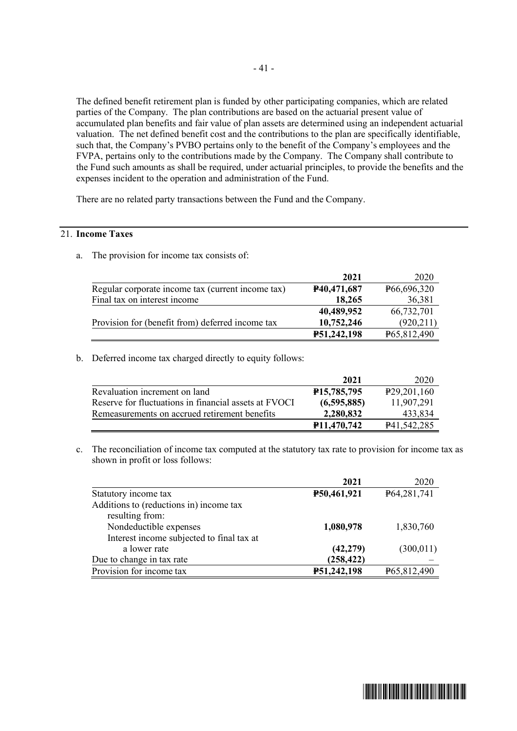The defined benefit retirement plan is funded by other participating companies, which are related parties of the Company. The plan contributions are based on the actuarial present value of accumulated plan benefits and fair value of plan assets are determined using an independent actuarial valuation. The net defined benefit cost and the contributions to the plan are specifically identifiable, such that, the Company's PVBO pertains only to the benefit of the Company's employees and the FVPA, pertains only to the contributions made by the Company. The Company shall contribute to the Fund such amounts as shall be required, under actuarial principles, to provide the benefits and the expenses incident to the operation and administration of the Fund.

There are no related party transactions between the Fund and the Company.

### 21. **Income Taxes**

|                                                   | 2021        | 2020        |
|---------------------------------------------------|-------------|-------------|
| Regular corporate income tax (current income tax) | P40,471,687 | P66,696,320 |
| Final tax on interest income                      | 18,265      | 36,381      |
|                                                   | 40,489,952  | 66,732,701  |
| Provision for (benefit from) deferred income tax  | 10,752,246  | (920,211)   |
|                                                   | P51,242,198 | P65,812,490 |

a. The provision for income tax consists of:

b. Deferred income tax charged directly to equity follows:

|                                                       | 2021                       | 2020        |
|-------------------------------------------------------|----------------------------|-------------|
| Revaluation increment on land                         | P <sub>15</sub> , 785, 795 | P29,201,160 |
| Reserve for fluctuations in financial assets at FVOCI | (6,595,885)                | 11,907,291  |
| Remeasurements on accrued retirement benefits         | 2,280,832                  | 433,834     |
|                                                       | P <sub>11</sub> ,470,742   | P41,542,285 |

c. The reconciliation of income tax computed at the statutory tax rate to provision for income tax as shown in profit or loss follows:

|                                           | 2021        | 2020        |
|-------------------------------------------|-------------|-------------|
| Statutory income tax                      | P50,461,921 | P64,281,741 |
| Additions to (reductions in) income tax   |             |             |
| resulting from:                           |             |             |
| Nondeductible expenses                    | 1,080,978   | 1,830,760   |
| Interest income subjected to final tax at |             |             |
| a lower rate                              | (42, 279)   | (300, 011)  |
| Due to change in tax rate                 | (258, 422)  |             |
| Provision for income tax                  | P51,242,198 | P65,812,490 |

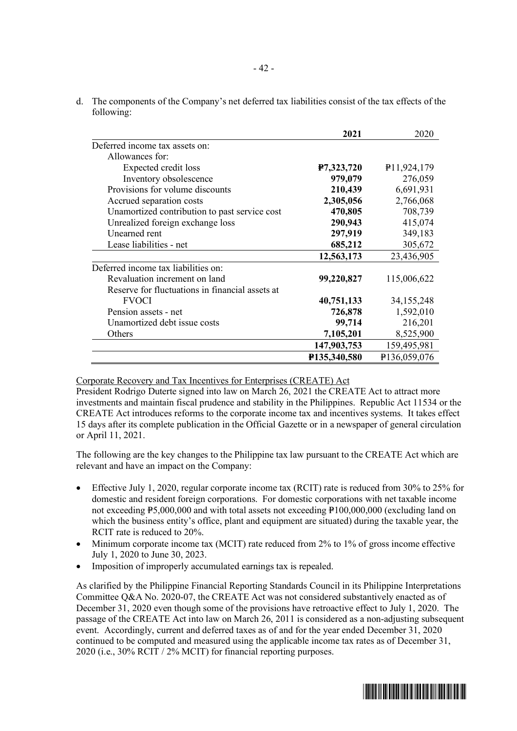|                                                 | 2021         | 2020                    |
|-------------------------------------------------|--------------|-------------------------|
| Deferred income tax assets on:                  |              |                         |
| Allowances for:                                 |              |                         |
| Expected credit loss                            | P7,323,720   | P <sub>11,924,179</sub> |
| Inventory obsolescence                          | 979,079      | 276,059                 |
| Provisions for volume discounts                 | 210,439      | 6,691,931               |
| Accrued separation costs                        | 2,305,056    | 2,766,068               |
| Unamortized contribution to past service cost   | 470,805      | 708,739                 |
| Unrealized foreign exchange loss                | 290,943      | 415,074                 |
| Unearned rent                                   | 297,919      | 349,183                 |
| Lease liabilities - net                         | 685,212      | 305,672                 |
|                                                 | 12,563,173   | 23,436,905              |
| Deferred income tax liabilities on:             |              |                         |
| Revaluation increment on land                   | 99,220,827   | 115,006,622             |
| Reserve for fluctuations in financial assets at |              |                         |
| <b>FVOCI</b>                                    | 40,751,133   | 34, 155, 248            |
| Pension assets - net                            | 726,878      | 1,592,010               |
| Unamortized debt issue costs                    | 99,714       | 216,201                 |
| Others                                          | 7,105,201    | 8,525,900               |
|                                                 | 147,903,753  | 159,495,981             |
|                                                 | P135,340,580 | P136,059,076            |

d. The components of the Company's net deferred tax liabilities consist of the tax effects of the following:

Corporate Recovery and Tax Incentives for Enterprises (CREATE) Act

President Rodrigo Duterte signed into law on March 26, 2021 the CREATE Act to attract more investments and maintain fiscal prudence and stability in the Philippines. Republic Act 11534 or the CREATE Act introduces reforms to the corporate income tax and incentives systems. It takes effect 15 days after its complete publication in the Official Gazette or in a newspaper of general circulation or April 11, 2021.

The following are the key changes to the Philippine tax law pursuant to the CREATE Act which are relevant and have an impact on the Company:

- Effective July 1, 2020, regular corporate income tax (RCIT) rate is reduced from 30% to 25% for domestic and resident foreign corporations. For domestic corporations with net taxable income not exceeding  $P5,000,000$  and with total assets not exceeding  $P100,000,000$  (excluding land on which the business entity's office, plant and equipment are situated) during the taxable year, the RCIT rate is reduced to 20%.
- Minimum corporate income tax (MCIT) rate reduced from 2% to 1% of gross income effective July 1, 2020 to June 30, 2023.
- Imposition of improperly accumulated earnings tax is repealed.

As clarified by the Philippine Financial Reporting Standards Council in its Philippine Interpretations Committee Q&A No. 2020-07, the CREATE Act was not considered substantively enacted as of December 31, 2020 even though some of the provisions have retroactive effect to July 1, 2020. The passage of the CREATE Act into law on March 26, 2011 is considered as a non-adjusting subsequent event. Accordingly, current and deferred taxes as of and for the year ended December 31, 2020 continued to be computed and measured using the applicable income tax rates as of December 31, 2020 (i.e., 30% RCIT / 2% MCIT) for financial reporting purposes.

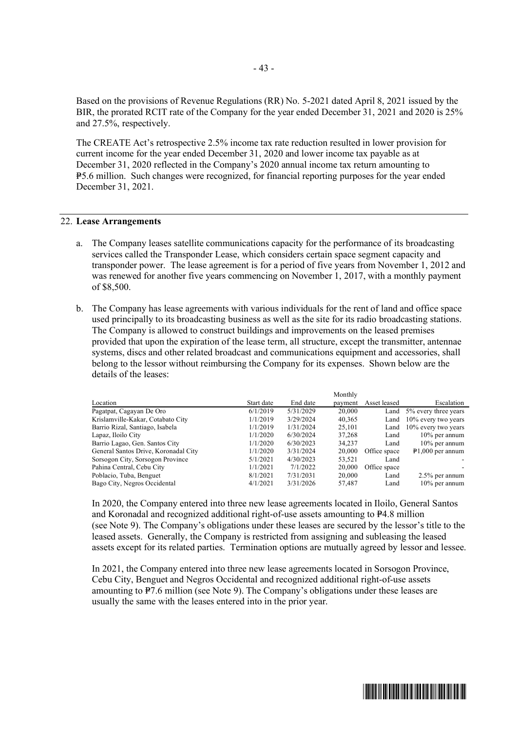Based on the provisions of Revenue Regulations (RR) No. 5-2021 dated April 8, 2021 issued by the BIR, the prorated RCIT rate of the Company for the year ended December 31, 2021 and 2020 is 25% and 27.5%, respectively.

The CREATE Act's retrospective 2.5% income tax rate reduction resulted in lower provision for current income for the year ended December 31, 2020 and lower income tax payable as at December 31, 2020 reflected in the Company's 2020 annual income tax return amounting to P5.6 million. Such changes were recognized, for financial reporting purposes for the year ended December 31, 2021.

#### 22. **Lease Arrangements**

- a. The Company leases satellite communications capacity for the performance of its broadcasting services called the Transponder Lease, which considers certain space segment capacity and transponder power. The lease agreement is for a period of five years from November 1, 2012 and was renewed for another five years commencing on November 1, 2017, with a monthly payment of \$8,500.
- b. The Company has lease agreements with various individuals for the rent of land and office space used principally to its broadcasting business as well as the site for its radio broadcasting stations. The Company is allowed to construct buildings and improvements on the leased premises provided that upon the expiration of the lease term, all structure, except the transmitter, antennae systems, discs and other related broadcast and communications equipment and accessories, shall belong to the lessor without reimbursing the Company for its expenses. Shown below are the details of the leases:

|                                      |            |           | Monthly |              |                      |
|--------------------------------------|------------|-----------|---------|--------------|----------------------|
| Location                             | Start date | End date  | payment | Asset leased | Escalation           |
| Pagatpat, Cagayan De Oro             | 6/1/2019   | 5/31/2029 | 20,000  | Land         | 5% every three years |
| Krislamville-Kakar, Cotabato City    | 1/1/2019   | 3/29/2024 | 40,365  | Land         | 10% every two years  |
| Barrio Rizal, Santiago, Isabela      | 1/1/2019   | 1/31/2024 | 25,101  | Land         | 10% every two years  |
| Lapaz, Iloilo City                   | 1/1/2020   | 6/30/2024 | 37.268  | Land         | $10\%$ per annum     |
| Barrio Lagao, Gen. Santos City       | 1/1/2020   | 6/30/2023 | 34.237  | Land         | $10\%$ per annum     |
| General Santos Drive, Koronadal City | 1/1/2020   | 3/31/2024 | 20,000  | Office space | $P1,000$ per annum   |
| Sorsogon City, Sorsogon Province     | 5/1/2021   | 4/30/2023 | 53.521  | Land         |                      |
| Pahina Central, Cebu City            | 1/1/2021   | 7/1/2022  | 20,000  | Office space |                      |
| Poblacio, Tuba, Benguet              | 8/1/2021   | 7/31/2031 | 20,000  | Land         | $2.5\%$ per annum    |
| Bago City, Negros Occidental         | 4/1/2021   | 3/31/2026 | 57.487  | Land         | $10\%$ per annum     |

In 2020, the Company entered into three new lease agreements located in Iloilo, General Santos and Koronadal and recognized additional right-of-use assets amounting to  $P4.8$  million (see Note 9). The Company's obligations under these leases are secured by the lessor's title to the leased assets. Generally, the Company is restricted from assigning and subleasing the leased assets except for its related parties. Termination options are mutually agreed by lessor and lessee.

In 2021, the Company entered into three new lease agreements located in Sorsogon Province, Cebu City, Benguet and Negros Occidental and recognized additional right-of-use assets amounting to P7.6 million (see Note 9). The Company's obligations under these leases are usually the same with the leases entered into in the prior year.

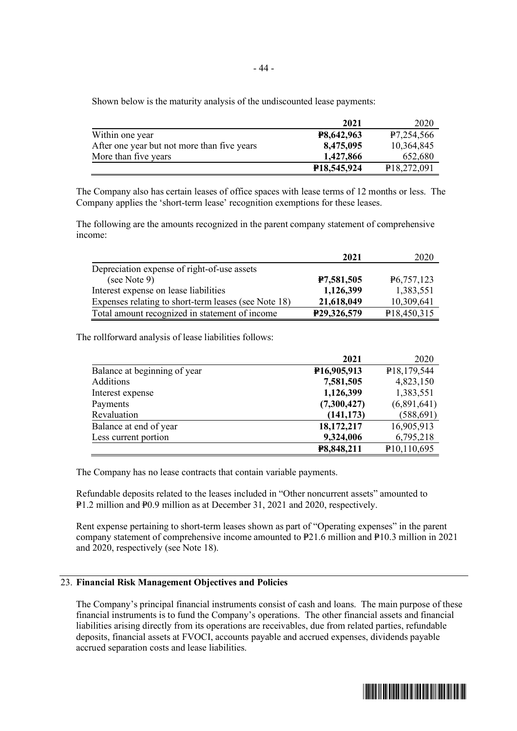Shown below is the maturity analysis of the undiscounted lease payments:

|                                             | 2021                       | 2020                     |
|---------------------------------------------|----------------------------|--------------------------|
| Within one year                             | <b>P8,642,963</b>          | P7,254,566               |
| After one year but not more than five years | 8,475,095                  | 10,364,845               |
| More than five years                        | 1,427,866                  | 652,680                  |
|                                             | P <sub>18</sub> , 545, 924 | P <sub>18</sub> ,272,091 |

The Company also has certain leases of office spaces with lease terms of 12 months or less. The Company applies the 'short-term lease' recognition exemptions for these leases.

The following are the amounts recognized in the parent company statement of comprehensive income:

|                                                      | 2021        | 2020        |
|------------------------------------------------------|-------------|-------------|
| Depreciation expense of right-of-use assets          |             |             |
| (see Note 9)                                         | P7,581,505  | P6,757,123  |
| Interest expense on lease liabilities                | 1,126,399   | 1,383,551   |
| Expenses relating to short-term leases (see Note 18) | 21,618,049  | 10,309,641  |
| Total amount recognized in statement of income       | P29,326,579 | P18,450,315 |

The rollforward analysis of lease liabilities follows:

|                              | 2021                     | 2020                     |
|------------------------------|--------------------------|--------------------------|
| Balance at beginning of year | P <sub>16</sub> ,905,913 | P18,179,544              |
| Additions                    | 7,581,505                | 4,823,150                |
| Interest expense             | 1,126,399                | 1,383,551                |
| Payments                     | (7,300,427)              | (6,891,641)              |
| Revaluation                  | (141, 173)               | (588, 691)               |
| Balance at end of year       | 18,172,217               | 16,905,913               |
| Less current portion         | 9,324,006                | 6,795,218                |
|                              | P8,848,211               | P <sub>10</sub> ,110,695 |

The Company has no lease contracts that contain variable payments.

Refundable deposits related to the leases included in "Other noncurrent assets" amounted to P1.2 million and P0.9 million as at December 31, 2021 and 2020, respectively.

Rent expense pertaining to short-term leases shown as part of "Operating expenses" in the parent company statement of comprehensive income amounted to  $P21.6$  million and  $P10.3$  million in 2021 and 2020, respectively (see Note 18).

#### 23. **Financial Risk Management Objectives and Policies**

The Company's principal financial instruments consist of cash and loans. The main purpose of these financial instruments is to fund the Company's operations. The other financial assets and financial liabilities arising directly from its operations are receivables, due from related parties, refundable deposits, financial assets at FVOCI, accounts payable and accrued expenses, dividends payable accrued separation costs and lease liabilities.

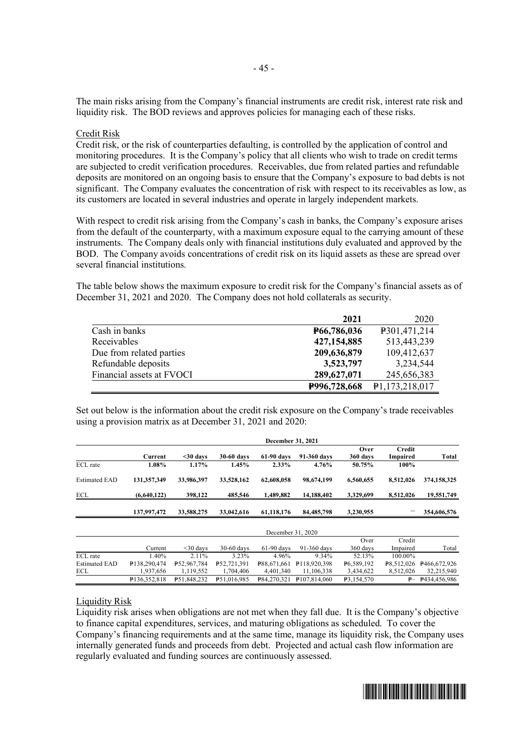The main risks arising from the Company's financial instruments are credit risk, interest rate risk and liquidity risk. The BOD reviews and approves policies for managing each of these risks.

#### Credit Risk

Credit risk, or the risk of counterparties defaulting, is controlled by the application of control and monitoring procedures. It is the Company's policy that all clients who wish to trade on credit terms are subjected to credit verification procedures. Receivables, due from related parties and refundable deposits are monitored on an ongoing basis to ensure that the Company's exposure to bad debts is not significant. The Company evaluates the concentration of risk with respect to its receivables as low, as its customers are located in several industries and operate in largely independent markets.

With respect to credit risk arising from the Company's cash in banks, the Company's exposure arises from the default of the counterparty, with a maximum exposure equal to the carrying amount of these instruments. The Company deals only with financial institutions duly evaluated and approved by the BOD. The Company avoids concentrations of credit risk on its liquid assets as these are spread over several financial institutions.

The table below shows the maximum exposure to credit risk for the Company's financial assets as of December 31, 2021 and 2020. The Company does not hold collaterals as security.

|                           | 2021               | 2020           |
|---------------------------|--------------------|----------------|
| Cash in banks             | <b>P66,786,036</b> | P301,471,214   |
| Receivables               | 427, 154, 885      | 513,443,239    |
| Due from related parties  | 209,636,879        | 109,412,637    |
| Refundable deposits       | 3,523,797          | 3,234,544      |
| Financial assets at FVOCI | 289,627,071        | 245,656,383    |
|                           | P996,728,668       | P1,173,218,017 |

Set out below is the information about the credit risk exposure on the Company's trade receivables using a provision matrix as at December 31, 2021 and 2020:

|                      | December 31, 2021 |             |              |                   |                          |                         |                    |              |
|----------------------|-------------------|-------------|--------------|-------------------|--------------------------|-------------------------|--------------------|--------------|
|                      | Current           | $<$ 30 days | 30-60 days   | 61-90 days        | 91-360 days              | Over<br>360 davs        | Credit<br>Impaired | Total        |
| ECL rate             | 1.08%             | $1.17\%$    | 1.45%        | $2.33\%$          | 4.76%                    | 50.75%                  | 100%               |              |
| Estimated EAD        | 131,357,349       | 33,986,397  | 33,528,162   | 62,608,058        | 98,674,199               | 6,560,655               | 8,512,026          | 374,158,325  |
| ECL                  | (6,640,122)       | 398,122     | 485,546      | 1,489,882         | 14,188,402               | 3,329,699               | 8,512,026          | 19,551,749   |
|                      | 137,997,472       | 33,588,275  | 33,042,616   | 61,118,176        | 84,485,798               | 3,230,955               |                    | 354,606,576  |
|                      |                   |             |              | December 31, 2020 |                          |                         |                    |              |
|                      |                   |             |              |                   |                          | Over                    | Credit             |              |
|                      | Current           | $<$ 30 davs | $30-60$ days | $61-90$ days      | 91-360 days              | $360$ days              | Impaired           | Total        |
| ECL rate             | 1.40%             | 2.11%       | 3.23%        | 4.96%             | 9.34%                    | 52.13%                  | 100.00%            |              |
| <b>Estimated EAD</b> | P138,290,474      | P52,967,784 | P52,721,391  | P88,671,661       | P118.920.398             | P6,589,192              | P8,512,026         | P466,672,926 |
| ECL                  | 1,937,656         | 1,119,552   | 1,704,406    | 4,401,340         | 11,106,338               | 3,434,622               | 8,512,026          | 32,215,940   |
|                      | P136,352,818      | P51.848.232 | P51.016.985  | P84.270.321       | P <sub>107,814,060</sub> | P <sub>3</sub> .154.570 | P                  | P434.456.986 |

#### Liquidity Risk

Liquidity risk arises when obligations are not met when they fall due. It is the Company's objective to finance capital expenditures, services, and maturing obligations as scheduled. To cover the Company's financing requirements and at the same time, manage its liquidity risk, the Company uses internally generated funds and proceeds from debt. Projected and actual cash flow information are regularly evaluated and funding sources are continuously assessed.

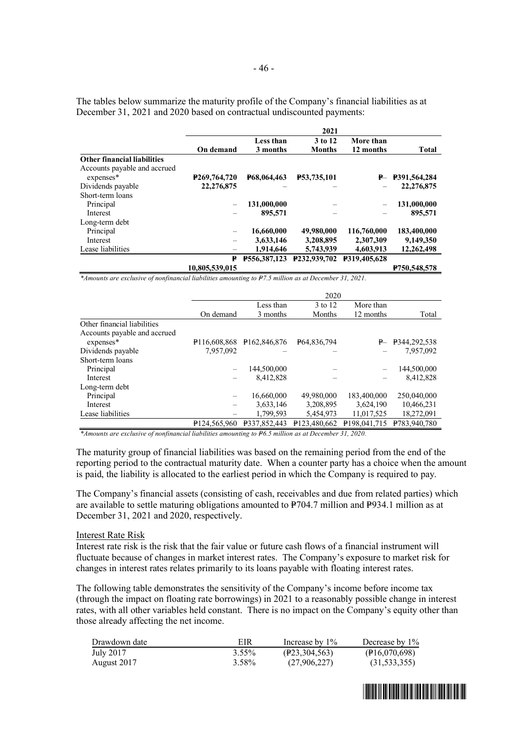The tables below summarize the maturity profile of the Company's financial liabilities as at December 31, 2021 and 2020 based on contractual undiscounted payments:

|                                    | 2021                        |                     |                    |              |                             |
|------------------------------------|-----------------------------|---------------------|--------------------|--------------|-----------------------------|
|                                    |                             | Less than           | 3 to 12            | More than    |                             |
|                                    | On demand                   | 3 months            | <b>Months</b>      | 12 months    | <b>Total</b>                |
| <b>Other financial liabilities</b> |                             |                     |                    |              |                             |
| Accounts payable and accrued       |                             |                     |                    |              |                             |
| $express*$                         | P <sub>269</sub> , 764, 720 | <b>P68,064,463</b>  | <b>P53,735,101</b> |              | $P - P391,564,284$          |
| Dividends payable                  | 22,276,875                  |                     |                    |              | 22,276,875                  |
| Short-term loans                   |                             |                     |                    |              |                             |
| Principal                          |                             | 131,000,000         |                    |              | 131,000,000                 |
| Interest                           |                             | 895,571             |                    |              | 895,571                     |
| Long-term debt                     |                             |                     |                    |              |                             |
| Principal                          |                             | 16,660,000          | 49,980,000         | 116,760,000  | 183,400,000                 |
| Interest                           | -                           | 3,633,146           | 3,208,895          | 2,307,309    | 9,149,350                   |
| Lease liabilities                  | —                           | 1,914,646           | 5,743,939          | 4,603,913    | 12,262,498                  |
|                                    | ₽                           | <b>P556.387.123</b> | P232,939,702       | P319,405,628 |                             |
|                                    | 10,805,539,015              |                     |                    |              | P <sub>750</sub> , 548, 578 |

*\*Amounts are exclusive of nonfinancial liabilities amounting to P7.5 million as at December 31, 2021.* 

|                              |                          |                           | 2020         |              |              |
|------------------------------|--------------------------|---------------------------|--------------|--------------|--------------|
|                              |                          | Less than                 | 3 to 12      | More than    |              |
|                              | On demand                | 3 months                  | Months       | 12 months    | Total        |
| Other financial liabilities  |                          |                           |              |              |              |
| Accounts payable and accrued |                          |                           |              |              |              |
| $express*$                   | P <sub>116.608.868</sub> | P <sub>162</sub> ,846,876 | P64.836.794  | ₽            | P344,292,538 |
| Dividends payable            | 7,957,092                |                           |              |              | 7,957,092    |
| Short-term loans             |                          |                           |              |              |              |
| Principal                    |                          | 144,500,000               |              |              | 144,500,000  |
| Interest                     | $\overline{\phantom{0}}$ | 8.412.828                 |              |              | 8,412,828    |
| Long-term debt               |                          |                           |              |              |              |
| Principal                    |                          | 16,660,000                | 49,980,000   | 183,400,000  | 250,040,000  |
| Interest                     |                          | 3,633,146                 | 3,208,895    | 3,624,190    | 10,466,231   |
| Lease liabilities            |                          | 1,799,593                 | 5,454,973    | 11,017,525   | 18,272,091   |
|                              | P <sub>124,565,960</sub> | P337,852,443              | P123,480,662 | P198,041,715 | P783,940,780 |

*\*Amounts are exclusive of nonfinancial liabilities amounting to P6.5 million as at December 31, 2020.* 

The maturity group of financial liabilities was based on the remaining period from the end of the reporting period to the contractual maturity date. When a counter party has a choice when the amount is paid, the liability is allocated to the earliest period in which the Company is required to pay.

The Company's financial assets (consisting of cash, receivables and due from related parties) which are available to settle maturing obligations amounted to  $P704.7$  million and P934.1 million as at December 31, 2021 and 2020, respectively.

#### Interest Rate Risk

Interest rate risk is the risk that the fair value or future cash flows of a financial instrument will fluctuate because of changes in market interest rates. The Company's exposure to market risk for changes in interest rates relates primarily to its loans payable with floating interest rates.

The following table demonstrates the sensitivity of the Company's income before income tax (through the impact on floating rate borrowings) in 2021 to a reasonably possible change in interest rates, with all other variables held constant. There is no impact on the Company's equity other than those already affecting the net income.

| Drawdown date | EIR   | Increase by $1\%$ | Decrease by 1\%     |
|---------------|-------|-------------------|---------------------|
| July 2017     | 3.55% | (P23, 304, 563)   | $($ P $16,070,698)$ |
| August 2017   | 3.58% | (27,906,227)      | (31, 533, 355)      |

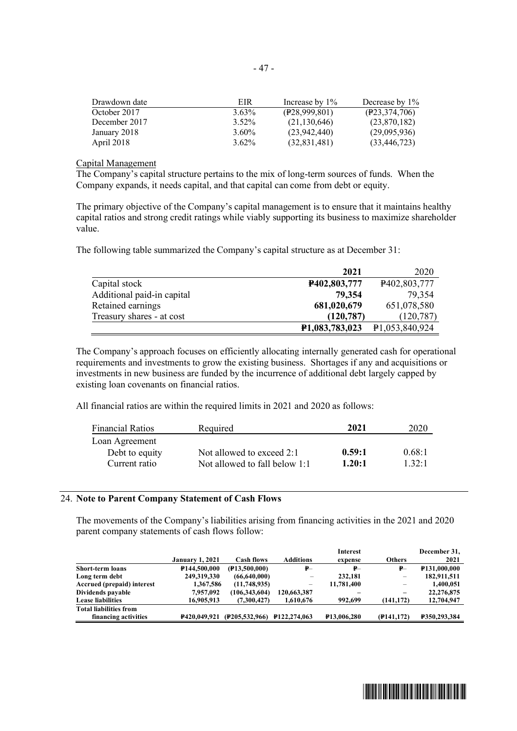| Drawdown date | EIR      | Increase by $1\%$ | Decrease by 1%  |
|---------------|----------|-------------------|-----------------|
| October 2017  | $3.63\%$ | (P28,999,801)     | (P23, 374, 706) |
| December 2017 | $3.52\%$ | (21, 130, 646)    | (23,870,182)    |
| January 2018  | $3.60\%$ | (23,942,440)      | (29,095,936)    |
| April 2018    | $3.62\%$ | (32, 831, 481)    | (33, 446, 723)  |

#### Capital Management

The Company's capital structure pertains to the mix of long-term sources of funds. When the Company expands, it needs capital, and that capital can come from debt or equity.

The primary objective of the Company's capital management is to ensure that it maintains healthy capital ratios and strong credit ratings while viably supporting its business to maximize shareholder value.

The following table summarized the Company's capital structure as at December 31:

|                            | 2021                        | 2020                        |
|----------------------------|-----------------------------|-----------------------------|
| Capital stock              | P402,803,777                | P402,803,777                |
| Additional paid-in capital | 79,354                      | 79,354                      |
| Retained earnings          | 681,020,679                 | 651,078,580                 |
| Treasury shares - at cost  | (120, 787)                  | (120, 787)                  |
|                            | P <sub>1</sub> ,083,783,023 | P <sub>1</sub> ,053,840,924 |

The Company's approach focuses on efficiently allocating internally generated cash for operational requirements and investments to grow the existing business. Shortages if any and acquisitions or investments in new business are funded by the incurrence of additional debt largely capped by existing loan covenants on financial ratios.

All financial ratios are within the required limits in 2021 and 2020 as follows:

| <b>Financial Ratios</b> | Required                      | 2021   | 2020   |
|-------------------------|-------------------------------|--------|--------|
| Loan Agreement          |                               |        |        |
| Debt to equity          | Not allowed to exceed 2:1     | 0.59:1 | 0.68:1 |
| Current ratio           | Not allowed to fall below 1:1 | 1.20:1 | 1.32:1 |

### 24. **Note to Parent Company Statement of Cash Flows**

The movements of the Company's liabilities arising from financing activities in the 2021 and 2020 parent company statements of cash flows follow:

|                               |                          |                   |                             | Interest           |               | December 31,             |
|-------------------------------|--------------------------|-------------------|-----------------------------|--------------------|---------------|--------------------------|
|                               | <b>January 1, 2021</b>   | <b>Cash flows</b> | <b>Additions</b>            | expense            | <b>Others</b> | 2021                     |
| <b>Short-term loans</b>       | P <sub>144,500,000</sub> | (F13,500,000)     | ₽—                          | ₽—                 | ₽—            | P <sub>131,000,000</sub> |
| Long term debt                | 249,319,330              | (66,640,000)      | $\overline{\phantom{0}}$    | 232,181            | -             | 182,911,511              |
| Accrued (prepaid) interest    | 1,367,586                | (11,748,935)      | $\overline{\phantom{0}}$    | 11,781,400         | -             | 1,400,051                |
| Dividends payable             | 7,957,092                | (106, 343, 604)   | 120,663,387                 |                    | -             | 22,276,875               |
| <b>Lease liabilities</b>      | 16.905.913               | (7,300,427)       | 1.610.676                   | 992.699            | (141.172)     | 12,704,947               |
| <b>Total liabilities from</b> |                          |                   |                             |                    |               |                          |
| financing activities          | P420.049.921             | (F205, 532, 966)  | P <sub>122</sub> , 274, 063 | <b>P13.006.280</b> | (P141,172)    | P350,293,384             |

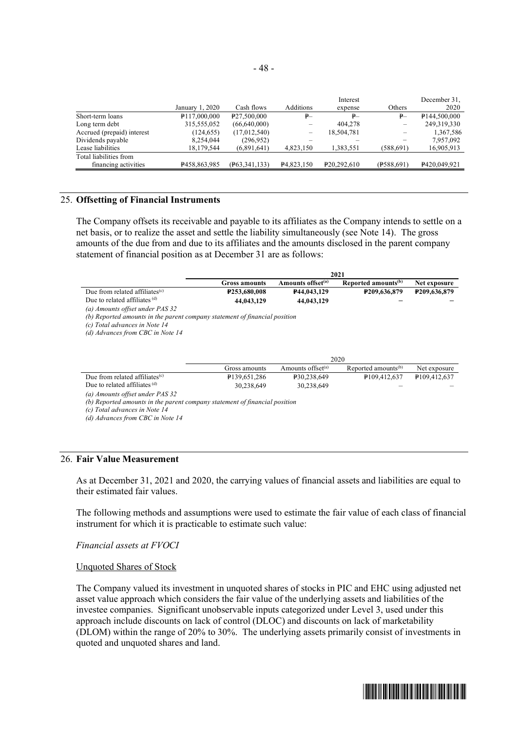|                                                | January 1, 2020          | Cash flows      | <b>Additions</b>       | Interest<br>expense        | Others     | December 31.<br>2020     |
|------------------------------------------------|--------------------------|-----------------|------------------------|----------------------------|------------|--------------------------|
| Short-term loans                               | P <sub>117,000,000</sub> | P27,500,000     | ₽—                     | ₽—                         | ₽–         | P <sub>144,500,000</sub> |
| Long term debt                                 | 315,555,052              | (66, 640, 000)  |                        | 404,278                    |            | 249,319,330              |
| Accrued (prepaid) interest                     | (124, 655)               | (17,012,540)    |                        | 18,504,781                 |            | 1,367,586                |
| Dividends payable                              | 8,254,044                | (296,952)       |                        |                            |            | 7,957,092                |
| Lease liabilities                              | 18,179,544               | (6,891,641)     | 4.823.150              | 1,383,551                  | (588.691)  | 16,905,913               |
| Total liabilities from<br>financing activities | P458,863,985             | (F63, 341, 133) | P <sub>4.823.150</sub> | P <sub>20</sub> , 292, 610 | (F588.691) | P420.049.921             |

#### 25. **Offsetting of Financial Instruments**

The Company offsets its receivable and payable to its affiliates as the Company intends to settle on a net basis, or to realize the asset and settle the liability simultaneously (see Note 14). The gross amounts of the due from and due to its affiliates and the amounts disclosed in the parent company statement of financial position as at December 31 are as follows:

|                                                                                                                                                 | 2021                      |                               |                                 |                           |  |
|-------------------------------------------------------------------------------------------------------------------------------------------------|---------------------------|-------------------------------|---------------------------------|---------------------------|--|
|                                                                                                                                                 | <b>Gross amounts</b>      | Amounts offset <sup>(a)</sup> | Reported amounts <sup>(b)</sup> | Net exposure              |  |
| Due from related affiliates $(c)$                                                                                                               | <b>P253,680,008</b>       | P44,043,129                   | P <sub>209</sub> , 636, 879     | P209,636,879              |  |
| Due to related affiliates $(d)$                                                                                                                 | 44,043,129                | 44,043,129                    |                                 |                           |  |
| (a) Amounts offset under PAS 32                                                                                                                 |                           |                               |                                 |                           |  |
| (b) Reported amounts in the parent company statement of financial position<br>(c) Total advances in Note 14<br>(d) Advances from CBC in Note 14 |                           |                               |                                 |                           |  |
|                                                                                                                                                 |                           |                               | 2020                            |                           |  |
|                                                                                                                                                 | Gross amounts             | Amounts offset $(a)$          | Reported amounts $(b)$          | Net exposure              |  |
| Due from related affiliates $(c)$                                                                                                               | P <sub>139</sub> ,651,286 | P30,238,649                   | P <sub>109</sub> ,412,637       | P <sub>109</sub> .412.637 |  |
| Due to related affiliates (d)                                                                                                                   | 30.238,649                | 30.238,649                    |                                 |                           |  |
| (a) Amounts offset under PAS 32                                                                                                                 |                           |                               |                                 |                           |  |

*(b) Reported amounts in the parent company statement of financial position*

*(c) Total advances in Note 14*

*(d) Advances from CBC in Note 14*

#### 26. **Fair Value Measurement**

As at December 31, 2021 and 2020, the carrying values of financial assets and liabilities are equal to their estimated fair values.

The following methods and assumptions were used to estimate the fair value of each class of financial instrument for which it is practicable to estimate such value:

*Financial assets at FVOCI*

#### Unquoted Shares of Stock

The Company valued its investment in unquoted shares of stocks in PIC and EHC using adjusted net asset value approach which considers the fair value of the underlying assets and liabilities of the investee companies. Significant unobservable inputs categorized under Level 3, used under this approach include discounts on lack of control (DLOC) and discounts on lack of marketability (DLOM) within the range of 20% to 30%. The underlying assets primarily consist of investments in quoted and unquoted shares and land.

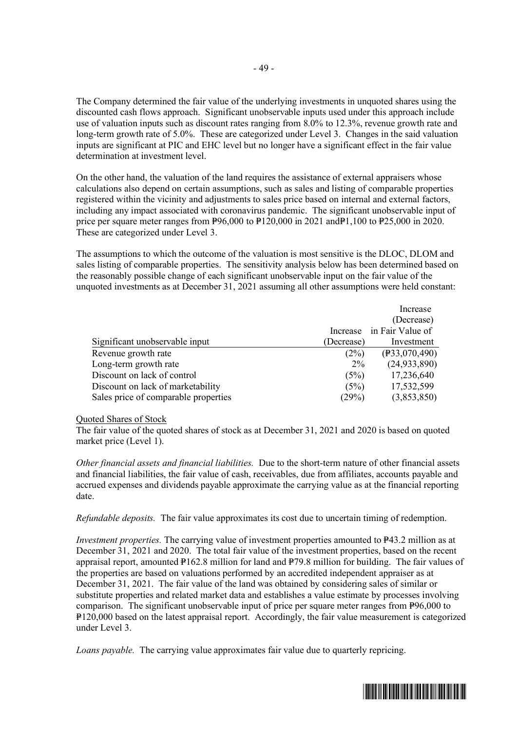The Company determined the fair value of the underlying investments in unquoted shares using the discounted cash flows approach. Significant unobservable inputs used under this approach include use of valuation inputs such as discount rates ranging from 8.0% to 12.3%, revenue growth rate and long-term growth rate of 5.0%. These are categorized under Level 3. Changes in the said valuation inputs are significant at PIC and EHC level but no longer have a significant effect in the fair value determination at investment level.

On the other hand, the valuation of the land requires the assistance of external appraisers whose calculations also depend on certain assumptions, such as sales and listing of comparable properties registered within the vicinity and adjustments to sales price based on internal and external factors, including any impact associated with coronavirus pandemic. The significant unobservable input of price per square meter ranges from  $P96,000$  to  $P120,000$  in 2021 and  $P1,100$  to  $P25,000$  in 2020. These are categorized under Level 3.

The assumptions to which the outcome of the valuation is most sensitive is the DLOC, DLOM and sales listing of comparable properties. The sensitivity analysis below has been determined based on the reasonably possible change of each significant unobservable input on the fair value of the unquoted investments as at December 31, 2021 assuming all other assumptions were held constant:

|                                      |            | Increase                  |
|--------------------------------------|------------|---------------------------|
|                                      |            | (Decrease)                |
|                                      |            | Increase in Fair Value of |
| Significant unobservable input       | (Decrease) | Investment                |
| Revenue growth rate                  | (2%)       | (F33,070,490)             |
| Long-term growth rate                | $2\%$      | (24, 933, 890)            |
| Discount on lack of control          | (5%)       | 17,236,640                |
| Discount on lack of marketability    | (5%)       | 17,532,599                |
| Sales price of comparable properties | (29%)      | (3,853,850)               |

#### Quoted Shares of Stock

The fair value of the quoted shares of stock as at December 31, 2021 and 2020 is based on quoted market price (Level 1).

*Other financial assets and financial liabilities.* Due to the short-term nature of other financial assets and financial liabilities, the fair value of cash, receivables, due from affiliates, accounts payable and accrued expenses and dividends payable approximate the carrying value as at the financial reporting date.

*Refundable deposits.* The fair value approximates its cost due to uncertain timing of redemption.

*Investment properties.* The carrying value of investment properties amounted to  $P43.2$  million as at December 31, 2021 and 2020. The total fair value of the investment properties, based on the recent appraisal report, amounted  $P162.8$  million for land and  $P79.8$  million for building. The fair values of the properties are based on valuations performed by an accredited independent appraiser as at December 31, 2021. The fair value of the land was obtained by considering sales of similar or substitute properties and related market data and establishes a value estimate by processes involving comparison. The significant unobservable input of price per square meter ranges from P96,000 to P120,000 based on the latest appraisal report. Accordingly, the fair value measurement is categorized under Level 3.

*Loans payable.* The carrying value approximates fair value due to quarterly repricing.

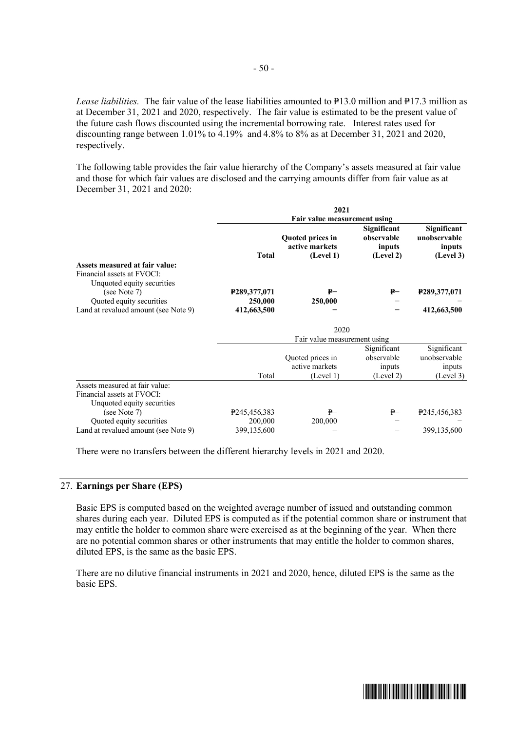*Lease liabilities.* The fair value of the lease liabilities amounted to  $P13.0$  million and  $P17.3$  million as at December 31, 2021 and 2020, respectively. The fair value is estimated to be the present value of the future cash flows discounted using the incremental borrowing rate. Interest rates used for discounting range between 1.01% to 4.19% and 4.8% to 8% as at December 31, 2021 and 2020, respectively.

The following table provides the fair value hierarchy of the Company's assets measured at fair value and those for which fair values are disclosed and the carrying amounts differ from fair value as at December 31, 2021 and 2020:

|                                                                                            |                             | 2021                                            |                                                  |                                                    |  |  |  |
|--------------------------------------------------------------------------------------------|-----------------------------|-------------------------------------------------|--------------------------------------------------|----------------------------------------------------|--|--|--|
|                                                                                            |                             | Fair value measurement using                    |                                                  |                                                    |  |  |  |
|                                                                                            | Total                       | Quoted prices in<br>active markets<br>(Level 1) | Significant<br>observable<br>inputs<br>(Level 2) | Significant<br>unobservable<br>inputs<br>(Level 3) |  |  |  |
| Assets measured at fair value:<br>Financial assets at FVOCI:<br>Unquoted equity securities |                             |                                                 |                                                  |                                                    |  |  |  |
| (see Note 7)                                                                               | P289,377,071                | ₽–                                              | $P-$                                             | P <sub>289</sub> , 377, 071                        |  |  |  |
| Quoted equity securities                                                                   | 250,000                     | 250,000                                         |                                                  |                                                    |  |  |  |
| Land at revalued amount (see Note 9)                                                       | 412,663,500                 |                                                 |                                                  | 412,663,500                                        |  |  |  |
|                                                                                            |                             | 2020                                            |                                                  |                                                    |  |  |  |
|                                                                                            |                             | Fair value measurement using                    |                                                  |                                                    |  |  |  |
|                                                                                            |                             |                                                 | Significant                                      | Significant                                        |  |  |  |
|                                                                                            |                             | Quoted prices in                                | observable                                       | unobservable                                       |  |  |  |
|                                                                                            |                             | active markets                                  | inputs                                           | inputs                                             |  |  |  |
|                                                                                            | Total                       | (Level 1)                                       | (Level 2)                                        | (Level 3)                                          |  |  |  |
| Assets measured at fair value:<br>Financial assets at FVOCI:<br>Unquoted equity securities |                             |                                                 |                                                  |                                                    |  |  |  |
| (see Note 7)                                                                               | P <sub>245</sub> , 456, 383 | $P-$                                            | ₽−                                               | P <sub>245</sub> , 456, 383                        |  |  |  |
| Quoted equity securities                                                                   | 200,000                     | 200,000                                         |                                                  |                                                    |  |  |  |
| Land at revalued amount (see Note 9)                                                       | 399,135,600                 |                                                 |                                                  | 399,135,600                                        |  |  |  |

There were no transfers between the different hierarchy levels in 2021 and 2020.

#### 27. **Earnings per Share (EPS)**

Basic EPS is computed based on the weighted average number of issued and outstanding common shares during each year. Diluted EPS is computed as if the potential common share or instrument that may entitle the holder to common share were exercised as at the beginning of the year. When there are no potential common shares or other instruments that may entitle the holder to common shares, diluted EPS, is the same as the basic EPS.

There are no dilutive financial instruments in 2021 and 2020, hence, diluted EPS is the same as the basic EPS.

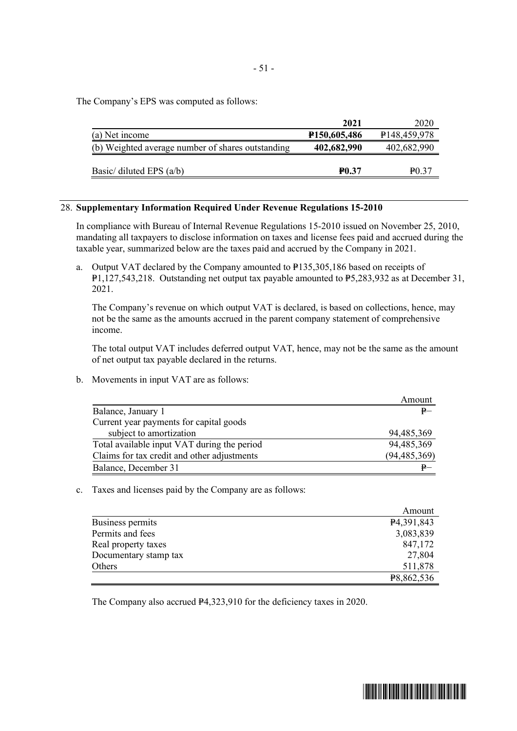The Company's EPS was computed as follows:

|                                                   | 2021                | 2020                        |
|---------------------------------------------------|---------------------|-----------------------------|
| (a) Net income                                    | <b>P150,605,486</b> | P <sub>148</sub> , 459, 978 |
| (b) Weighted average number of shares outstanding | 402,682,990         | 402,682,990                 |
|                                                   |                     |                             |
| Basic/ diluted EPS (a/b)                          | P <sub>0.37</sub>   | P <sub>0.37</sub>           |

#### 28. **Supplementary Information Required Under Revenue Regulations 15-2010**

In compliance with Bureau of Internal Revenue Regulations 15-2010 issued on November 25, 2010, mandating all taxpayers to disclose information on taxes and license fees paid and accrued during the taxable year, summarized below are the taxes paid and accrued by the Company in 2021.

a. Output VAT declared by the Company amounted to  $P135,305,186$  based on receipts of P1,127,543,218. Outstanding net output tax payable amounted to  $P5,283,932$  as at December 31, 2021.

The Company's revenue on which output VAT is declared, is based on collections, hence, may not be the same as the amounts accrued in the parent company statement of comprehensive income.

The total output VAT includes deferred output VAT, hence, may not be the same as the amount of net output tax payable declared in the returns.

b. Movements in input VAT are as follows:

|                                             | Amount         |
|---------------------------------------------|----------------|
| Balance, January 1                          | $\mathbf{P}^-$ |
| Current year payments for capital goods     |                |
| subject to amortization                     | 94,485,369     |
| Total available input VAT during the period | 94,485,369     |
| Claims for tax credit and other adjustments | (94, 485, 369) |
| Balance, December 31                        | ₽–             |

c. Taxes and licenses paid by the Company are as follows:

|                       | Amount                    |
|-----------------------|---------------------------|
| Business permits      | P <sub>4</sub> , 391, 843 |
| Permits and fees      | 3,083,839                 |
| Real property taxes   | 847,172                   |
| Documentary stamp tax | 27,804                    |
| Others                | 511,878                   |
|                       | P8,862,536                |

The Company also accrued P4,323,910 for the deficiency taxes in 2020.

\*SGVFS165794\*

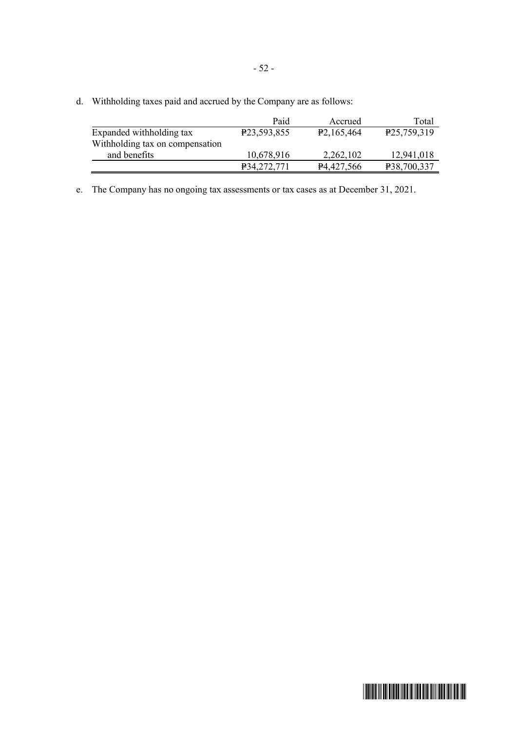d. Withholding taxes paid and accrued by the Company are as follows:

|                                 | Paid        | Accrued                   | Total                    |
|---------------------------------|-------------|---------------------------|--------------------------|
| Expanded withholding tax        | P23,593,855 | P <sub>2</sub> , 165, 464 | P <sub>25</sub> ,759,319 |
| Withholding tax on compensation |             |                           |                          |
| and benefits                    | 10,678,916  | 2,262,102                 | 12,941,018               |
|                                 | P34,272,771 | P <sub>4</sub> 427,566    | P38,700,337              |

e. The Company has no ongoing tax assessments or tax cases as at December 31, 2021.

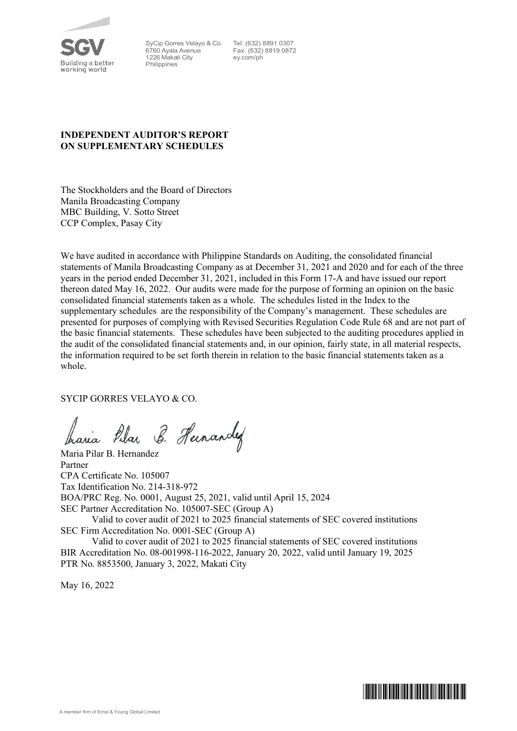

SyCip Gorres Velayo & Co. 6760 Ayala Avenue 1226 Makati City Philippines

 Tel: (632) 8891 0307 Fax: (632) 8819 0872 ey.com/ph

#### **INDEPENDENT AUDITOR'S REPORT ON SUPPLEMENTARY SCHEDULES**

The Stockholders and the Board of Directors Manila Broadcasting Company MBC Building, V. Sotto Street CCP Complex, Pasay City

We have audited in accordance with Philippine Standards on Auditing, the consolidated financial statements of Manila Broadcasting Company as at December 31, 2021 and 2020 and for each of the three years in the period ended December 31, 2021, included in this Form 17-A and have issued our report thereon dated May 16, 2022. Our audits were made for the purpose of forming an opinion on the basic consolidated financial statements taken as a whole. The schedules listed in the Index to the supplementary schedules are the responsibility of the Company's management. These schedules are presented for purposes of complying with Revised Securities Regulation Code Rule 68 and are not part of the basic financial statements. These schedules have been subjected to the auditing procedures applied in the audit of the consolidated financial statements and, in our opinion, fairly state, in all material respects, the information required to be set forth therein in relation to the basic financial statements taken as a whole.

SYCIP GORRES VELAYO & CO.

haria Pelar B. Hunandez

Maria Pilar B. Hernandez Partner CPA Certificate No. 105007 Tax Identification No. 214-318-972 BOA/PRC Reg. No. 0001, August 25, 2021, valid until April 15, 2024 SEC Partner Accreditation No. 105007-SEC (Group A) Valid to cover audit of 2021 to 2025 financial statements of SEC covered institutions SEC Firm Accreditation No. 0001-SEC (Group A) Valid to cover audit of 2021 to 2025 financial statements of SEC covered institutions BIR Accreditation No. 08-001998-116-2022, January 20, 2022, valid until January 19, 2025 PTR No. 8853500, January 3, 2022, Makati City

May 16, 2022